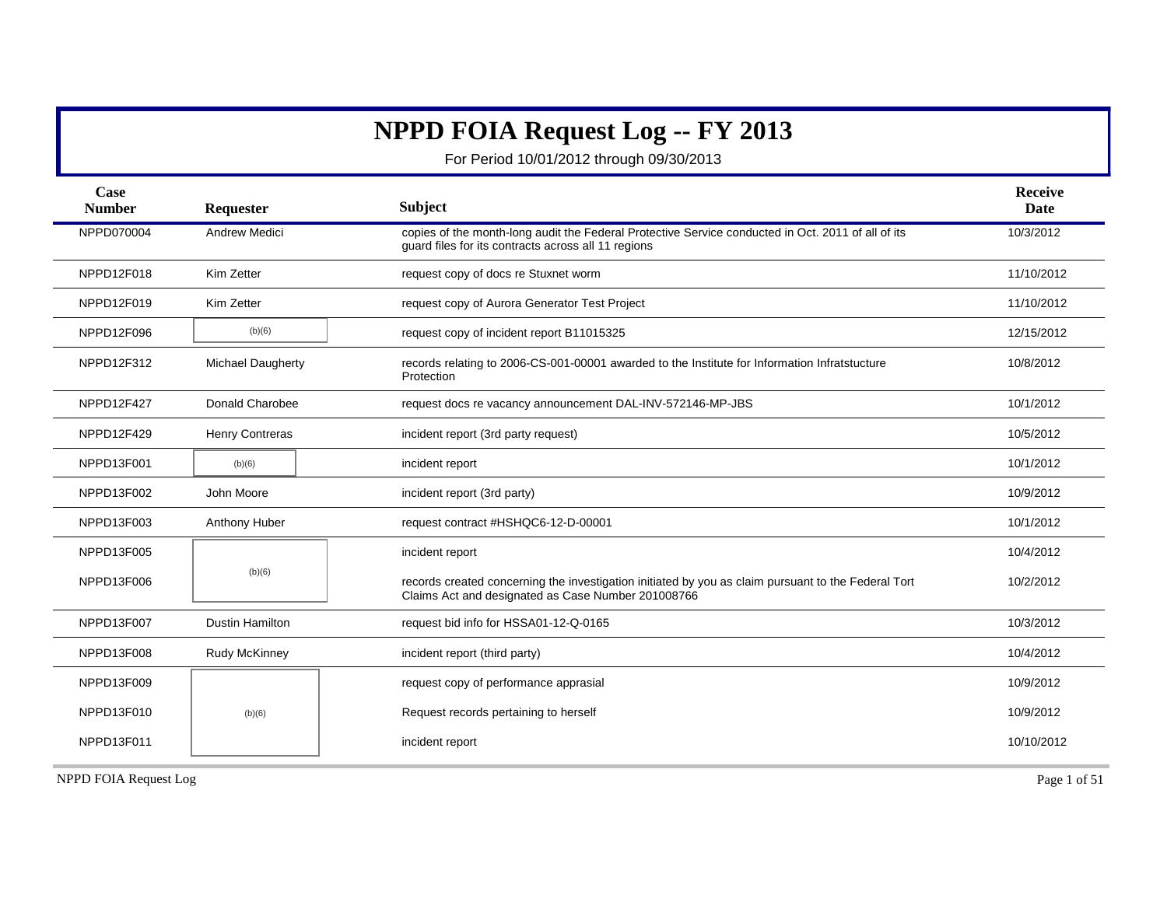## **NPPD FOIA Request Log -- FY 2013**

For Period 10/01/2012 through 09/30/2013

| Case<br><b>Number</b> | Requester                | Subject                                                                                                                                                   | <b>Receive</b><br>Date |
|-----------------------|--------------------------|-----------------------------------------------------------------------------------------------------------------------------------------------------------|------------------------|
| NPPD070004            | <b>Andrew Medici</b>     | copies of the month-long audit the Federal Protective Service conducted in Oct. 2011 of all of its<br>quard files for its contracts across all 11 regions | 10/3/2012              |
| NPPD12F018            | Kim Zetter               | request copy of docs re Stuxnet worm                                                                                                                      | 11/10/2012             |
| NPPD12F019            | Kim Zetter               | request copy of Aurora Generator Test Project                                                                                                             | 11/10/2012             |
| NPPD12F096            | (b)(6)                   | request copy of incident report B11015325                                                                                                                 | 12/15/2012             |
| NPPD12F312            | <b>Michael Daugherty</b> | records relating to 2006-CS-001-00001 awarded to the Institute for Information Infratstucture<br>Protection                                               | 10/8/2012              |
| NPPD12F427            | Donald Charobee          | request docs re vacancy announcement DAL-INV-572146-MP-JBS                                                                                                | 10/1/2012              |
| NPPD12F429            | <b>Henry Contreras</b>   | incident report (3rd party request)                                                                                                                       | 10/5/2012              |
| NPPD13F001            | (b)(6)                   | incident report                                                                                                                                           | 10/1/2012              |
| NPPD13F002            | John Moore               | incident report (3rd party)                                                                                                                               | 10/9/2012              |
| NPPD13F003            | Anthony Huber            | request contract #HSHQC6-12-D-00001                                                                                                                       | 10/1/2012              |
| NPPD13F005            |                          | incident report                                                                                                                                           | 10/4/2012              |
| NPPD13F006            | (b)(6)                   | records created concerning the investigation initiated by you as claim pursuant to the Federal Tort<br>Claims Act and designated as Case Number 201008766 | 10/2/2012              |
| NPPD13F007            | <b>Dustin Hamilton</b>   | request bid info for HSSA01-12-Q-0165                                                                                                                     | 10/3/2012              |
| NPPD13F008            | Rudy McKinney            | incident report (third party)                                                                                                                             | 10/4/2012              |
| NPPD13F009            |                          | request copy of performance apprasial                                                                                                                     | 10/9/2012              |
| NPPD13F010            | (b)(6)                   | Request records pertaining to herself                                                                                                                     | 10/9/2012              |
| NPPD13F011            |                          | incident report                                                                                                                                           | 10/10/2012             |

NPPD FOIA Request Log Page 1 of 51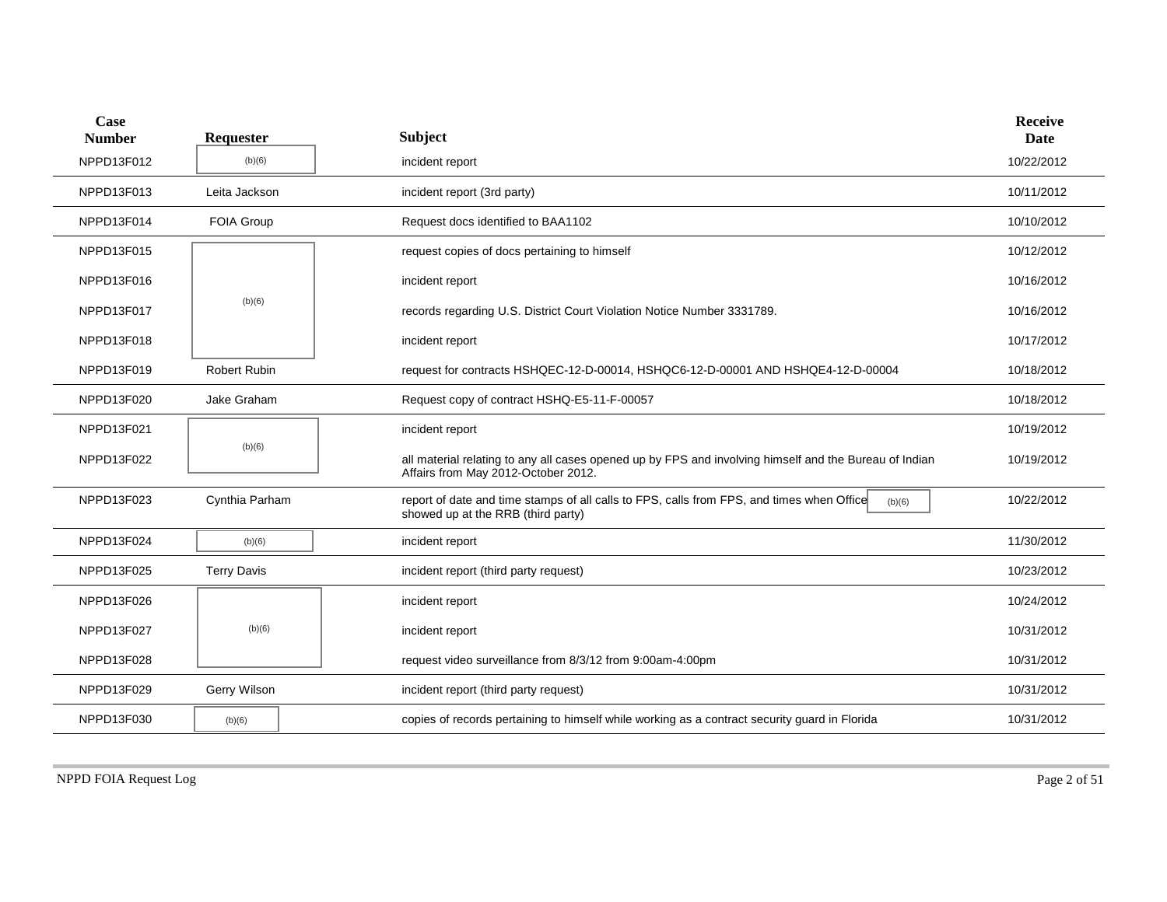| Case<br><b>Number</b> | Requester           | <b>Subject</b>                                                                                                                                | <b>Receive</b><br><b>Date</b> |
|-----------------------|---------------------|-----------------------------------------------------------------------------------------------------------------------------------------------|-------------------------------|
| NPPD13F012            | (b)(6)              | incident report                                                                                                                               | 10/22/2012                    |
| NPPD13F013            | Leita Jackson       | incident report (3rd party)                                                                                                                   | 10/11/2012                    |
| NPPD13F014            | <b>FOIA Group</b>   | Request docs identified to BAA1102                                                                                                            | 10/10/2012                    |
| NPPD13F015            |                     | request copies of docs pertaining to himself                                                                                                  | 10/12/2012                    |
| NPPD13F016            |                     | incident report                                                                                                                               | 10/16/2012                    |
| NPPD13F017            | (b)(6)              | records regarding U.S. District Court Violation Notice Number 3331789.                                                                        | 10/16/2012                    |
| NPPD13F018            |                     | incident report                                                                                                                               | 10/17/2012                    |
| NPPD13F019            | <b>Robert Rubin</b> | request for contracts HSHQEC-12-D-00014, HSHQC6-12-D-00001 AND HSHQE4-12-D-00004                                                              | 10/18/2012                    |
| NPPD13F020            | Jake Graham         | Request copy of contract HSHQ-E5-11-F-00057                                                                                                   | 10/18/2012                    |
| NPPD13F021            |                     | incident report                                                                                                                               | 10/19/2012                    |
| NPPD13F022            | (b)(6)              | all material relating to any all cases opened up by FPS and involving himself and the Bureau of Indian<br>Affairs from May 2012-October 2012. | 10/19/2012                    |
| NPPD13F023            | Cynthia Parham      | report of date and time stamps of all calls to FPS, calls from FPS, and times when Office<br>(b)(6)<br>showed up at the RRB (third party)     | 10/22/2012                    |
| NPPD13F024            | (b)(6)              | incident report                                                                                                                               | 11/30/2012                    |
| NPPD13F025            | <b>Terry Davis</b>  | incident report (third party request)                                                                                                         | 10/23/2012                    |
| NPPD13F026            |                     | incident report                                                                                                                               | 10/24/2012                    |
| NPPD13F027            | (b)(6)              | incident report                                                                                                                               | 10/31/2012                    |
| NPPD13F028            |                     | request video surveillance from 8/3/12 from 9:00am-4:00pm                                                                                     | 10/31/2012                    |
| NPPD13F029            | Gerry Wilson        | incident report (third party request)                                                                                                         | 10/31/2012                    |
| NPPD13F030            | (b)(6)              | copies of records pertaining to himself while working as a contract security guard in Florida                                                 | 10/31/2012                    |
|                       |                     |                                                                                                                                               |                               |

NPPD FOIA Request Log Page 2 of 51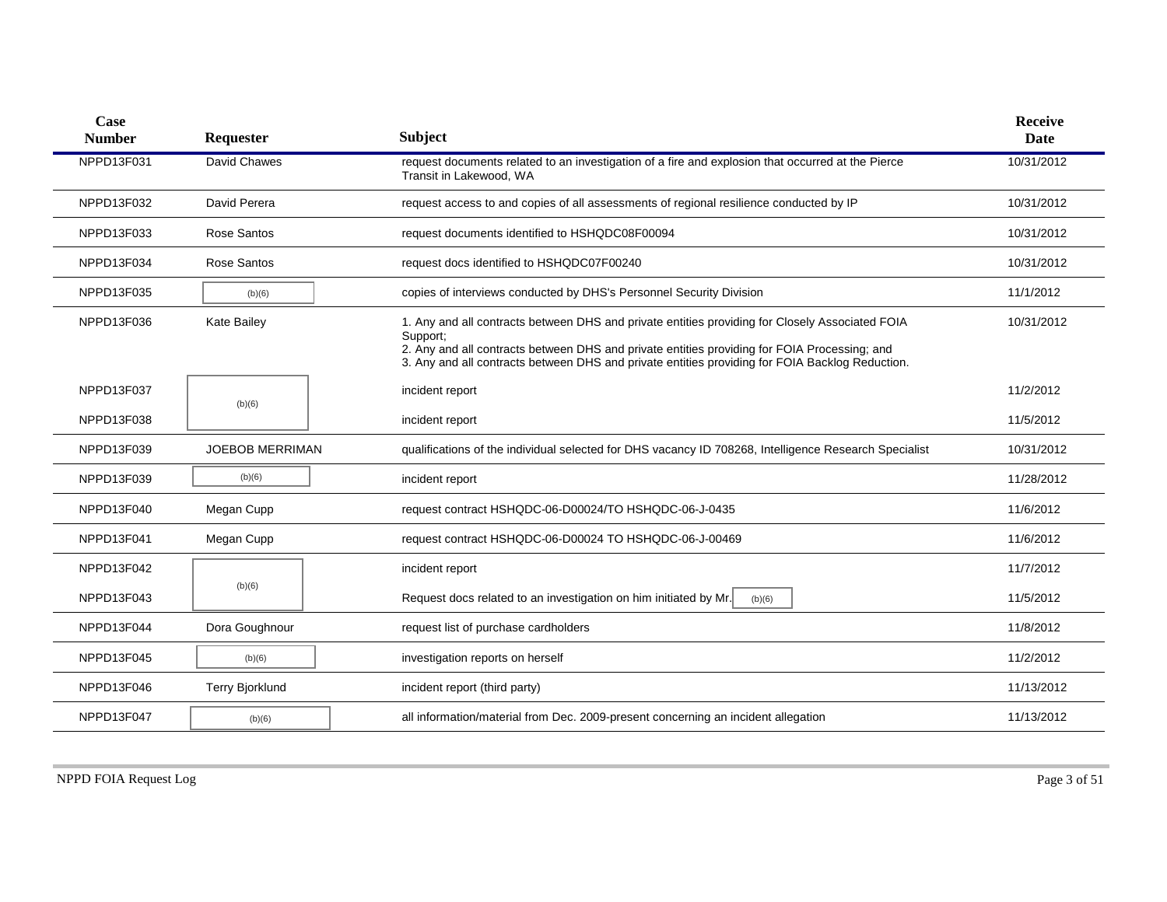| <b>Case</b><br><b>Number</b> | <b>Requester</b>       | <b>Subject</b>                                                                                                                                                                                                                                                                                                 | <b>Receive</b><br>Date |
|------------------------------|------------------------|----------------------------------------------------------------------------------------------------------------------------------------------------------------------------------------------------------------------------------------------------------------------------------------------------------------|------------------------|
| NPPD13F031                   | David Chawes           | request documents related to an investigation of a fire and explosion that occurred at the Pierce<br>Transit in Lakewood, WA                                                                                                                                                                                   | 10/31/2012             |
| NPPD13F032                   | David Perera           | request access to and copies of all assessments of regional resilience conducted by IP                                                                                                                                                                                                                         | 10/31/2012             |
| NPPD13F033                   | Rose Santos            | request documents identified to HSHQDC08F00094                                                                                                                                                                                                                                                                 | 10/31/2012             |
| NPPD13F034                   | Rose Santos            | request docs identified to HSHQDC07F00240                                                                                                                                                                                                                                                                      | 10/31/2012             |
| NPPD13F035                   | (b)(6)                 | copies of interviews conducted by DHS's Personnel Security Division                                                                                                                                                                                                                                            | 11/1/2012              |
| NPPD13F036                   | <b>Kate Bailey</b>     | 1. Any and all contracts between DHS and private entities providing for Closely Associated FOIA<br>Support:<br>2. Any and all contracts between DHS and private entities providing for FOIA Processing; and<br>3. Any and all contracts between DHS and private entities providing for FOIA Backlog Reduction. | 10/31/2012             |
| NPPD13F037                   | (b)(6)                 | incident report                                                                                                                                                                                                                                                                                                | 11/2/2012              |
| NPPD13F038                   |                        | incident report                                                                                                                                                                                                                                                                                                | 11/5/2012              |
| NPPD13F039                   | <b>JOEBOB MERRIMAN</b> | qualifications of the individual selected for DHS vacancy ID 708268, Intelligence Research Specialist                                                                                                                                                                                                          | 10/31/2012             |
| NPPD13F039                   | (b)(6)                 | incident report                                                                                                                                                                                                                                                                                                | 11/28/2012             |
| NPPD13F040                   | Megan Cupp             | request contract HSHQDC-06-D00024/TO HSHQDC-06-J-0435                                                                                                                                                                                                                                                          | 11/6/2012              |
| NPPD13F041                   | Megan Cupp             | request contract HSHQDC-06-D00024 TO HSHQDC-06-J-00469                                                                                                                                                                                                                                                         | 11/6/2012              |
| NPPD13F042                   |                        | incident report                                                                                                                                                                                                                                                                                                | 11/7/2012              |
| NPPD13F043                   | (b)(6)                 | Request docs related to an investigation on him initiated by Mr.<br>(b)(6)                                                                                                                                                                                                                                     | 11/5/2012              |
| NPPD13F044                   | Dora Goughnour         | request list of purchase cardholders                                                                                                                                                                                                                                                                           | 11/8/2012              |
| NPPD13F045                   | (b)(6)                 | investigation reports on herself                                                                                                                                                                                                                                                                               | 11/2/2012              |
| NPPD13F046                   | <b>Terry Bjorklund</b> | incident report (third party)                                                                                                                                                                                                                                                                                  | 11/13/2012             |
| NPPD13F047                   | (b)(6)                 | all information/material from Dec. 2009-present concerning an incident allegation                                                                                                                                                                                                                              | 11/13/2012             |
|                              |                        |                                                                                                                                                                                                                                                                                                                |                        |

NPPD FOIA Request Log Page 3 of 51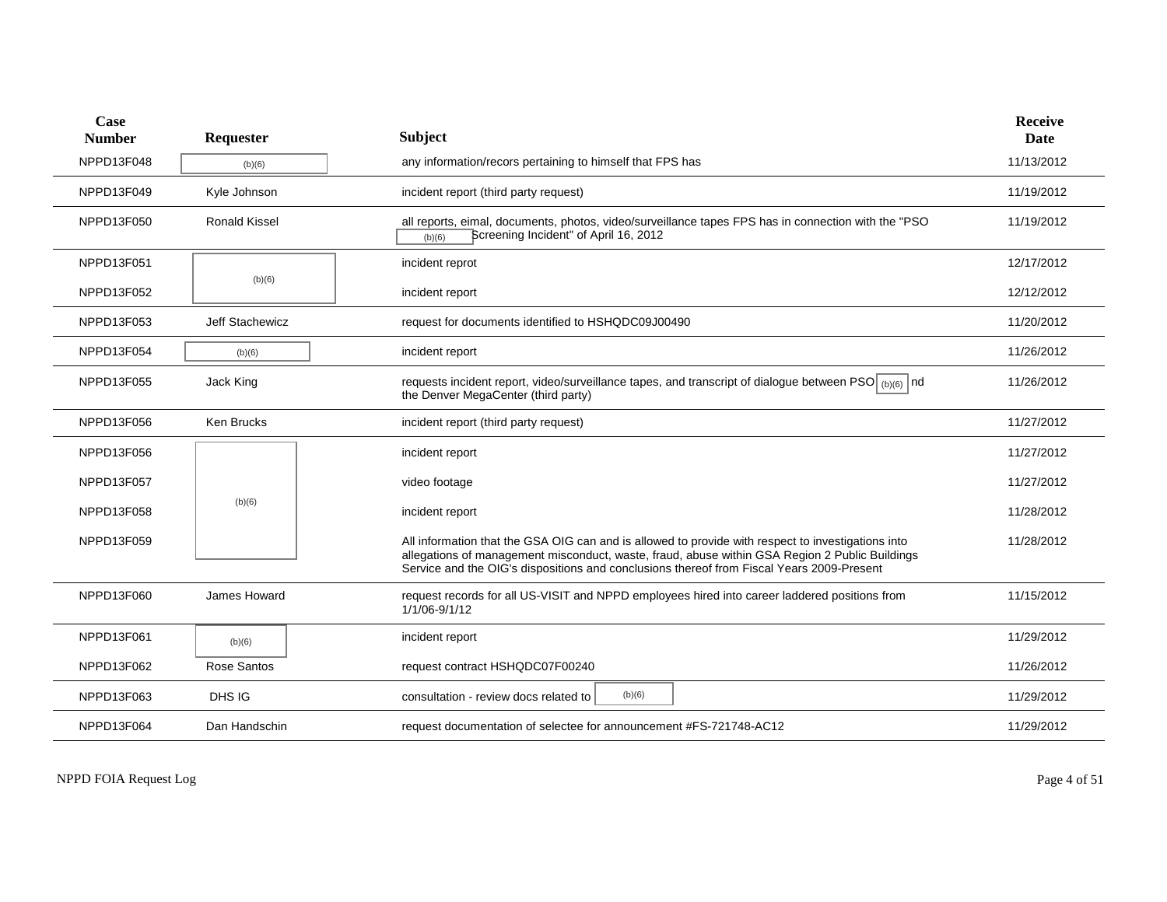| Case<br><b>Number</b> | Requester            | <b>Subject</b>                                                                                                                                                                                                                                                                                    | <b>Receive</b><br>Date |
|-----------------------|----------------------|---------------------------------------------------------------------------------------------------------------------------------------------------------------------------------------------------------------------------------------------------------------------------------------------------|------------------------|
| NPPD13F048            | (b)(6)               | any information/recors pertaining to himself that FPS has                                                                                                                                                                                                                                         | 11/13/2012             |
| NPPD13F049            | Kyle Johnson         | incident report (third party request)                                                                                                                                                                                                                                                             | 11/19/2012             |
| NPPD13F050            | <b>Ronald Kissel</b> | all reports, eimal, documents, photos, video/surveillance tapes FPS has in connection with the "PSO<br>Screening Incident" of April 16, 2012<br>(b)(6)                                                                                                                                            | 11/19/2012             |
| NPPD13F051            |                      | incident reprot                                                                                                                                                                                                                                                                                   | 12/17/2012             |
| NPPD13F052            | (b)(6)               | incident report                                                                                                                                                                                                                                                                                   | 12/12/2012             |
| NPPD13F053            | Jeff Stachewicz      | request for documents identified to HSHQDC09J00490                                                                                                                                                                                                                                                | 11/20/2012             |
| NPPD13F054            | (b)(6)               | incident report                                                                                                                                                                                                                                                                                   | 11/26/2012             |
| NPPD13F055            | Jack King            | requests incident report, video/surveillance tapes, and transcript of dialogue between PSO (b)(6) nd<br>the Denver MegaCenter (third party)                                                                                                                                                       | 11/26/2012             |
| NPPD13F056            | Ken Brucks           | incident report (third party request)                                                                                                                                                                                                                                                             | 11/27/2012             |
| NPPD13F056            |                      | incident report                                                                                                                                                                                                                                                                                   | 11/27/2012             |
| NPPD13F057            |                      | video footage                                                                                                                                                                                                                                                                                     | 11/27/2012             |
| NPPD13F058            | (b)(6)               | incident report                                                                                                                                                                                                                                                                                   | 11/28/2012             |
| NPPD13F059            |                      | All information that the GSA OIG can and is allowed to provide with respect to investigations into<br>allegations of management misconduct, waste, fraud, abuse within GSA Region 2 Public Buildings<br>Service and the OIG's dispositions and conclusions thereof from Fiscal Years 2009-Present | 11/28/2012             |
| NPPD13F060            | James Howard         | request records for all US-VISIT and NPPD employees hired into career laddered positions from<br>1/1/06-9/1/12                                                                                                                                                                                    | 11/15/2012             |
| NPPD13F061            | (b)(6)               | incident report                                                                                                                                                                                                                                                                                   | 11/29/2012             |
| NPPD13F062            | Rose Santos          | request contract HSHQDC07F00240                                                                                                                                                                                                                                                                   | 11/26/2012             |
| NPPD13F063            | DHS IG               | (b)(6)<br>consultation - review docs related to                                                                                                                                                                                                                                                   | 11/29/2012             |
| NPPD13F064            | Dan Handschin        | request documentation of selectee for announcement #FS-721748-AC12                                                                                                                                                                                                                                | 11/29/2012             |

NPPD FOIA Request Log Page 4 of 51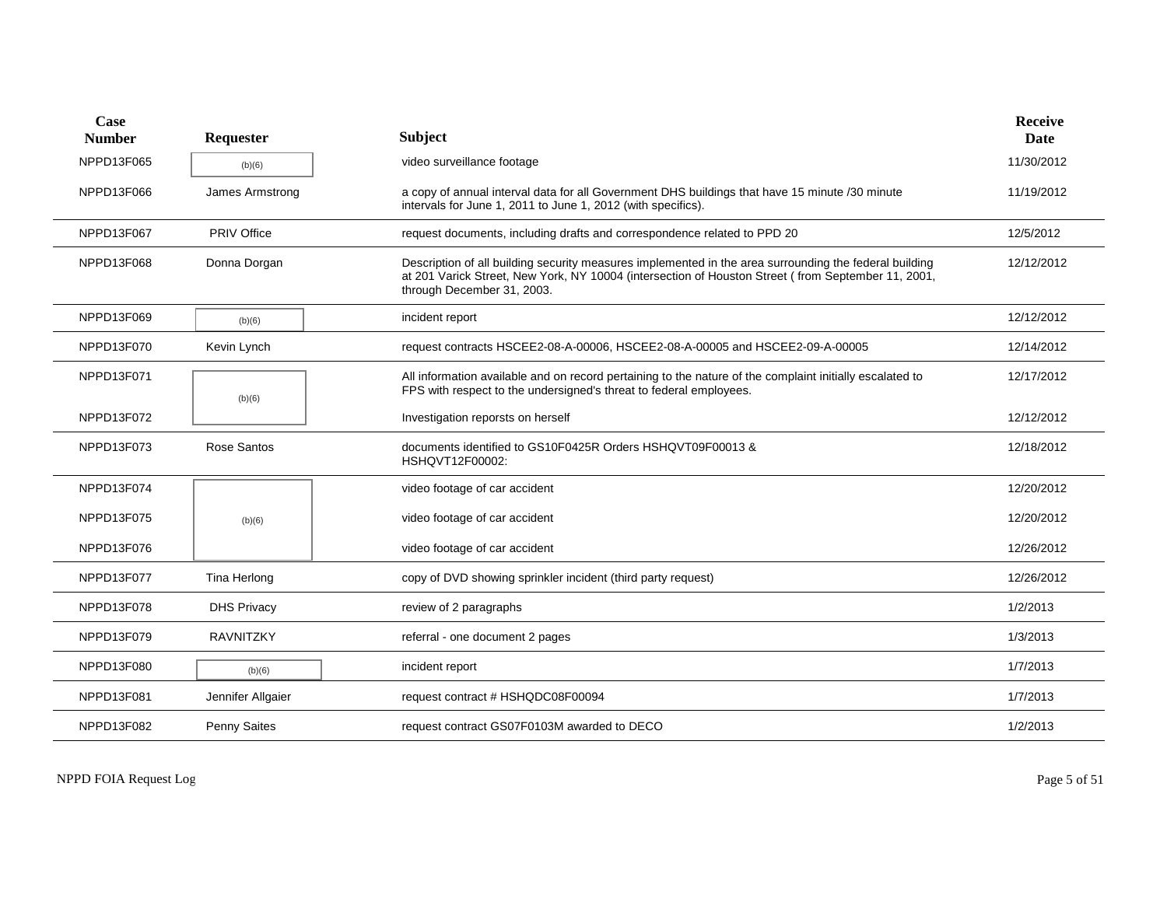| Case<br><b>Number</b> | Requester          | <b>Subject</b>                                                                                                                                                                                                                             | Receive<br>Date |
|-----------------------|--------------------|--------------------------------------------------------------------------------------------------------------------------------------------------------------------------------------------------------------------------------------------|-----------------|
| NPPD13F065            | (b)(6)             | video surveillance footage                                                                                                                                                                                                                 | 11/30/2012      |
| NPPD13F066            | James Armstrong    | a copy of annual interval data for all Government DHS buildings that have 15 minute /30 minute<br>intervals for June 1, 2011 to June 1, 2012 (with specifics).                                                                             | 11/19/2012      |
| NPPD13F067            | PRIV Office        | request documents, including drafts and correspondence related to PPD 20                                                                                                                                                                   | 12/5/2012       |
| NPPD13F068            | Donna Dorgan       | Description of all building security measures implemented in the area surrounding the federal building<br>at 201 Varick Street, New York, NY 10004 (intersection of Houston Street (from September 11, 2001,<br>through December 31, 2003. | 12/12/2012      |
| NPPD13F069            | (b)(6)             | incident report                                                                                                                                                                                                                            | 12/12/2012      |
| NPPD13F070            | Kevin Lynch        | request contracts HSCEE2-08-A-00006, HSCEE2-08-A-00005 and HSCEE2-09-A-00005                                                                                                                                                               | 12/14/2012      |
| NPPD13F071            | (b)(6)             | All information available and on record pertaining to the nature of the complaint initially escalated to<br>FPS with respect to the undersigned's threat to federal employees.                                                             | 12/17/2012      |
| NPPD13F072            |                    | Investigation reporsts on herself                                                                                                                                                                                                          | 12/12/2012      |
| NPPD13F073            | Rose Santos        | documents identified to GS10F0425R Orders HSHQVT09F00013 &<br>HSHQVT12F00002:                                                                                                                                                              | 12/18/2012      |
| NPPD13F074            |                    | video footage of car accident                                                                                                                                                                                                              | 12/20/2012      |
| NPPD13F075            | (b)(6)             | video footage of car accident                                                                                                                                                                                                              | 12/20/2012      |
| NPPD13F076            |                    | video footage of car accident                                                                                                                                                                                                              | 12/26/2012      |
| NPPD13F077            | Tina Herlong       | copy of DVD showing sprinkler incident (third party request)                                                                                                                                                                               | 12/26/2012      |
| NPPD13F078            | <b>DHS Privacy</b> | review of 2 paragraphs                                                                                                                                                                                                                     | 1/2/2013        |
| NPPD13F079            | <b>RAVNITZKY</b>   | referral - one document 2 pages                                                                                                                                                                                                            | 1/3/2013        |
| NPPD13F080            | (b)(6)             | incident report                                                                                                                                                                                                                            | 1/7/2013        |
| NPPD13F081            | Jennifer Allgaier  | request contract # HSHQDC08F00094                                                                                                                                                                                                          | 1/7/2013        |
| NPPD13F082            | Penny Saites       | request contract GS07F0103M awarded to DECO                                                                                                                                                                                                | 1/2/2013        |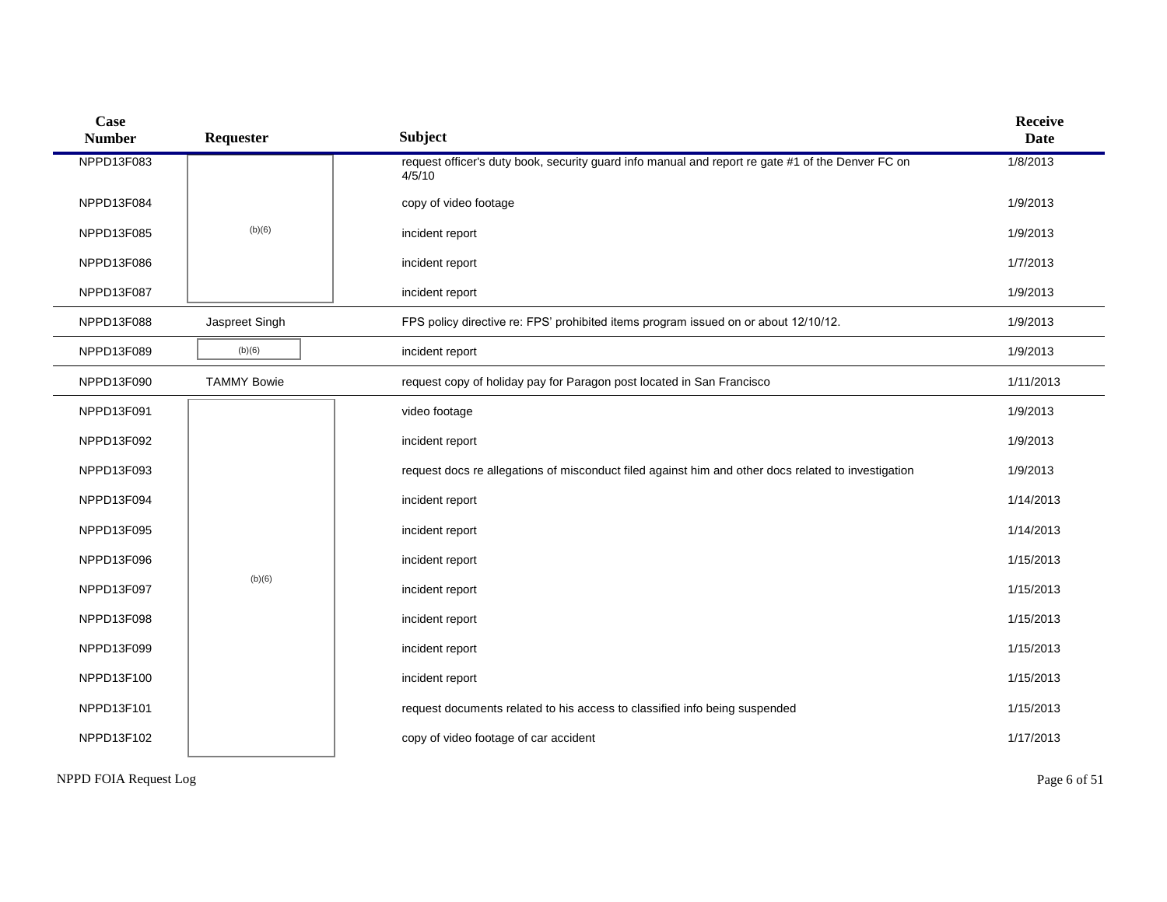| Case<br><b>Number</b> | Requester          | <b>Subject</b>                                                                                              | <b>Receive</b><br><b>Date</b> |
|-----------------------|--------------------|-------------------------------------------------------------------------------------------------------------|-------------------------------|
| NPPD13F083            |                    | request officer's duty book, security guard info manual and report re gate #1 of the Denver FC on<br>4/5/10 | 1/8/2013                      |
| NPPD13F084            |                    | copy of video footage                                                                                       | 1/9/2013                      |
| NPPD13F085            | (b)(6)             | incident report                                                                                             | 1/9/2013                      |
| NPPD13F086            |                    | incident report                                                                                             | 1/7/2013                      |
| NPPD13F087            |                    | incident report                                                                                             | 1/9/2013                      |
| NPPD13F088            | Jaspreet Singh     | FPS policy directive re: FPS' prohibited items program issued on or about 12/10/12.                         | 1/9/2013                      |
| NPPD13F089            | (b)(6)             | incident report                                                                                             | 1/9/2013                      |
| NPPD13F090            | <b>TAMMY Bowie</b> | request copy of holiday pay for Paragon post located in San Francisco                                       | 1/11/2013                     |
| NPPD13F091            |                    | video footage                                                                                               | 1/9/2013                      |
| NPPD13F092            |                    | incident report                                                                                             | 1/9/2013                      |
| NPPD13F093            |                    | request docs re allegations of misconduct filed against him and other docs related to investigation         | 1/9/2013                      |
| NPPD13F094            |                    | incident report                                                                                             | 1/14/2013                     |
| NPPD13F095            |                    | incident report                                                                                             | 1/14/2013                     |
| NPPD13F096            |                    | incident report                                                                                             | 1/15/2013                     |
| NPPD13F097            | (b)(6)             | incident report                                                                                             | 1/15/2013                     |
| NPPD13F098            |                    | incident report                                                                                             | 1/15/2013                     |
| NPPD13F099            |                    | incident report                                                                                             | 1/15/2013                     |
| NPPD13F100            |                    | incident report                                                                                             | 1/15/2013                     |
| NPPD13F101            |                    | request documents related to his access to classified info being suspended                                  | 1/15/2013                     |
| NPPD13F102            |                    | copy of video footage of car accident                                                                       | 1/17/2013                     |
|                       |                    |                                                                                                             |                               |

NPPD FOIA Request Log Page 6 of 51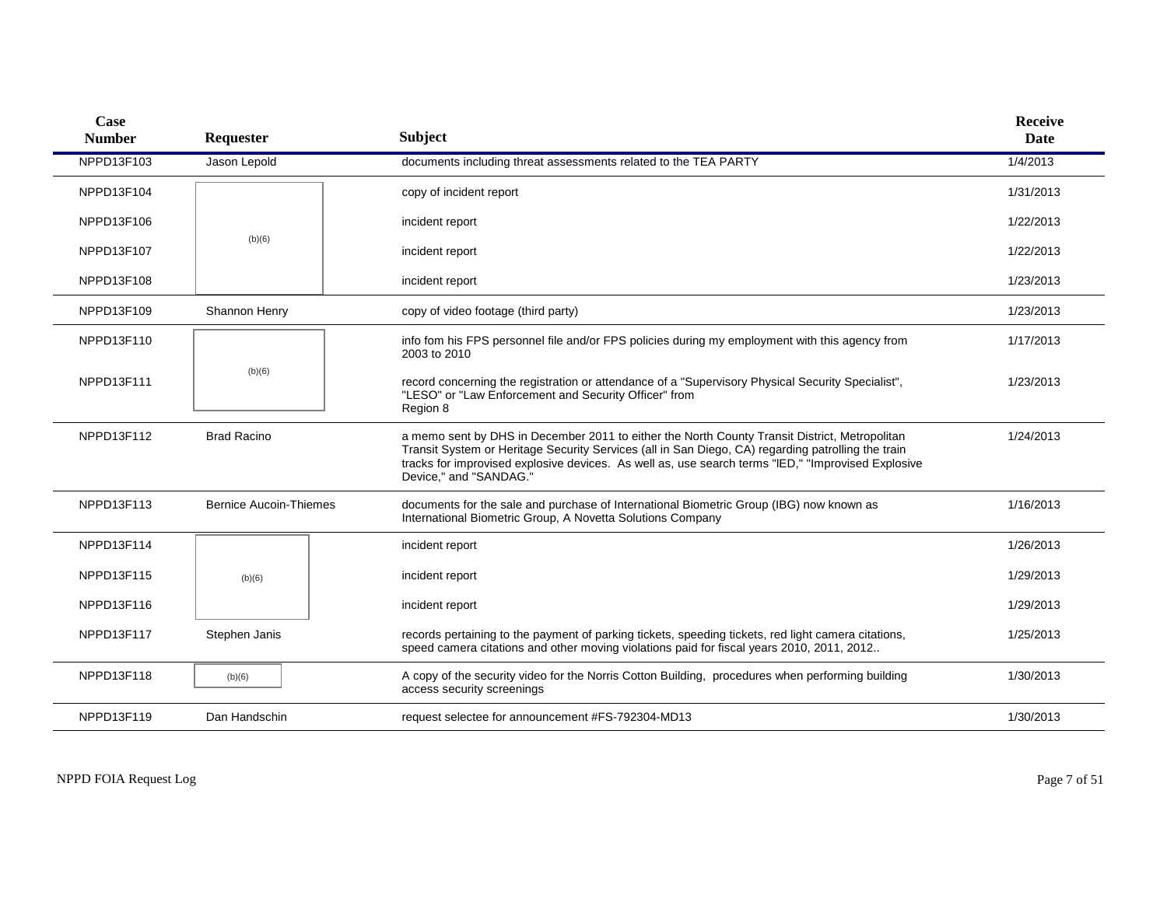| <b>Case</b><br><b>Number</b> | Requester                     | <b>Subject</b>                                                                                                                                                                                                                                                                                                                      | <b>Receive</b><br>Date |
|------------------------------|-------------------------------|-------------------------------------------------------------------------------------------------------------------------------------------------------------------------------------------------------------------------------------------------------------------------------------------------------------------------------------|------------------------|
| NPPD13F103                   | Jason Lepold                  | documents including threat assessments related to the TEA PARTY                                                                                                                                                                                                                                                                     | 1/4/2013               |
| NPPD13F104                   |                               | copy of incident report                                                                                                                                                                                                                                                                                                             | 1/31/2013              |
| NPPD13F106                   |                               | incident report                                                                                                                                                                                                                                                                                                                     | 1/22/2013              |
| NPPD13F107                   | (b)(6)                        | incident report                                                                                                                                                                                                                                                                                                                     | 1/22/2013              |
| NPPD13F108                   |                               | incident report                                                                                                                                                                                                                                                                                                                     | 1/23/2013              |
| NPPD13F109                   | Shannon Henry                 | copy of video footage (third party)                                                                                                                                                                                                                                                                                                 | 1/23/2013              |
| NPPD13F110                   |                               | info fom his FPS personnel file and/or FPS policies during my employment with this agency from<br>2003 to 2010                                                                                                                                                                                                                      | 1/17/2013              |
| NPPD13F111                   | (b)(6)                        | record concerning the registration or attendance of a "Supervisory Physical Security Specialist",<br>"LESO" or "Law Enforcement and Security Officer" from<br>Region 8                                                                                                                                                              | 1/23/2013              |
| NPPD13F112                   | <b>Brad Racino</b>            | a memo sent by DHS in December 2011 to either the North County Transit District, Metropolitan<br>Transit System or Heritage Security Services (all in San Diego, CA) regarding patrolling the train<br>tracks for improvised explosive devices. As well as, use search terms "IED," "Improvised Explosive<br>Device," and "SANDAG." | 1/24/2013              |
| NPPD13F113                   | <b>Bernice Aucoin-Thiemes</b> | documents for the sale and purchase of International Biometric Group (IBG) now known as<br>International Biometric Group, A Novetta Solutions Company                                                                                                                                                                               | 1/16/2013              |
| NPPD13F114                   |                               | incident report                                                                                                                                                                                                                                                                                                                     | 1/26/2013              |
| NPPD13F115                   | (b)(6)                        | incident report                                                                                                                                                                                                                                                                                                                     | 1/29/2013              |
| NPPD13F116                   |                               | incident report                                                                                                                                                                                                                                                                                                                     | 1/29/2013              |
| NPPD13F117                   | Stephen Janis                 | records pertaining to the payment of parking tickets, speeding tickets, red light camera citations,<br>speed camera citations and other moving violations paid for fiscal years 2010, 2011, 2012                                                                                                                                    | 1/25/2013              |
| NPPD13F118                   | (b)(6)                        | A copy of the security video for the Norris Cotton Building, procedures when performing building<br>access security screenings                                                                                                                                                                                                      | 1/30/2013              |
| NPPD13F119                   | Dan Handschin                 | request selectee for announcement #FS-792304-MD13                                                                                                                                                                                                                                                                                   | 1/30/2013              |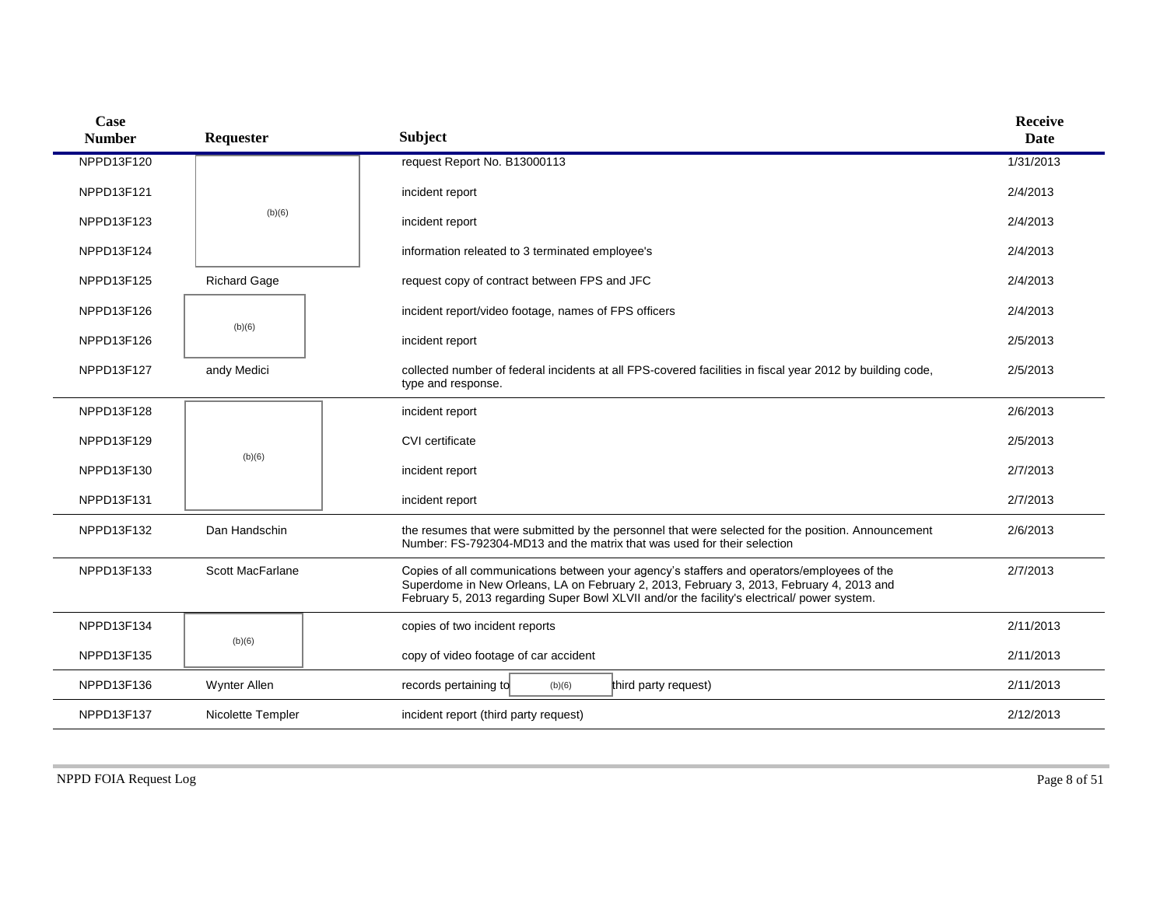| Case<br><b>Number</b> | Requester           | <b>Subject</b>                                                                                                                                                                                                                                                                        | <b>Receive</b><br><b>Date</b> |
|-----------------------|---------------------|---------------------------------------------------------------------------------------------------------------------------------------------------------------------------------------------------------------------------------------------------------------------------------------|-------------------------------|
| NPPD13F120            |                     | request Report No. B13000113                                                                                                                                                                                                                                                          | 1/31/2013                     |
| NPPD13F121            |                     | incident report                                                                                                                                                                                                                                                                       | 2/4/2013                      |
| NPPD13F123            | (b)(6)              | incident report                                                                                                                                                                                                                                                                       | 2/4/2013                      |
| NPPD13F124            |                     | information releated to 3 terminated employee's                                                                                                                                                                                                                                       | 2/4/2013                      |
| NPPD13F125            | <b>Richard Gage</b> | request copy of contract between FPS and JFC                                                                                                                                                                                                                                          | 2/4/2013                      |
| NPPD13F126            |                     | incident report/video footage, names of FPS officers                                                                                                                                                                                                                                  | 2/4/2013                      |
| NPPD13F126            | (b)(6)              | incident report                                                                                                                                                                                                                                                                       | 2/5/2013                      |
| NPPD13F127            | andy Medici         | collected number of federal incidents at all FPS-covered facilities in fiscal year 2012 by building code,<br>type and response.                                                                                                                                                       | 2/5/2013                      |
| NPPD13F128            |                     | incident report                                                                                                                                                                                                                                                                       | 2/6/2013                      |
| NPPD13F129            | (b)(6)              | CVI certificate                                                                                                                                                                                                                                                                       | 2/5/2013                      |
| NPPD13F130            |                     | incident report                                                                                                                                                                                                                                                                       | 2/7/2013                      |
| NPPD13F131            |                     | incident report                                                                                                                                                                                                                                                                       | 2/7/2013                      |
| NPPD13F132            | Dan Handschin       | the resumes that were submitted by the personnel that were selected for the position. Announcement<br>Number: FS-792304-MD13 and the matrix that was used for their selection                                                                                                         | 2/6/2013                      |
| NPPD13F133            | Scott MacFarlane    | Copies of all communications between your agency's staffers and operators/employees of the<br>Superdome in New Orleans, LA on February 2, 2013, February 3, 2013, February 4, 2013 and<br>February 5, 2013 regarding Super Bowl XLVII and/or the facility's electrical/ power system. | 2/7/2013                      |
| NPPD13F134            |                     | copies of two incident reports                                                                                                                                                                                                                                                        | 2/11/2013                     |
| NPPD13F135            | (b)(6)              | copy of video footage of car accident                                                                                                                                                                                                                                                 | 2/11/2013                     |
| NPPD13F136            | <b>Wynter Allen</b> | records pertaining to<br>(b)(6)<br>third party request)                                                                                                                                                                                                                               | 2/11/2013                     |
| NPPD13F137            | Nicolette Templer   | incident report (third party request)                                                                                                                                                                                                                                                 | 2/12/2013                     |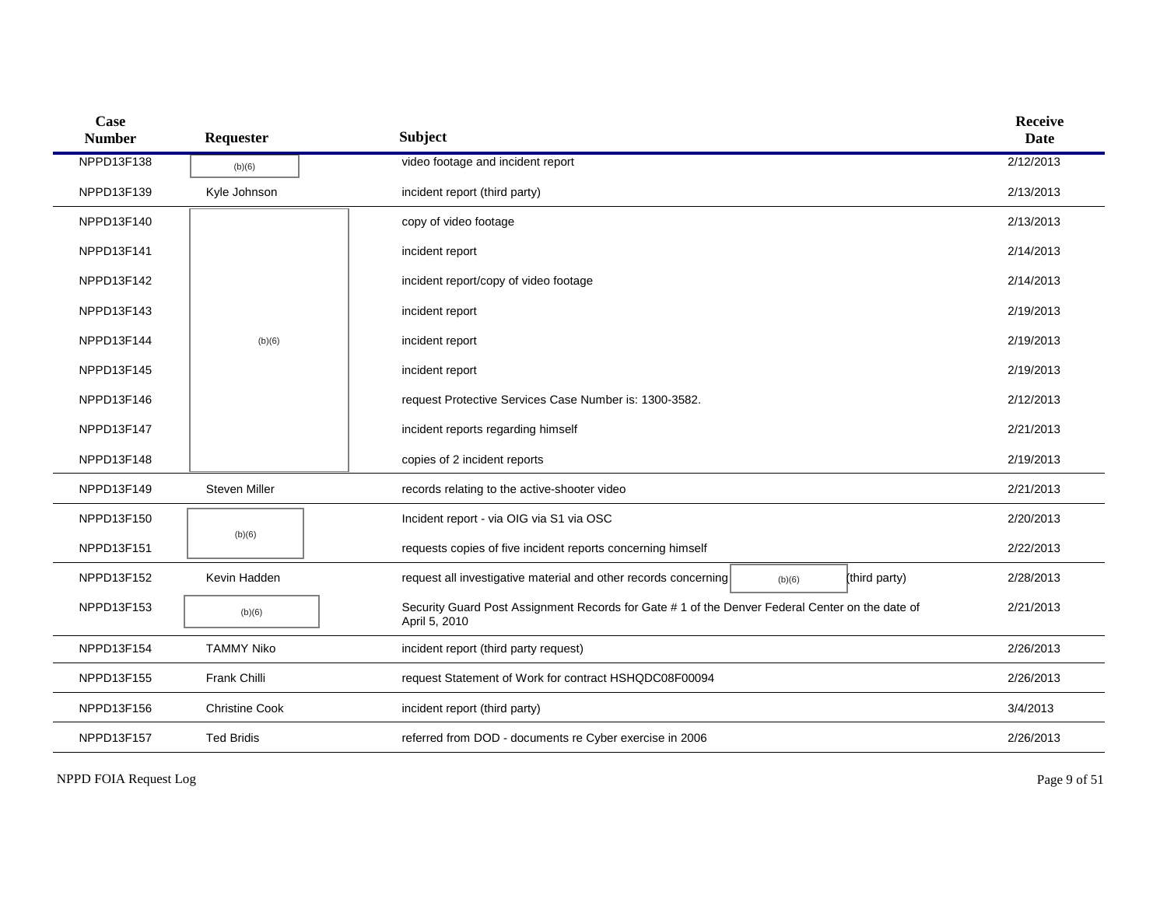| Case<br><b>Number</b> | Requester             | <b>Subject</b>                                                                                                   | <b>Receive</b><br><b>Date</b> |
|-----------------------|-----------------------|------------------------------------------------------------------------------------------------------------------|-------------------------------|
| NPPD13F138            | (b)(6)                | video footage and incident report                                                                                | 2/12/2013                     |
| NPPD13F139            | Kyle Johnson          | incident report (third party)                                                                                    | 2/13/2013                     |
| NPPD13F140            |                       | copy of video footage                                                                                            | 2/13/2013                     |
| NPPD13F141            |                       | incident report                                                                                                  | 2/14/2013                     |
| NPPD13F142            |                       | incident report/copy of video footage                                                                            | 2/14/2013                     |
| NPPD13F143            |                       | incident report                                                                                                  | 2/19/2013                     |
| NPPD13F144            | (b)(6)                | incident report                                                                                                  | 2/19/2013                     |
| NPPD13F145            |                       | incident report                                                                                                  | 2/19/2013                     |
| NPPD13F146            |                       | request Protective Services Case Number is: 1300-3582.                                                           | 2/12/2013                     |
| NPPD13F147            |                       | incident reports regarding himself                                                                               | 2/21/2013                     |
| NPPD13F148            |                       | copies of 2 incident reports                                                                                     | 2/19/2013                     |
| NPPD13F149            | <b>Steven Miller</b>  | records relating to the active-shooter video                                                                     | 2/21/2013                     |
| NPPD13F150            |                       | Incident report - via OIG via S1 via OSC                                                                         | 2/20/2013                     |
| NPPD13F151            | (b)(6)                | requests copies of five incident reports concerning himself                                                      | 2/22/2013                     |
| NPPD13F152            | Kevin Hadden          | request all investigative material and other records concerning<br>(third party)<br>(b)(6)                       | 2/28/2013                     |
| NPPD13F153            | (b)(6)                | Security Guard Post Assignment Records for Gate # 1 of the Denver Federal Center on the date of<br>April 5, 2010 | 2/21/2013                     |
| NPPD13F154            | <b>TAMMY Niko</b>     | incident report (third party request)                                                                            | 2/26/2013                     |
| NPPD13F155            | Frank Chilli          | request Statement of Work for contract HSHQDC08F00094                                                            | 2/26/2013                     |
| NPPD13F156            | <b>Christine Cook</b> | incident report (third party)                                                                                    | 3/4/2013                      |
| NPPD13F157            | <b>Ted Bridis</b>     | referred from DOD - documents re Cyber exercise in 2006                                                          | 2/26/2013                     |

NPPD FOIA Request Log Page 9 of 51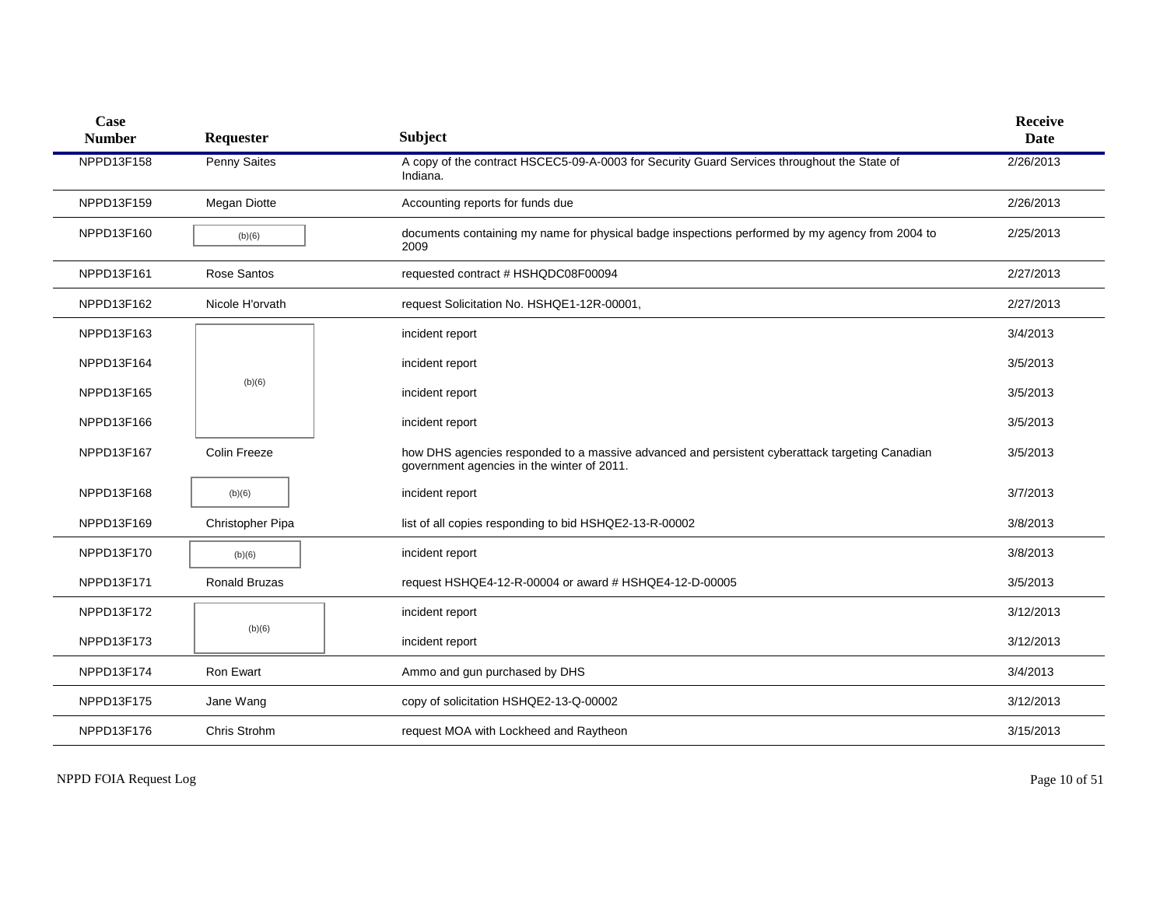| Case<br><b>Number</b> | Requester            | <b>Subject</b>                                                                                                                               | <b>Receive</b><br><b>Date</b> |
|-----------------------|----------------------|----------------------------------------------------------------------------------------------------------------------------------------------|-------------------------------|
| NPPD13F158            | Penny Saites         | A copy of the contract HSCEC5-09-A-0003 for Security Guard Services throughout the State of<br>Indiana.                                      | 2/26/2013                     |
| NPPD13F159            | Megan Diotte         | Accounting reports for funds due                                                                                                             | 2/26/2013                     |
| NPPD13F160            | (b)(6)               | documents containing my name for physical badge inspections performed by my agency from 2004 to<br>2009                                      | 2/25/2013                     |
| NPPD13F161            | Rose Santos          | requested contract # HSHQDC08F00094                                                                                                          | 2/27/2013                     |
| NPPD13F162            | Nicole H'orvath      | request Solicitation No. HSHQE1-12R-00001,                                                                                                   | 2/27/2013                     |
| NPPD13F163            |                      | incident report                                                                                                                              | 3/4/2013                      |
| NPPD13F164            |                      | incident report                                                                                                                              | 3/5/2013                      |
| NPPD13F165            | (b)(6)               | incident report                                                                                                                              | 3/5/2013                      |
| NPPD13F166            |                      | incident report                                                                                                                              | 3/5/2013                      |
| NPPD13F167            | Colin Freeze         | how DHS agencies responded to a massive advanced and persistent cyberattack targeting Canadian<br>government agencies in the winter of 2011. | 3/5/2013                      |
| NPPD13F168            | (b)(6)               | incident report                                                                                                                              | 3/7/2013                      |
| NPPD13F169            | Christopher Pipa     | list of all copies responding to bid HSHQE2-13-R-00002                                                                                       | 3/8/2013                      |
| NPPD13F170            | (b)(6)               | incident report                                                                                                                              | 3/8/2013                      |
| NPPD13F171            | <b>Ronald Bruzas</b> | request HSHQE4-12-R-00004 or award # HSHQE4-12-D-00005                                                                                       | 3/5/2013                      |
| NPPD13F172            |                      | incident report                                                                                                                              | 3/12/2013                     |
| NPPD13F173            | (b)(6)               | incident report                                                                                                                              | 3/12/2013                     |
| NPPD13F174            | Ron Ewart            | Ammo and gun purchased by DHS                                                                                                                | 3/4/2013                      |
| NPPD13F175            | Jane Wang            | copy of solicitation HSHQE2-13-Q-00002                                                                                                       | 3/12/2013                     |
| NPPD13F176            | Chris Strohm         | request MOA with Lockheed and Raytheon                                                                                                       | 3/15/2013                     |

NPPD FOIA Request Log Page 10 of 51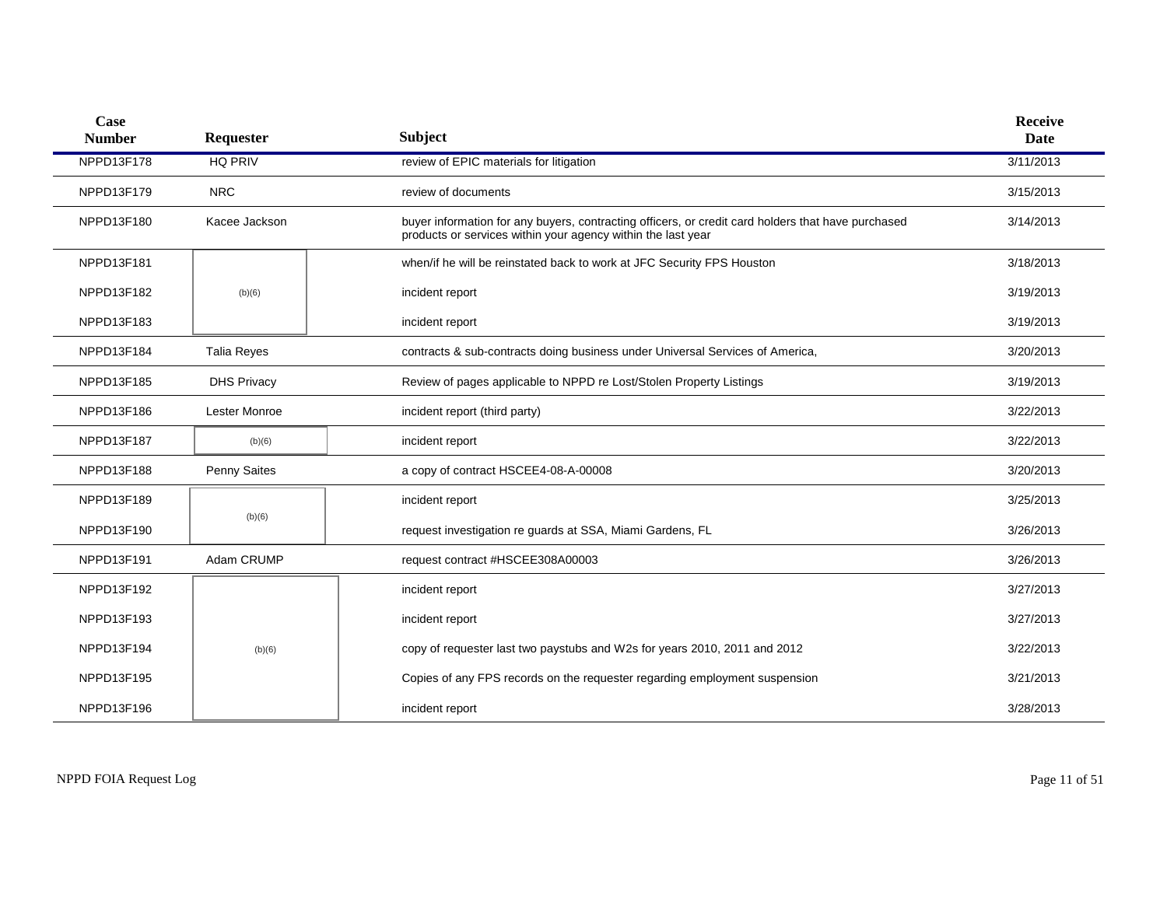| Case<br><b>Number</b> | Requester          | <b>Subject</b>                                                                                                                                                     | <b>Receive</b><br>Date |
|-----------------------|--------------------|--------------------------------------------------------------------------------------------------------------------------------------------------------------------|------------------------|
| NPPD13F178            | <b>HQ PRIV</b>     | review of EPIC materials for litigation                                                                                                                            | 3/11/2013              |
| NPPD13F179            | <b>NRC</b>         | review of documents                                                                                                                                                | 3/15/2013              |
| NPPD13F180            | Kacee Jackson      | buyer information for any buyers, contracting officers, or credit card holders that have purchased<br>products or services within your agency within the last year | 3/14/2013              |
| NPPD13F181            |                    | when/if he will be reinstated back to work at JFC Security FPS Houston                                                                                             | 3/18/2013              |
| NPPD13F182            | (b)(6)             | incident report                                                                                                                                                    | 3/19/2013              |
| NPPD13F183            |                    | incident report                                                                                                                                                    | 3/19/2013              |
| NPPD13F184            | <b>Talia Reves</b> | contracts & sub-contracts doing business under Universal Services of America,                                                                                      | 3/20/2013              |
| NPPD13F185            | <b>DHS Privacy</b> | Review of pages applicable to NPPD re Lost/Stolen Property Listings                                                                                                | 3/19/2013              |
| NPPD13F186            | Lester Monroe      | incident report (third party)                                                                                                                                      | 3/22/2013              |
| NPPD13F187            | (b)(6)             | incident report                                                                                                                                                    | 3/22/2013              |
| NPPD13F188            | Penny Saites       | a copy of contract HSCEE4-08-A-00008                                                                                                                               | 3/20/2013              |
| NPPD13F189            |                    | incident report                                                                                                                                                    | 3/25/2013              |
| NPPD13F190            | (b)(6)             | request investigation re guards at SSA, Miami Gardens, FL                                                                                                          | 3/26/2013              |
| NPPD13F191            | Adam CRUMP         | request contract #HSCEE308A00003                                                                                                                                   | 3/26/2013              |
| NPPD13F192            |                    | incident report                                                                                                                                                    | 3/27/2013              |
| NPPD13F193            |                    | incident report                                                                                                                                                    | 3/27/2013              |
| NPPD13F194            | (b)(6)             | copy of requester last two paystubs and W2s for years 2010, 2011 and 2012                                                                                          | 3/22/2013              |
| NPPD13F195            |                    | Copies of any FPS records on the requester regarding employment suspension                                                                                         | 3/21/2013              |
| NPPD13F196            |                    | incident report                                                                                                                                                    | 3/28/2013              |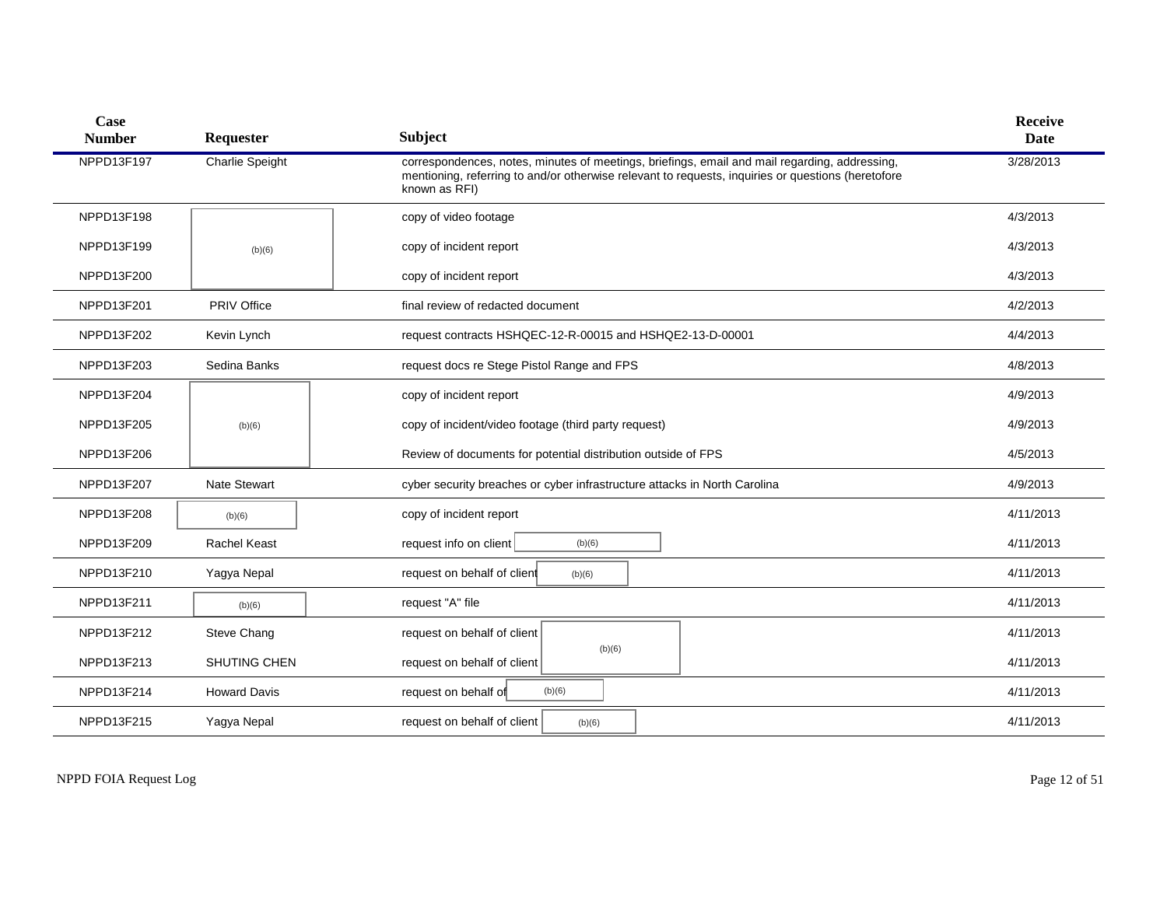| Case<br><b>Number</b> | Requester              | <b>Subject</b>                                                                                                                                                                                                       | <b>Receive</b><br><b>Date</b> |
|-----------------------|------------------------|----------------------------------------------------------------------------------------------------------------------------------------------------------------------------------------------------------------------|-------------------------------|
| NPPD13F197            | <b>Charlie Speight</b> | correspondences, notes, minutes of meetings, briefings, email and mail regarding, addressing,<br>mentioning, referring to and/or otherwise relevant to requests, inquiries or questions (heretofore<br>known as RFI) | 3/28/2013                     |
| NPPD13F198            |                        | copy of video footage                                                                                                                                                                                                | 4/3/2013                      |
| NPPD13F199            | (b)(6)                 | copy of incident report                                                                                                                                                                                              | 4/3/2013                      |
| NPPD13F200            |                        | copy of incident report                                                                                                                                                                                              | 4/3/2013                      |
| NPPD13F201            | <b>PRIV Office</b>     | final review of redacted document                                                                                                                                                                                    | 4/2/2013                      |
| NPPD13F202            | Kevin Lynch            | request contracts HSHQEC-12-R-00015 and HSHQE2-13-D-00001                                                                                                                                                            | 4/4/2013                      |
| NPPD13F203            | Sedina Banks           | request docs re Stege Pistol Range and FPS                                                                                                                                                                           | 4/8/2013                      |
| NPPD13F204            |                        | copy of incident report                                                                                                                                                                                              | 4/9/2013                      |
| NPPD13F205            | (b)(6)                 | copy of incident/video footage (third party request)                                                                                                                                                                 | 4/9/2013                      |
| NPPD13F206            |                        | Review of documents for potential distribution outside of FPS                                                                                                                                                        | 4/5/2013                      |
| NPPD13F207            | <b>Nate Stewart</b>    | cyber security breaches or cyber infrastructure attacks in North Carolina                                                                                                                                            | 4/9/2013                      |
| NPPD13F208            | (b)(6)                 | copy of incident report                                                                                                                                                                                              | 4/11/2013                     |
| NPPD13F209            | <b>Rachel Keast</b>    | request info on client<br>(b)(6)                                                                                                                                                                                     | 4/11/2013                     |
| NPPD13F210            | Yagya Nepal            | request on behalf of client<br>(b)(6)                                                                                                                                                                                | 4/11/2013                     |
| NPPD13F211            | (b)(6)                 | request "A" file                                                                                                                                                                                                     | 4/11/2013                     |
| NPPD13F212            | Steve Chang            | request on behalf of client                                                                                                                                                                                          | 4/11/2013                     |
| NPPD13F213            | SHUTING CHEN           | (b)(6)<br>request on behalf of client                                                                                                                                                                                | 4/11/2013                     |
| NPPD13F214            | <b>Howard Davis</b>    | request on behalf of<br>(b)(6)                                                                                                                                                                                       | 4/11/2013                     |
| NPPD13F215            | Yagya Nepal            | request on behalf of client<br>(b)(6)                                                                                                                                                                                | 4/11/2013                     |

NPPD FOIA Request Log Page 12 of 51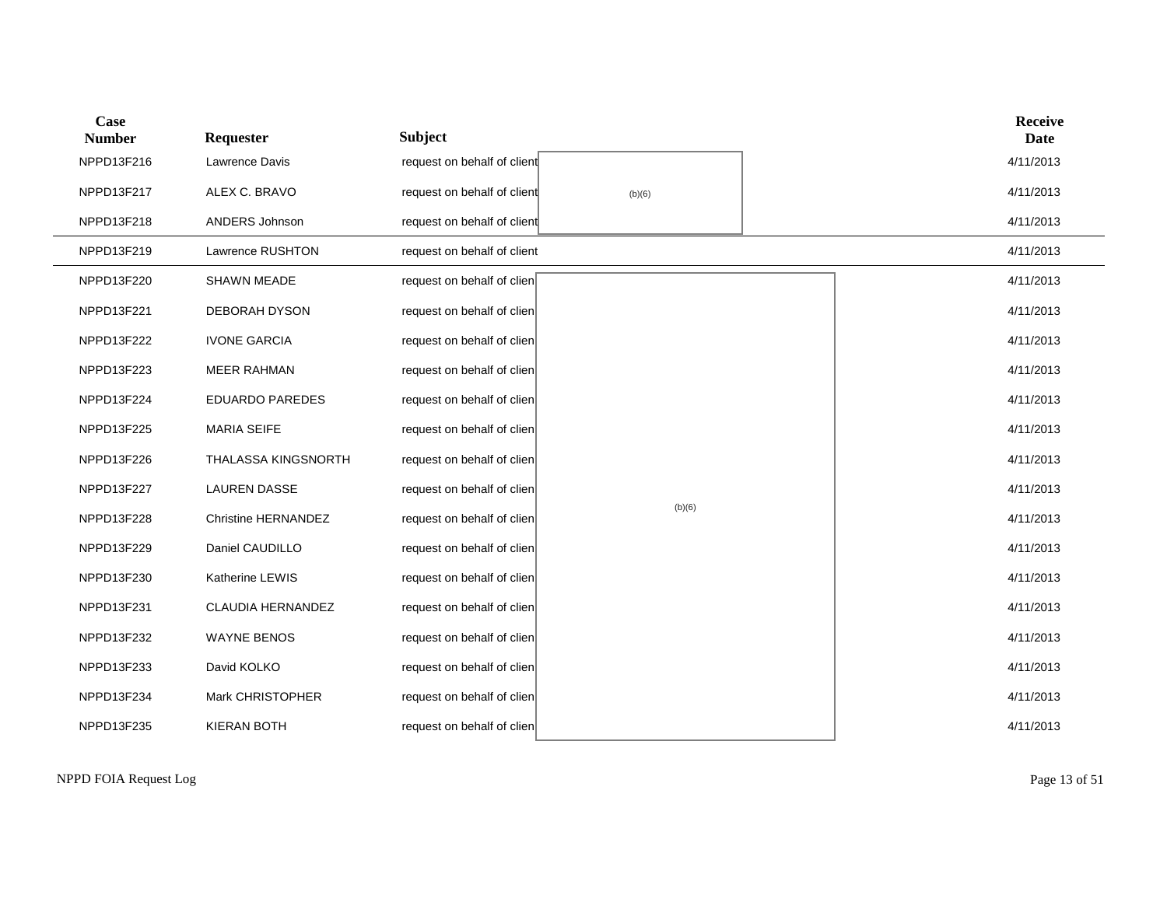| Case<br><b>Number</b> | Requester              | <b>Subject</b>              |        |  | <b>Receive</b><br>Date |
|-----------------------|------------------------|-----------------------------|--------|--|------------------------|
| NPPD13F216            | Lawrence Davis         | request on behalf of client |        |  | 4/11/2013              |
| NPPD13F217            | ALEX C. BRAVO          | request on behalf of client | (b)(6) |  | 4/11/2013              |
| NPPD13F218            | ANDERS Johnson         | request on behalf of client |        |  | 4/11/2013              |
| NPPD13F219            | Lawrence RUSHTON       | request on behalf of client |        |  | 4/11/2013              |
| NPPD13F220            | <b>SHAWN MEADE</b>     | request on behalf of clien  |        |  | 4/11/2013              |
| NPPD13F221            | <b>DEBORAH DYSON</b>   | request on behalf of clien  |        |  | 4/11/2013              |
| NPPD13F222            | <b>IVONE GARCIA</b>    | request on behalf of clien  |        |  | 4/11/2013              |
| NPPD13F223            | <b>MEER RAHMAN</b>     | request on behalf of clien  |        |  | 4/11/2013              |
| NPPD13F224            | <b>EDUARDO PAREDES</b> | request on behalf of clien  |        |  | 4/11/2013              |
| NPPD13F225            | <b>MARIA SEIFE</b>     | request on behalf of clien  |        |  | 4/11/2013              |
| NPPD13F226            | THALASSA KINGSNORTH    | request on behalf of clien  |        |  | 4/11/2013              |
| NPPD13F227            | <b>LAUREN DASSE</b>    | request on behalf of clien  |        |  | 4/11/2013              |
| NPPD13F228            | Christine HERNANDEZ    | request on behalf of clien  | (b)(6) |  | 4/11/2013              |
| NPPD13F229            | Daniel CAUDILLO        | request on behalf of clien  |        |  | 4/11/2013              |
| NPPD13F230            | Katherine LEWIS        | request on behalf of clien  |        |  | 4/11/2013              |
| NPPD13F231            | CLAUDIA HERNANDEZ      | request on behalf of clien  |        |  | 4/11/2013              |
| NPPD13F232            | <b>WAYNE BENOS</b>     | request on behalf of clien  |        |  | 4/11/2013              |
| NPPD13F233            | David KOLKO            | request on behalf of clien  |        |  | 4/11/2013              |
| NPPD13F234            | Mark CHRISTOPHER       | request on behalf of clien  |        |  | 4/11/2013              |
| NPPD13F235            | <b>KIERAN BOTH</b>     | request on behalf of clien  |        |  | 4/11/2013              |

NPPD FOIA Request Log Page 13 of 51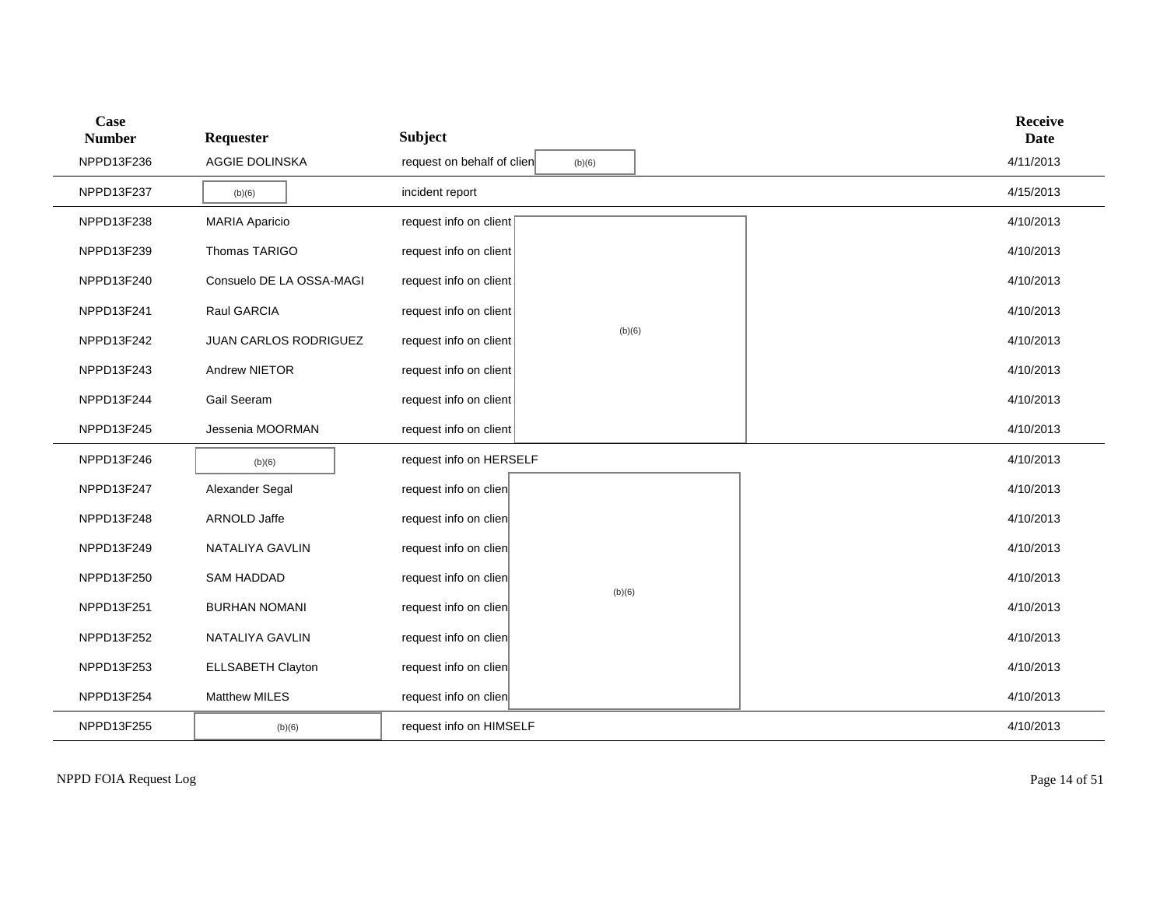| Case<br><b>Number</b> | Requester                | <b>Subject</b>             |        |           | <b>Receive</b><br><b>Date</b> |
|-----------------------|--------------------------|----------------------------|--------|-----------|-------------------------------|
| NPPD13F236            | AGGIE DOLINSKA           | request on behalf of clien | (b)(6) |           | 4/11/2013                     |
| NPPD13F237            | (b)(6)                   | incident report            |        |           | 4/15/2013                     |
| NPPD13F238            | <b>MARIA Aparicio</b>    | request info on client     |        |           | 4/10/2013                     |
| NPPD13F239            | Thomas TARIGO            | request info on client     |        |           | 4/10/2013                     |
| NPPD13F240            | Consuelo DE LA OSSA-MAGI | request info on client     |        |           | 4/10/2013                     |
| NPPD13F241            | Raul GARCIA              | request info on client     |        |           | 4/10/2013                     |
| NPPD13F242            | JUAN CARLOS RODRIGUEZ    | request info on client     | (b)(6) |           | 4/10/2013                     |
| NPPD13F243            | Andrew NIETOR            | request info on client     |        |           | 4/10/2013                     |
| NPPD13F244            | Gail Seeram              | request info on client     |        | 4/10/2013 |                               |
| NPPD13F245            | Jessenia MOORMAN         | request info on client     |        |           | 4/10/2013                     |
| NPPD13F246            | (b)(6)                   | request info on HERSELF    |        |           | 4/10/2013                     |
| NPPD13F247            | Alexander Segal          | request info on clien      |        |           | 4/10/2013                     |
| NPPD13F248            | ARNOLD Jaffe             | request info on clien      |        |           | 4/10/2013                     |
| NPPD13F249            | NATALIYA GAVLIN          | request info on clien      |        |           | 4/10/2013                     |
| NPPD13F250            | <b>SAM HADDAD</b>        | request info on clien      | (b)(6) |           | 4/10/2013                     |
| NPPD13F251            | <b>BURHAN NOMANI</b>     | request info on clien      |        |           | 4/10/2013                     |
| NPPD13F252            | NATALIYA GAVLIN          | request info on clien      |        |           | 4/10/2013                     |
| NPPD13F253            | <b>ELLSABETH Clayton</b> | request info on clien      |        |           | 4/10/2013                     |
| NPPD13F254            | <b>Matthew MILES</b>     | request info on clien      |        |           | 4/10/2013                     |
| NPPD13F255            | (b)(6)                   | request info on HIMSELF    |        |           | 4/10/2013                     |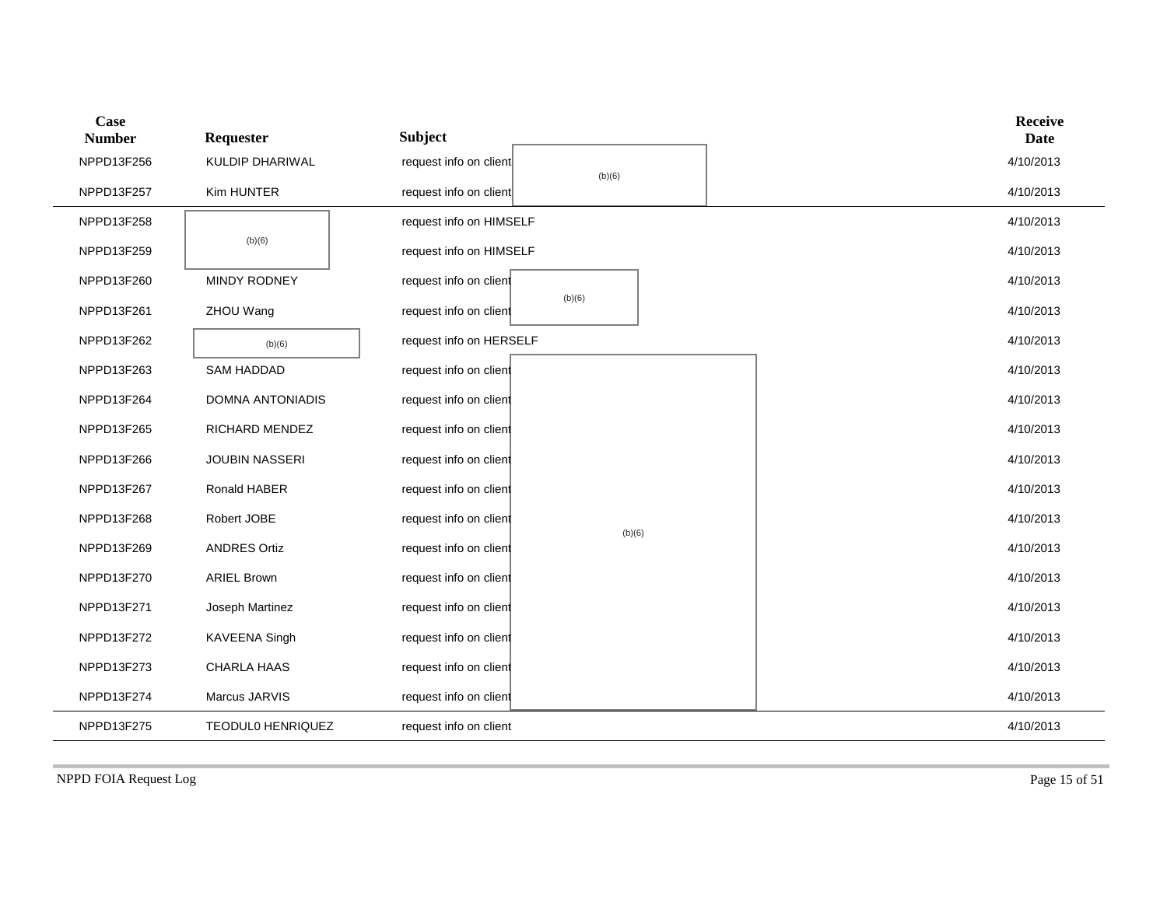| <b>Case</b><br><b>Number</b> | Requester                | <b>Subject</b>                   | <b>Receive</b><br><b>Date</b> |
|------------------------------|--------------------------|----------------------------------|-------------------------------|
| NPPD13F256                   | <b>KULDIP DHARIWAL</b>   | request info on client           | 4/10/2013                     |
| NPPD13F257                   | Kim HUNTER               | (b)(6)<br>request info on client | 4/10/2013                     |
| NPPD13F258                   |                          | request info on HIMSELF          | 4/10/2013                     |
| NPPD13F259                   | (b)(6)                   | request info on HIMSELF          | 4/10/2013                     |
| NPPD13F260                   | MINDY RODNEY             | request info on client           | 4/10/2013                     |
| NPPD13F261                   | ZHOU Wang                | (b)(6)<br>request info on client | 4/10/2013                     |
| NPPD13F262                   | (b)(6)                   | request info on HERSELF          | 4/10/2013                     |
| NPPD13F263                   | <b>SAM HADDAD</b>        | request info on client           | 4/10/2013                     |
| NPPD13F264                   | DOMNA ANTONIADIS         | request info on client           | 4/10/2013                     |
| NPPD13F265                   | RICHARD MENDEZ           | request info on client           | 4/10/2013                     |
| NPPD13F266                   | <b>JOUBIN NASSERI</b>    | request info on client           | 4/10/2013                     |
| NPPD13F267                   | Ronald HABER             | request info on client           | 4/10/2013                     |
| NPPD13F268                   | Robert JOBE              | request info on client           | 4/10/2013                     |
| NPPD13F269                   | <b>ANDRES Ortiz</b>      | (b)(6)<br>request info on client | 4/10/2013                     |
| NPPD13F270                   | <b>ARIEL Brown</b>       | request info on client           | 4/10/2013                     |
| NPPD13F271                   | Joseph Martinez          | request info on client           | 4/10/2013                     |
| NPPD13F272                   | KAVEENA Singh            | request info on client           | 4/10/2013                     |
| NPPD13F273                   | CHARLA HAAS              | request info on client           | 4/10/2013                     |
| NPPD13F274                   | Marcus JARVIS            | request info on client           | 4/10/2013                     |
| NPPD13F275                   | <b>TEODULO HENRIQUEZ</b> | request info on client           | 4/10/2013                     |

NPPD FOIA Request Log Page 15 of 51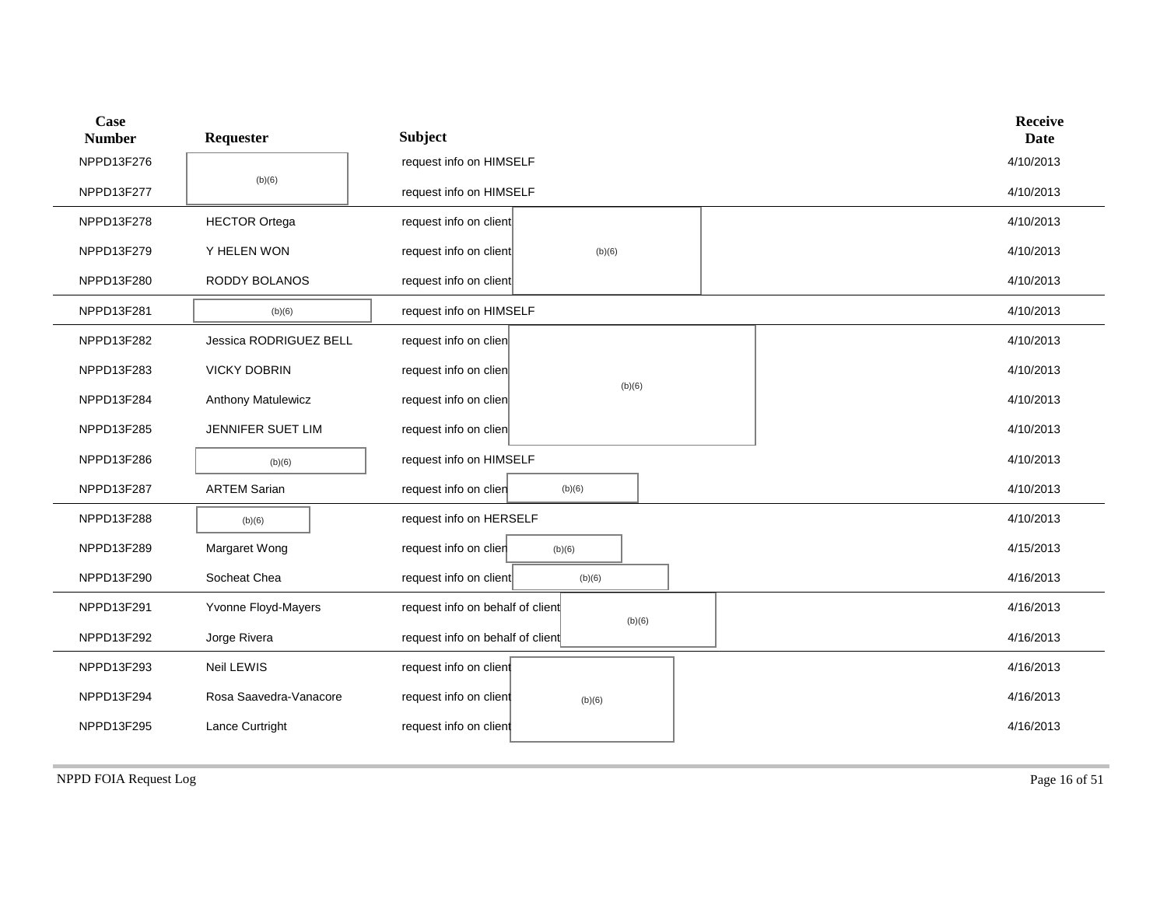| Case<br><b>Number</b> | Requester                 | <b>Subject</b>                   |        |        |  | <b>Receive</b><br><b>Date</b> |  |
|-----------------------|---------------------------|----------------------------------|--------|--------|--|-------------------------------|--|
| NPPD13F276            |                           | request info on HIMSELF          |        |        |  | 4/10/2013                     |  |
| NPPD13F277            | (b)(6)                    | request info on HIMSELF          |        |        |  | 4/10/2013                     |  |
| NPPD13F278            | <b>HECTOR Ortega</b>      | request info on client           |        |        |  | 4/10/2013                     |  |
| NPPD13F279            | Y HELEN WON               | request info on client           | (b)(6) |        |  | 4/10/2013                     |  |
| NPPD13F280            | RODDY BOLANOS             | request info on client           |        |        |  | 4/10/2013                     |  |
| NPPD13F281            | (b)(6)                    | request info on HIMSELF          |        |        |  | 4/10/2013                     |  |
| NPPD13F282            | Jessica RODRIGUEZ BELL    | request info on clien            |        |        |  | 4/10/2013                     |  |
| NPPD13F283            | <b>VICKY DOBRIN</b>       | request info on clien            |        |        |  | 4/10/2013                     |  |
| NPPD13F284            | <b>Anthony Matulewicz</b> | request info on clien            |        | (b)(6) |  |                               |  |
| NPPD13F285            | JENNIFER SUET LIM         | request info on clien            |        |        |  | 4/10/2013                     |  |
| NPPD13F286            | (b)(6)                    | request info on HIMSELF          |        |        |  | 4/10/2013                     |  |
| NPPD13F287            | <b>ARTEM Sarian</b>       | request info on clien            | (b)(6) |        |  | 4/10/2013                     |  |
| NPPD13F288            | (b)(6)                    | request info on HERSELF          |        |        |  | 4/10/2013                     |  |
| NPPD13F289            | Margaret Wong             | request info on clien            | (b)(6) |        |  | 4/15/2013                     |  |
| NPPD13F290            | Socheat Chea              | request info on client           | (b)(6) |        |  | 4/16/2013                     |  |
| NPPD13F291            | Yvonne Floyd-Mayers       | request info on behalf of client | (b)(6) |        |  | 4/16/2013                     |  |
| NPPD13F292            | Jorge Rivera              | request info on behalf of client |        |        |  | 4/16/2013                     |  |
| NPPD13F293            | Neil LEWIS                | request info on client           |        |        |  | 4/16/2013                     |  |
| NPPD13F294            | Rosa Saavedra-Vanacore    | request info on client           | (b)(6) |        |  | 4/16/2013                     |  |
| NPPD13F295            | Lance Curtright           | request info on client           |        |        |  | 4/16/2013                     |  |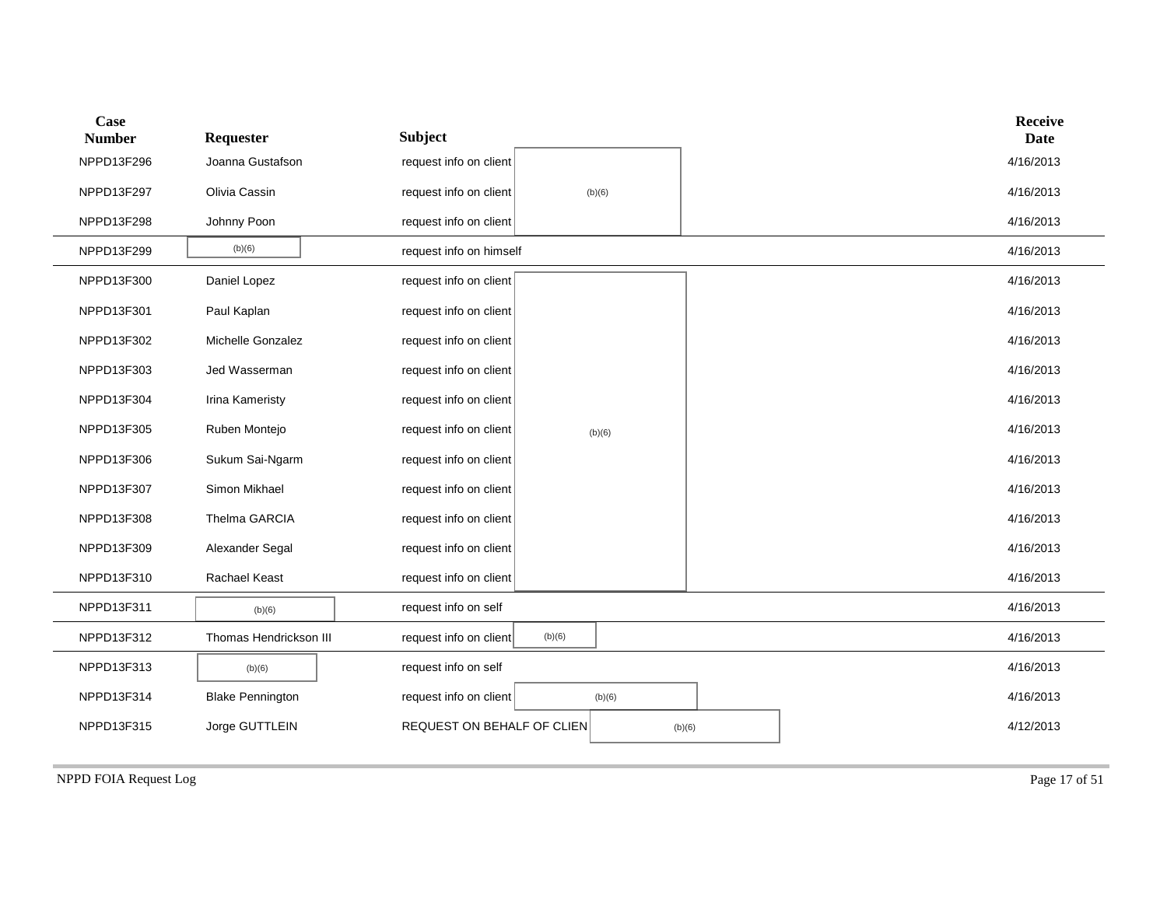| Case<br><b>Number</b> | Requester               | <b>Subject</b>                       | <b>Receive</b><br><b>Date</b> |
|-----------------------|-------------------------|--------------------------------------|-------------------------------|
| NPPD13F296            | Joanna Gustafson        | request info on client               | 4/16/2013                     |
| NPPD13F297            | Olivia Cassin           | request info on client<br>(b)(6)     | 4/16/2013                     |
| NPPD13F298            | Johnny Poon             | request info on client               | 4/16/2013                     |
| NPPD13F299            | (b)(6)                  | request info on himself              | 4/16/2013                     |
| NPPD13F300            | Daniel Lopez            | request info on client               | 4/16/2013                     |
| NPPD13F301            | Paul Kaplan             | request info on client               | 4/16/2013                     |
| NPPD13F302            | Michelle Gonzalez       | request info on client               | 4/16/2013                     |
| NPPD13F303            | Jed Wasserman           | request info on client               | 4/16/2013                     |
| NPPD13F304            | Irina Kameristy         | request info on client               | 4/16/2013                     |
| NPPD13F305            | Ruben Montejo           | request info on client<br>(b)(6)     | 4/16/2013                     |
| NPPD13F306            | Sukum Sai-Ngarm         | request info on client               | 4/16/2013                     |
| NPPD13F307            | Simon Mikhael           | request info on client               | 4/16/2013                     |
| NPPD13F308            | Thelma GARCIA           | request info on client               | 4/16/2013                     |
| NPPD13F309            | Alexander Segal         | request info on client               | 4/16/2013                     |
| NPPD13F310            | Rachael Keast           | request info on client               | 4/16/2013                     |
| NPPD13F311            | (b)(6)                  | request info on self                 | 4/16/2013                     |
| NPPD13F312            | Thomas Hendrickson III  | request info on client<br>(b)(6)     | 4/16/2013                     |
| NPPD13F313            | (b)(6)                  | request info on self                 | 4/16/2013                     |
| NPPD13F314            | <b>Blake Pennington</b> | request info on client<br>(b)(6)     | 4/16/2013                     |
| NPPD13F315            | Jorge GUTTLEIN          | REQUEST ON BEHALF OF CLIEN<br>(b)(6) | 4/12/2013                     |
|                       |                         |                                      |                               |

NPPD FOIA Request Log Page 17 of 51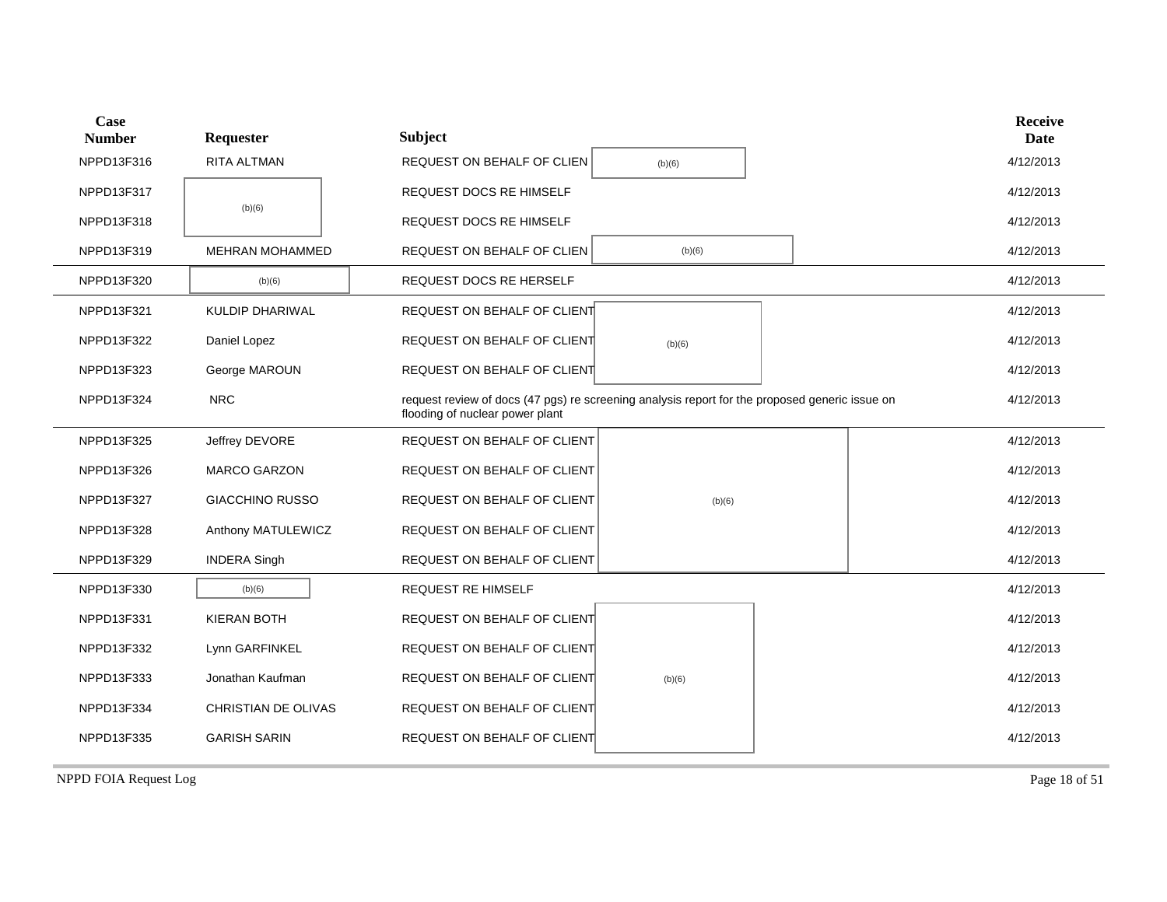| Case<br><b>Number</b> | Requester              | <b>Subject</b>                                                                                                                    |           |  |  | <b>Receive</b><br><b>Date</b> |
|-----------------------|------------------------|-----------------------------------------------------------------------------------------------------------------------------------|-----------|--|--|-------------------------------|
| NPPD13F316            | RITA ALTMAN            | REQUEST ON BEHALF OF CLIEN                                                                                                        | (b)(6)    |  |  | 4/12/2013                     |
| NPPD13F317            |                        | <b>REQUEST DOCS RE HIMSELF</b>                                                                                                    |           |  |  | 4/12/2013                     |
| NPPD13F318            | (b)(6)                 | REQUEST DOCS RE HIMSELF                                                                                                           |           |  |  | 4/12/2013                     |
| NPPD13F319            | MEHRAN MOHAMMED        | REQUEST ON BEHALF OF CLIEN                                                                                                        | (b)(6)    |  |  | 4/12/2013                     |
| NPPD13F320            | (b)(6)                 | REQUEST DOCS RE HERSELF                                                                                                           |           |  |  | 4/12/2013                     |
| NPPD13F321            | KULDIP DHARIWAL        | REQUEST ON BEHALF OF CLIENT                                                                                                       |           |  |  | 4/12/2013                     |
| NPPD13F322            | Daniel Lopez           | REQUEST ON BEHALF OF CLIENT                                                                                                       | (b)(6)    |  |  | 4/12/2013                     |
| NPPD13F323            | George MAROUN          | REQUEST ON BEHALF OF CLIENT                                                                                                       |           |  |  | 4/12/2013                     |
| NPPD13F324            | <b>NRC</b>             | request review of docs (47 pgs) re screening analysis report for the proposed generic issue on<br>flooding of nuclear power plant | 4/12/2013 |  |  |                               |
| NPPD13F325            | Jeffrey DEVORE         | REQUEST ON BEHALF OF CLIENT                                                                                                       |           |  |  | 4/12/2013                     |
| NPPD13F326            | <b>MARCO GARZON</b>    | REQUEST ON BEHALF OF CLIENT                                                                                                       |           |  |  | 4/12/2013                     |
| NPPD13F327            | <b>GIACCHINO RUSSO</b> | REQUEST ON BEHALF OF CLIENT                                                                                                       | (b)(6)    |  |  | 4/12/2013                     |
| NPPD13F328            | Anthony MATULEWICZ     | REQUEST ON BEHALF OF CLIENT                                                                                                       |           |  |  | 4/12/2013                     |
| NPPD13F329            | <b>INDERA Singh</b>    | REQUEST ON BEHALF OF CLIENT                                                                                                       |           |  |  | 4/12/2013                     |
| NPPD13F330            | (b)(6)                 | REQUEST RE HIMSELF                                                                                                                |           |  |  | 4/12/2013                     |
| NPPD13F331            | <b>KIERAN BOTH</b>     | REQUEST ON BEHALF OF CLIENT                                                                                                       |           |  |  | 4/12/2013                     |
| NPPD13F332            | Lynn GARFINKEL         | REQUEST ON BEHALF OF CLIENT                                                                                                       |           |  |  | 4/12/2013                     |
| NPPD13F333            | Jonathan Kaufman       | REQUEST ON BEHALF OF CLIENT                                                                                                       | (b)(6)    |  |  | 4/12/2013                     |
| NPPD13F334            | CHRISTIAN DE OLIVAS    | REQUEST ON BEHALF OF CLIENT                                                                                                       |           |  |  | 4/12/2013                     |
| NPPD13F335            | <b>GARISH SARIN</b>    | <b>REQUEST ON BEHALF OF CLIENT</b>                                                                                                |           |  |  | 4/12/2013                     |
|                       |                        |                                                                                                                                   |           |  |  |                               |

NPPD FOIA Request Log Page 18 of 51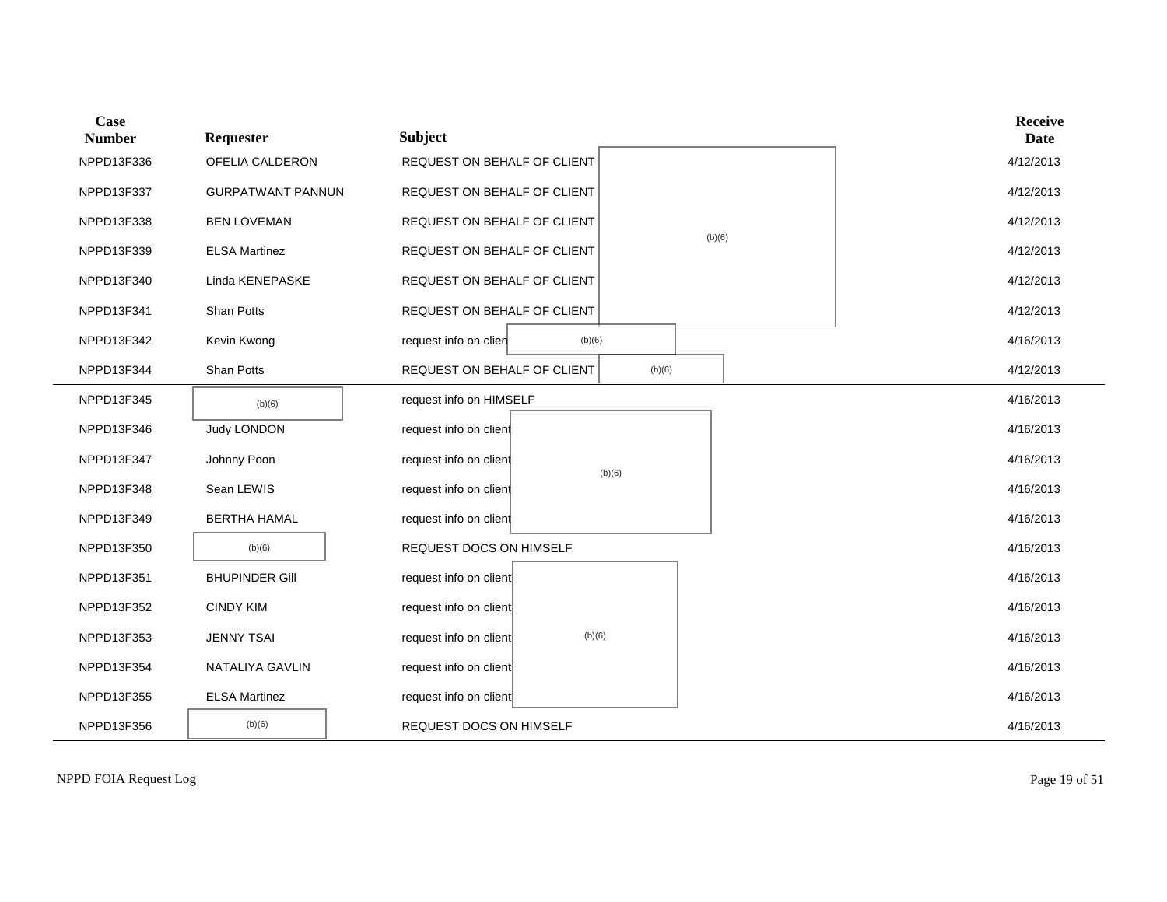| Case<br><b>Number</b> | Requester                | <b>Subject</b>              |        |        |        |  | <b>Receive</b><br><b>Date</b> |
|-----------------------|--------------------------|-----------------------------|--------|--------|--------|--|-------------------------------|
| NPPD13F336            | OFELIA CALDERON          | REQUEST ON BEHALF OF CLIENT |        |        |        |  | 4/12/2013                     |
| NPPD13F337            | <b>GURPATWANT PANNUN</b> | REQUEST ON BEHALF OF CLIENT |        |        |        |  | 4/12/2013                     |
| NPPD13F338            | <b>BEN LOVEMAN</b>       | REQUEST ON BEHALF OF CLIENT |        |        | (b)(6) |  | 4/12/2013                     |
| NPPD13F339            | <b>ELSA Martinez</b>     | REQUEST ON BEHALF OF CLIENT |        |        |        |  | 4/12/2013                     |
| NPPD13F340            | Linda KENEPASKE          | REQUEST ON BEHALF OF CLIENT |        |        |        |  | 4/12/2013                     |
| NPPD13F341            | Shan Potts               | REQUEST ON BEHALF OF CLIENT |        |        |        |  | 4/12/2013                     |
| NPPD13F342            | Kevin Kwong              | request info on clien       | (b)(6) |        |        |  | 4/16/2013                     |
| NPPD13F344            | Shan Potts               | REQUEST ON BEHALF OF CLIENT |        | (b)(6) |        |  | 4/12/2013                     |
| NPPD13F345            | (b)(6)                   | request info on HIMSELF     |        |        |        |  | 4/16/2013                     |
| NPPD13F346            | <b>Judy LONDON</b>       | request info on client      |        |        |        |  | 4/16/2013                     |
| NPPD13F347            | Johnny Poon              | request info on client      |        | (b)(6) |        |  | 4/16/2013                     |
| NPPD13F348            | Sean LEWIS               | request info on client      |        |        |        |  | 4/16/2013                     |
| NPPD13F349            | <b>BERTHA HAMAL</b>      | request info on client      |        |        |        |  | 4/16/2013                     |
| NPPD13F350            | (b)(6)                   | REQUEST DOCS ON HIMSELF     |        |        |        |  | 4/16/2013                     |
| NPPD13F351            | <b>BHUPINDER Gill</b>    | request info on client      |        |        |        |  | 4/16/2013                     |
| NPPD13F352            | <b>CINDY KIM</b>         | request info on client      |        |        |        |  | 4/16/2013                     |
| NPPD13F353            | <b>JENNY TSAI</b>        | request info on client      | (b)(6) |        |        |  | 4/16/2013                     |
| NPPD13F354            | NATALIYA GAVLIN          | request info on client      |        |        |        |  | 4/16/2013                     |
| NPPD13F355            | <b>ELSA Martinez</b>     | request info on client      |        |        |        |  | 4/16/2013                     |
| NPPD13F356            | (b)(6)                   | REQUEST DOCS ON HIMSELF     |        |        |        |  | 4/16/2013                     |

NPPD FOIA Request Log Page 19 of 51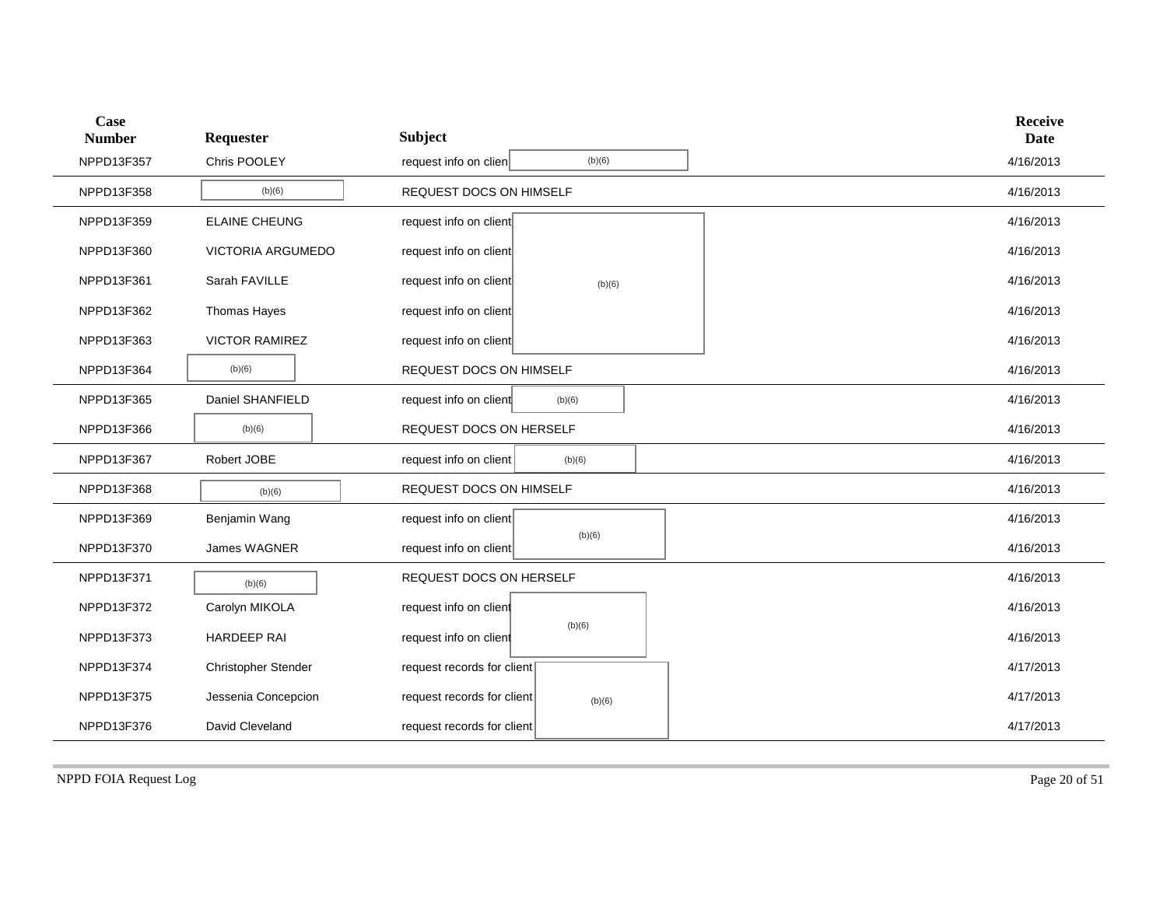| <b>Case</b><br><b>Number</b> | Requester                | <b>Subject</b>                       | <b>Receive</b><br><b>Date</b> |
|------------------------------|--------------------------|--------------------------------------|-------------------------------|
| NPPD13F357                   | Chris POOLEY             | (b)(6)<br>request info on clien      | 4/16/2013                     |
| NPPD13F358                   | (b)(6)                   | REQUEST DOCS ON HIMSELF              | 4/16/2013                     |
| NPPD13F359                   | <b>ELAINE CHEUNG</b>     | request info on client               | 4/16/2013                     |
| NPPD13F360                   | <b>VICTORIA ARGUMEDO</b> | request info on client               | 4/16/2013                     |
| NPPD13F361                   | Sarah FAVILLE            | request info on client<br>(b)(6)     | 4/16/2013                     |
| NPPD13F362                   | Thomas Hayes             | request info on client               | 4/16/2013                     |
| NPPD13F363                   | <b>VICTOR RAMIREZ</b>    | request info on client               | 4/16/2013                     |
| NPPD13F364                   | (b)(6)                   | REQUEST DOCS ON HIMSELF              | 4/16/2013                     |
| NPPD13F365                   | Daniel SHANFIELD         | request info on client<br>(b)(6)     | 4/16/2013                     |
| NPPD13F366                   | (b)(6)                   | REQUEST DOCS ON HERSELF              | 4/16/2013                     |
| NPPD13F367                   | Robert JOBE              | request info on client<br>(b)(6)     | 4/16/2013                     |
| NPPD13F368                   | (b)(6)                   | REQUEST DOCS ON HIMSELF              | 4/16/2013                     |
| NPPD13F369                   | Benjamin Wang            | request info on client               | 4/16/2013                     |
| NPPD13F370                   | James WAGNER             | (b)(6)<br>request info on client     | 4/16/2013                     |
| NPPD13F371                   | (b)(6)                   | REQUEST DOCS ON HERSELF              | 4/16/2013                     |
| NPPD13F372                   | Carolyn MIKOLA           | request info on client               | 4/16/2013                     |
| NPPD13F373                   | <b>HARDEEP RAI</b>       | (b)(6)<br>request info on client     | 4/16/2013                     |
| NPPD13F374                   | Christopher Stender      | request records for client           | 4/17/2013                     |
| NPPD13F375                   | Jessenia Concepcion      | request records for client<br>(b)(6) | 4/17/2013                     |
| NPPD13F376                   | David Cleveland          | request records for client           | 4/17/2013                     |

NPPD FOIA Request Log Page 20 of 51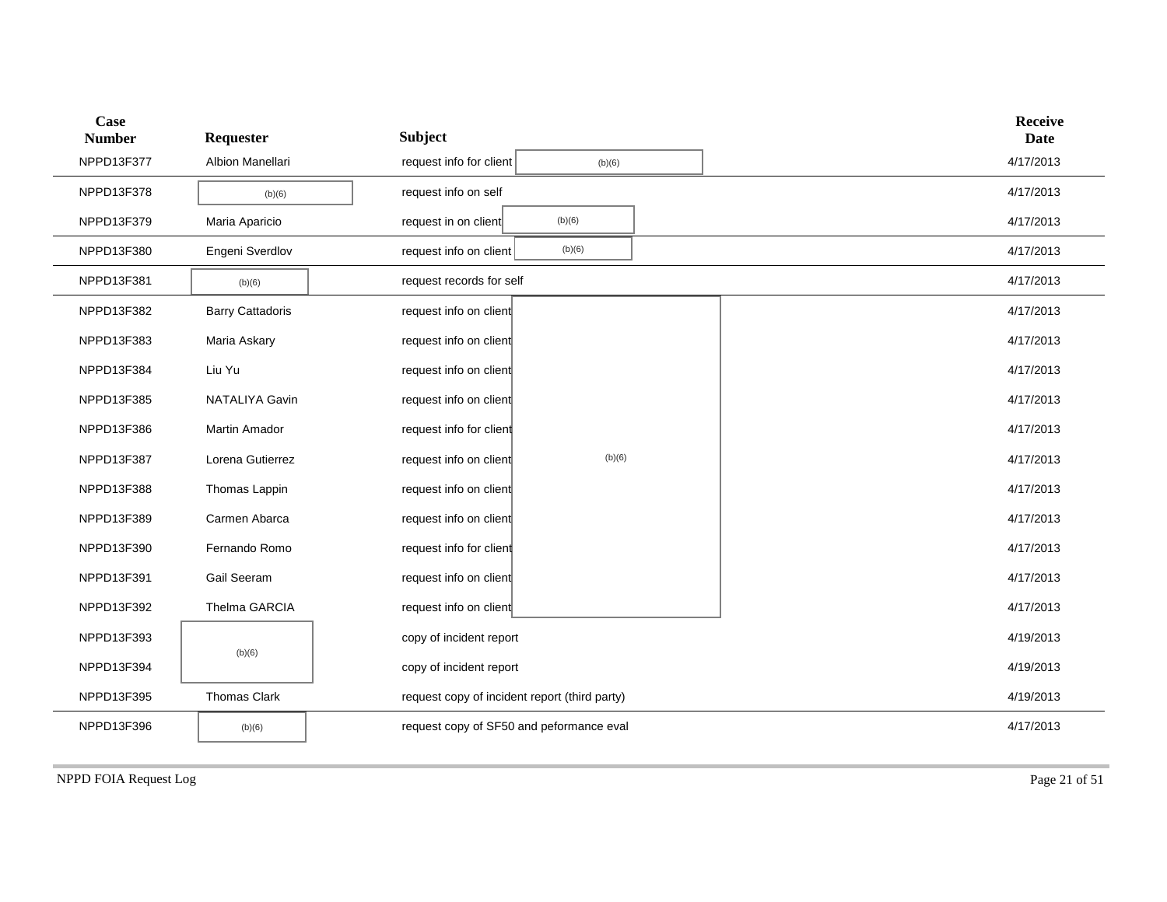| Case<br><b>Number</b> | Requester               | <b>Subject</b>                                |        |  | <b>Receive</b><br><b>Date</b> |
|-----------------------|-------------------------|-----------------------------------------------|--------|--|-------------------------------|
| NPPD13F377            | Albion Manellari        | request info for client                       | (b)(6) |  | 4/17/2013                     |
| NPPD13F378            | (b)(6)                  | request info on self                          |        |  | 4/17/2013                     |
| NPPD13F379            | Maria Aparicio          | request in on client                          | (b)(6) |  | 4/17/2013                     |
| NPPD13F380            | Engeni Sverdlov         | request info on client                        | (b)(6) |  | 4/17/2013                     |
| NPPD13F381            | (b)(6)                  | request records for self                      |        |  | 4/17/2013                     |
| NPPD13F382            | <b>Barry Cattadoris</b> | request info on client                        |        |  | 4/17/2013                     |
| NPPD13F383            | Maria Askary            | request info on client                        |        |  | 4/17/2013                     |
| NPPD13F384            | Liu Yu                  | request info on client                        |        |  | 4/17/2013                     |
| NPPD13F385            | NATALIYA Gavin          | request info on client                        |        |  | 4/17/2013                     |
| NPPD13F386            | <b>Martin Amador</b>    | request info for client                       |        |  | 4/17/2013                     |
| NPPD13F387            | Lorena Gutierrez        | request info on client                        | (b)(6) |  | 4/17/2013                     |
| NPPD13F388            | Thomas Lappin           | request info on client                        |        |  | 4/17/2013                     |
| NPPD13F389            | Carmen Abarca           | request info on client                        |        |  | 4/17/2013                     |
| NPPD13F390            | Fernando Romo           | request info for client                       |        |  | 4/17/2013                     |
| NPPD13F391            | Gail Seeram             | request info on client                        |        |  | 4/17/2013                     |
| NPPD13F392            | Thelma GARCIA           | request info on client                        |        |  | 4/17/2013                     |
| NPPD13F393            |                         | copy of incident report                       |        |  | 4/19/2013                     |
| NPPD13F394            | (b)(6)                  | copy of incident report                       |        |  | 4/19/2013                     |
| NPPD13F395            | Thomas Clark            | request copy of incident report (third party) |        |  | 4/19/2013                     |
| NPPD13F396            | (b)(6)                  | request copy of SF50 and peformance eval      |        |  | 4/17/2013                     |
|                       |                         |                                               |        |  |                               |

NPPD FOIA Request Log Page 21 of 51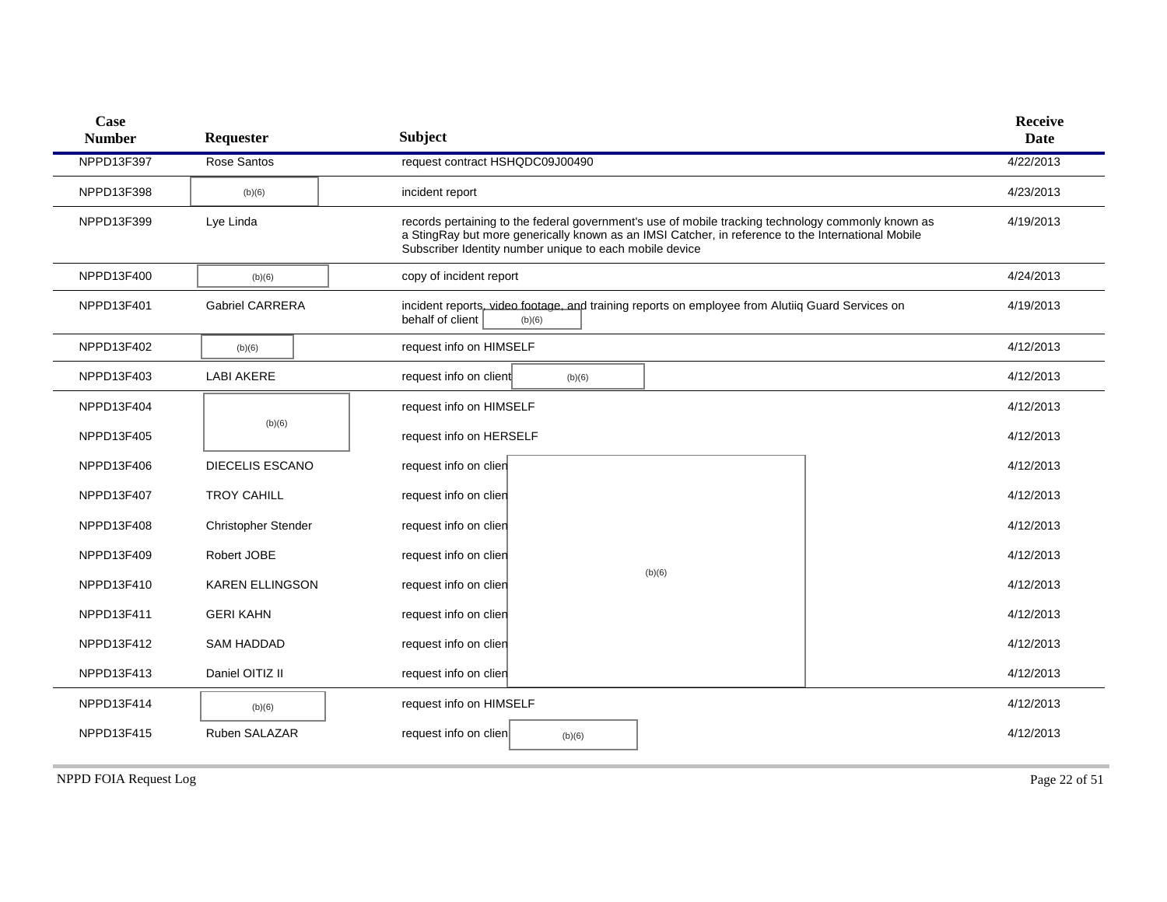| Case<br><b>Number</b> | Requester                  | <b>Subject</b>                                                                                                                                                                                                                                                      | <b>Receive</b><br><b>Date</b> |
|-----------------------|----------------------------|---------------------------------------------------------------------------------------------------------------------------------------------------------------------------------------------------------------------------------------------------------------------|-------------------------------|
| NPPD13F397            | Rose Santos                | request contract HSHQDC09J00490                                                                                                                                                                                                                                     | 4/22/2013                     |
| NPPD13F398            | (b)(6)                     | incident report                                                                                                                                                                                                                                                     | 4/23/2013                     |
| NPPD13F399            | Lye Linda                  | records pertaining to the federal government's use of mobile tracking technology commonly known as<br>a StingRay but more generically known as an IMSI Catcher, in reference to the International Mobile<br>Subscriber Identity number unique to each mobile device | 4/19/2013                     |
| NPPD13F400            | (b)(6)                     | copy of incident report                                                                                                                                                                                                                                             | 4/24/2013                     |
| NPPD13F401            | <b>Gabriel CARRERA</b>     | incident reports, video footage, and training reports on employee from Alutiiq Guard Services on<br>behalf of client<br>(b)(6)                                                                                                                                      | 4/19/2013                     |
| NPPD13F402            | (b)(6)                     | request info on HIMSELF                                                                                                                                                                                                                                             | 4/12/2013                     |
| NPPD13F403            | <b>LABI AKERE</b>          | request info on client<br>(b)(6)                                                                                                                                                                                                                                    | 4/12/2013                     |
| NPPD13F404            |                            | request info on HIMSELF                                                                                                                                                                                                                                             | 4/12/2013                     |
| NPPD13F405            | (b)(6)                     | request info on HERSELF                                                                                                                                                                                                                                             | 4/12/2013                     |
| NPPD13F406            | <b>DIECELIS ESCANO</b>     | request info on clien                                                                                                                                                                                                                                               | 4/12/2013                     |
| NPPD13F407            | <b>TROY CAHILL</b>         | request info on clien                                                                                                                                                                                                                                               | 4/12/2013                     |
| NPPD13F408            | <b>Christopher Stender</b> | request info on clien                                                                                                                                                                                                                                               | 4/12/2013                     |
| NPPD13F409            | Robert JOBE                | request info on clien                                                                                                                                                                                                                                               | 4/12/2013                     |
| NPPD13F410            | <b>KAREN ELLINGSON</b>     | (b)(6)<br>request info on clien                                                                                                                                                                                                                                     | 4/12/2013                     |
| NPPD13F411            | <b>GERI KAHN</b>           | request info on clien                                                                                                                                                                                                                                               | 4/12/2013                     |
| NPPD13F412            | <b>SAM HADDAD</b>          | request info on clien                                                                                                                                                                                                                                               | 4/12/2013                     |
| NPPD13F413            | Daniel OITIZ II            | request info on clien                                                                                                                                                                                                                                               | 4/12/2013                     |
| NPPD13F414            | (b)(6)                     | request info on HIMSELF                                                                                                                                                                                                                                             | 4/12/2013                     |
| NPPD13F415            | Ruben SALAZAR              | request info on clien<br>(b)(6)                                                                                                                                                                                                                                     | 4/12/2013                     |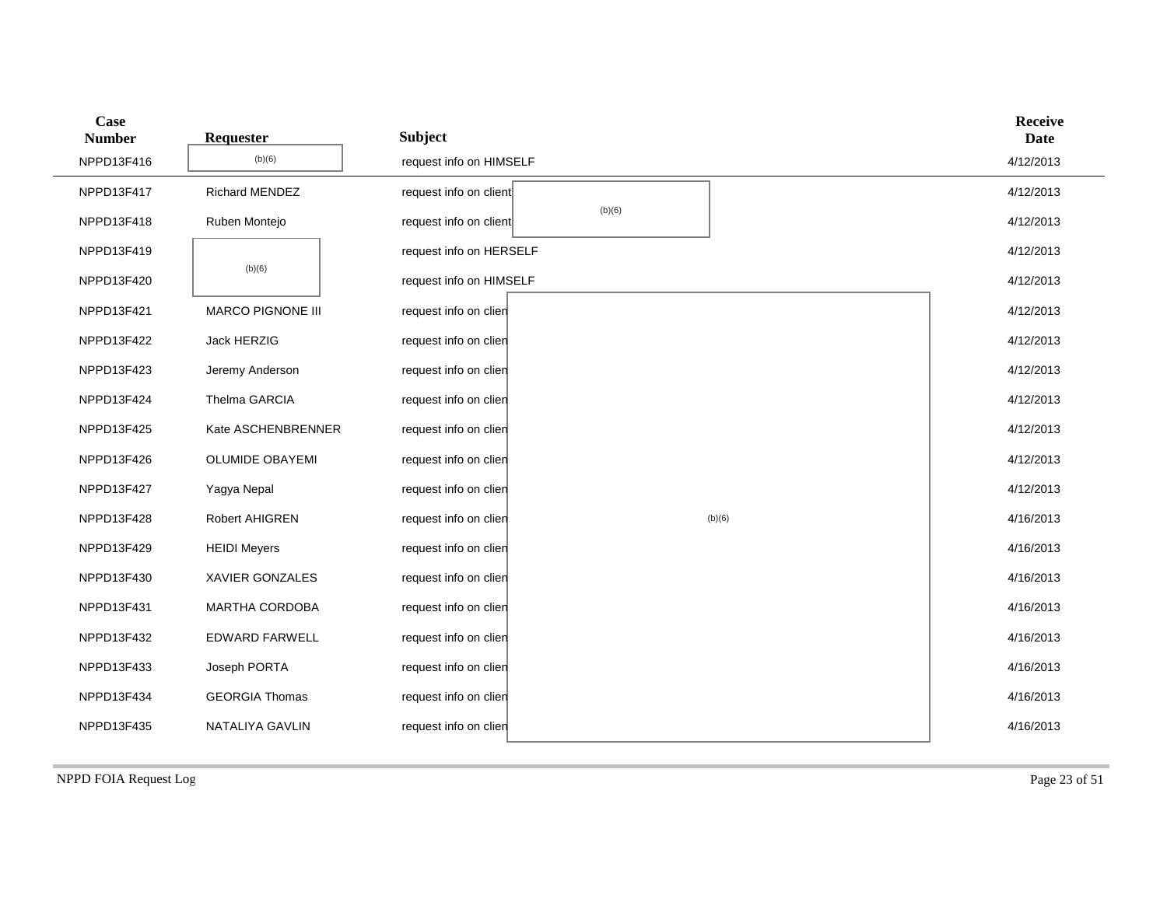| Case<br><b>Number</b> | Requester              | <b>Subject</b>                   |        | <b>Receive</b><br><b>Date</b> |
|-----------------------|------------------------|----------------------------------|--------|-------------------------------|
| NPPD13F416            | (b)(6)                 | request info on HIMSELF          |        | 4/12/2013                     |
| NPPD13F417            | Richard MENDEZ         | request info on client           |        | 4/12/2013                     |
| NPPD13F418            | Ruben Montejo          | (b)(6)<br>request info on client |        | 4/12/2013                     |
| NPPD13F419            |                        | request info on HERSELF          |        | 4/12/2013                     |
| NPPD13F420            | (b)(6)                 | request info on HIMSELF          |        | 4/12/2013                     |
| NPPD13F421            | MARCO PIGNONE III      | request info on clien            |        | 4/12/2013                     |
| NPPD13F422            | Jack HERZIG            | request info on clien            |        | 4/12/2013                     |
| NPPD13F423            | Jeremy Anderson        | request info on clien            |        | 4/12/2013                     |
| NPPD13F424            | Thelma GARCIA          | request info on clien            |        | 4/12/2013                     |
| NPPD13F425            | Kate ASCHENBRENNER     | request info on clien            |        | 4/12/2013                     |
| NPPD13F426            | <b>OLUMIDE OBAYEMI</b> | request info on clien            |        | 4/12/2013                     |
| NPPD13F427            | Yagya Nepal            | request info on clien            |        | 4/12/2013                     |
| NPPD13F428            | Robert AHIGREN         | request info on clien            | (b)(6) | 4/16/2013                     |
| NPPD13F429            | <b>HEIDI Meyers</b>    | request info on clien            |        | 4/16/2013                     |
| NPPD13F430            | XAVIER GONZALES        | request info on clien            |        | 4/16/2013                     |
| NPPD13F431            | MARTHA CORDOBA         | request info on clien            |        | 4/16/2013                     |
| NPPD13F432            | EDWARD FARWELL         | request info on clien            |        | 4/16/2013                     |
| NPPD13F433            | Joseph PORTA           | request info on clien            |        | 4/16/2013                     |
| NPPD13F434            | <b>GEORGIA Thomas</b>  | request info on clien            |        | 4/16/2013                     |
| NPPD13F435            | NATALIYA GAVLIN        | request info on clien            |        | 4/16/2013                     |

NPPD FOIA Request Log Page 23 of 51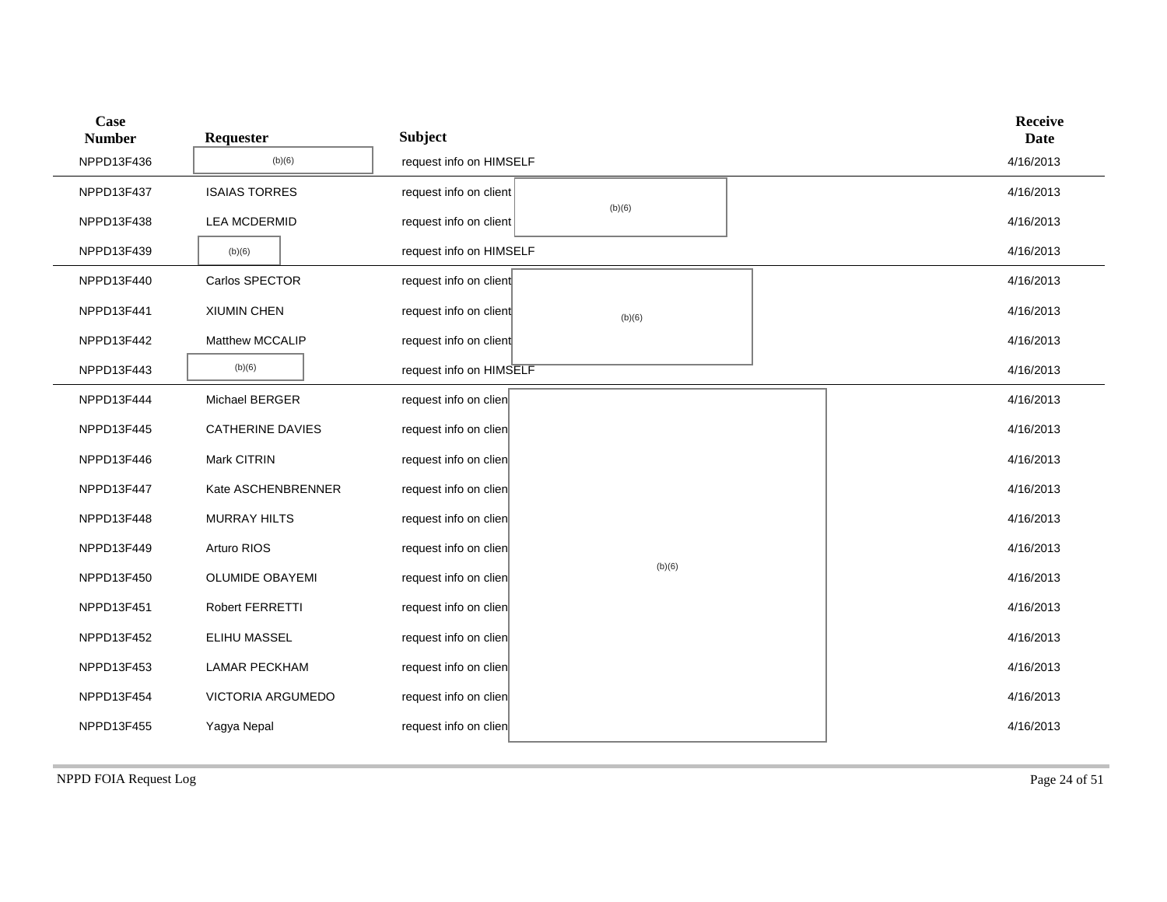| Case<br><b>Number</b> | Requester               | <b>Subject</b>          |        |  | <b>Receive</b><br><b>Date</b> |
|-----------------------|-------------------------|-------------------------|--------|--|-------------------------------|
| NPPD13F436            | (b)(6)                  | request info on HIMSELF |        |  | 4/16/2013                     |
| NPPD13F437            | <b>ISAIAS TORRES</b>    | request info on client  |        |  | 4/16/2013                     |
| NPPD13F438            | <b>LEA MCDERMID</b>     | request info on client  | (b)(6) |  | 4/16/2013                     |
| NPPD13F439            | (b)(6)                  | request info on HIMSELF |        |  | 4/16/2013                     |
| NPPD13F440            | Carlos SPECTOR          | request info on client  |        |  | 4/16/2013                     |
| NPPD13F441            | XIUMIN CHEN             | request info on client  | (b)(6) |  | 4/16/2013                     |
| NPPD13F442            | <b>Matthew MCCALIP</b>  | request info on client  |        |  | 4/16/2013                     |
| NPPD13F443            | (b)(6)                  | request info on HIMSELF |        |  | 4/16/2013                     |
| NPPD13F444            | Michael BERGER          | request info on clien   |        |  | 4/16/2013                     |
| NPPD13F445            | <b>CATHERINE DAVIES</b> | request info on clien   |        |  | 4/16/2013                     |
| NPPD13F446            | Mark CITRIN             | request info on clien   |        |  | 4/16/2013                     |
| NPPD13F447            | Kate ASCHENBRENNER      | request info on clien   |        |  | 4/16/2013                     |
| NPPD13F448            | <b>MURRAY HILTS</b>     | request info on clien   |        |  | 4/16/2013                     |
| NPPD13F449            | Arturo RIOS             | request info on clien   |        |  | 4/16/2013                     |
| NPPD13F450            | <b>OLUMIDE OBAYEMI</b>  | request info on clien   | (b)(6) |  | 4/16/2013                     |
| NPPD13F451            | Robert FERRETTI         | request info on clien   |        |  | 4/16/2013                     |
| NPPD13F452            | <b>ELIHU MASSEL</b>     | request info on clien   |        |  | 4/16/2013                     |
| NPPD13F453            | <b>LAMAR PECKHAM</b>    | request info on clien   |        |  | 4/16/2013                     |
| NPPD13F454            | VICTORIA ARGUMEDO       | request info on clien   |        |  | 4/16/2013                     |
| NPPD13F455            | Yagya Nepal             | request info on clien   |        |  | 4/16/2013                     |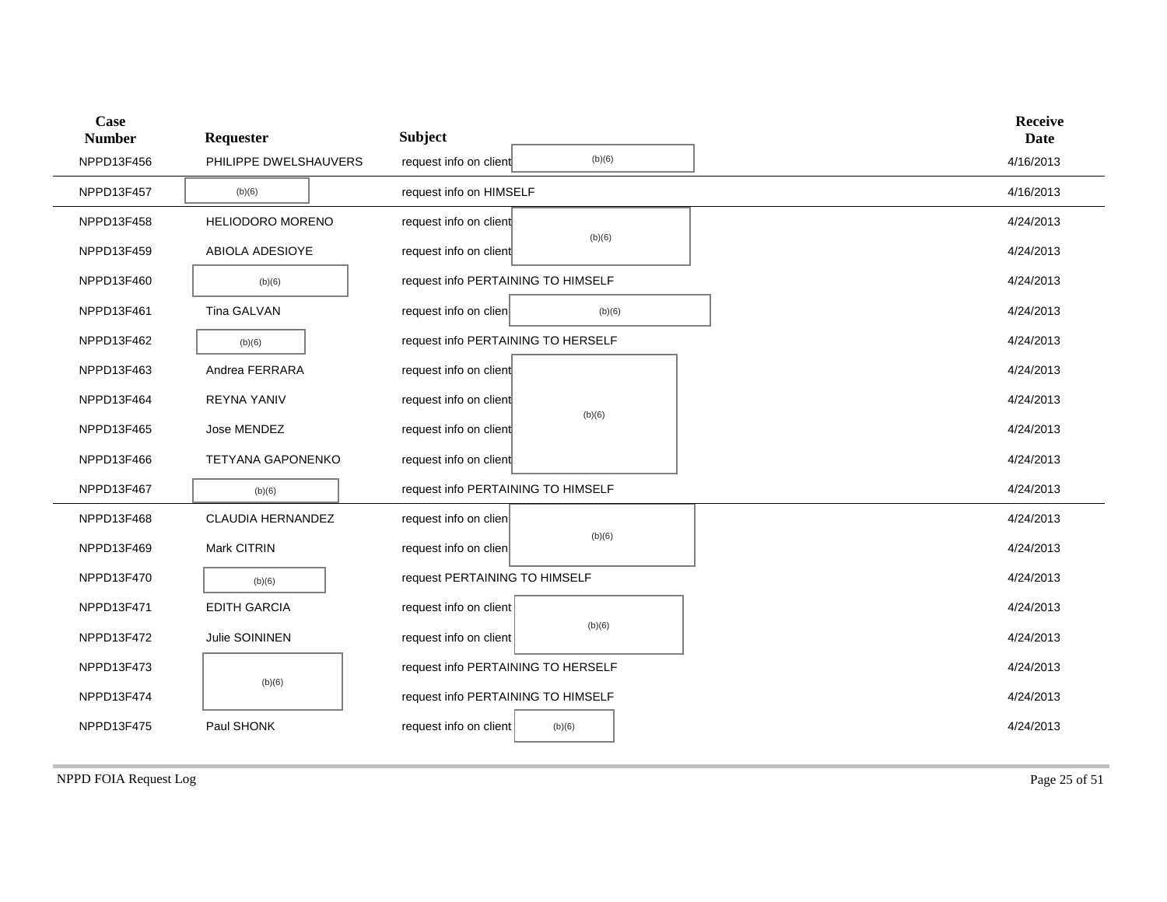| Case<br><b>Number</b> | Requester                | <b>Subject</b>                     |        | <b>Receive</b><br><b>Date</b> |
|-----------------------|--------------------------|------------------------------------|--------|-------------------------------|
| NPPD13F456            | PHILIPPE DWELSHAUVERS    | request info on client             | (b)(6) | 4/16/2013                     |
| NPPD13F457            | (b)(6)                   | request info on HIMSELF            |        | 4/16/2013                     |
| NPPD13F458            | <b>HELIODORO MORENO</b>  | request info on client             | (b)(6) | 4/24/2013                     |
| NPPD13F459            | ABIOLA ADESIOYE          | request info on client             |        | 4/24/2013                     |
| NPPD13F460            | (b)(6)                   | request info PERTAINING TO HIMSELF |        | 4/24/2013                     |
| NPPD13F461            | Tina GALVAN              | request info on clien              | (b)(6) | 4/24/2013                     |
| NPPD13F462            | (b)(6)                   | request info PERTAINING TO HERSELF |        | 4/24/2013                     |
| NPPD13F463            | Andrea FERRARA           | request info on client             |        | 4/24/2013                     |
| NPPD13F464            | <b>REYNA YANIV</b>       | request info on client             | (b)(6) | 4/24/2013                     |
| NPPD13F465            | Jose MENDEZ              | request info on client             |        | 4/24/2013                     |
| NPPD13F466            | <b>TETYANA GAPONENKO</b> | request info on client             |        | 4/24/2013                     |
| NPPD13F467            | (b)(6)                   | request info PERTAINING TO HIMSELF |        | 4/24/2013                     |
| NPPD13F468            | CLAUDIA HERNANDEZ        | request info on clien              |        | 4/24/2013                     |
| NPPD13F469            | Mark CITRIN              | request info on clien              | (b)(6) | 4/24/2013                     |
| NPPD13F470            | (b)(6)                   | request PERTAINING TO HIMSELF      |        | 4/24/2013                     |
| NPPD13F471            | <b>EDITH GARCIA</b>      | request info on client             |        | 4/24/2013                     |
| NPPD13F472            | Julie SOININEN           | request info on client             | (b)(6) | 4/24/2013                     |
| NPPD13F473            |                          | request info PERTAINING TO HERSELF |        | 4/24/2013                     |
| NPPD13F474            | (b)(6)                   | request info PERTAINING TO HIMSELF |        | 4/24/2013                     |
| NPPD13F475            | Paul SHONK               | request info on client             | (b)(6) | 4/24/2013                     |

NPPD FOIA Request Log Page 25 of 51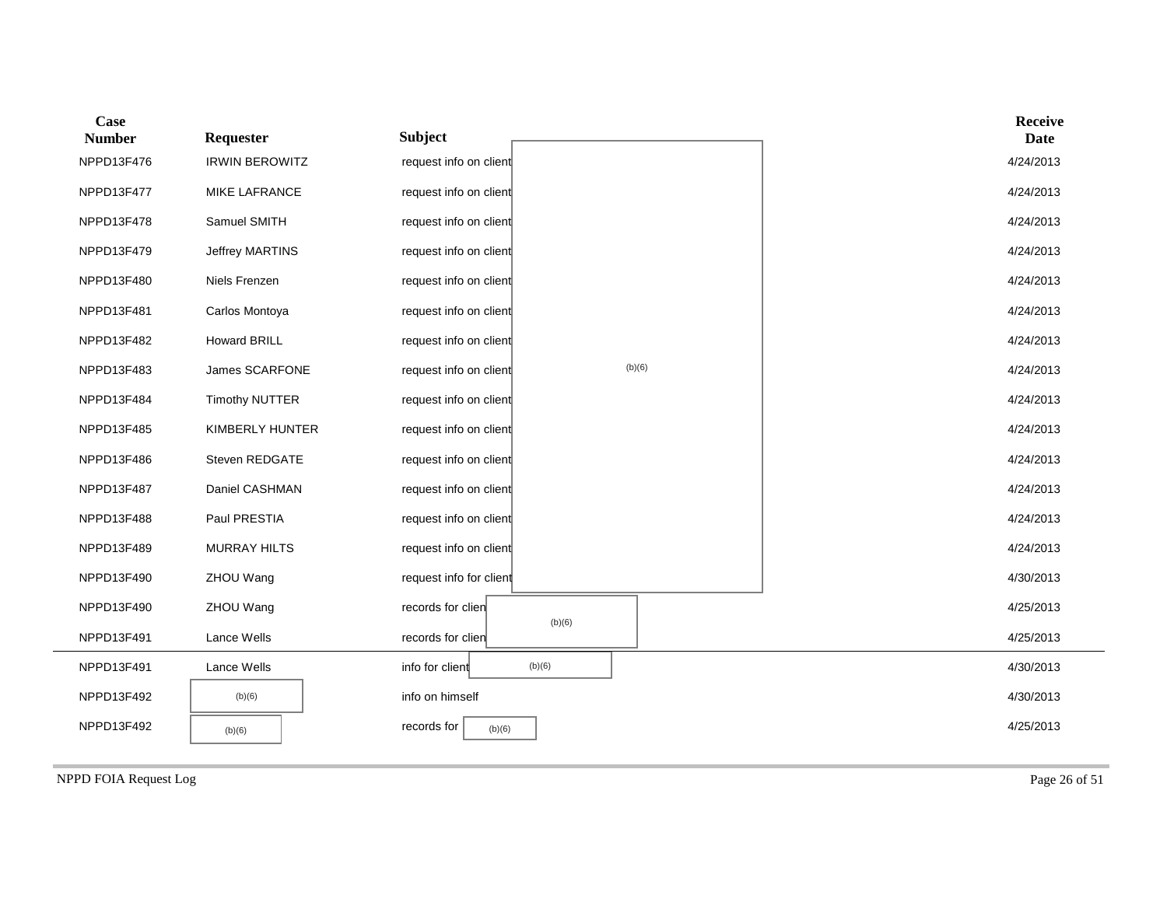| Case<br><b>Number</b> | Requester             | <b>Subject</b>                   | <b>Receive</b><br><b>Date</b> |  |
|-----------------------|-----------------------|----------------------------------|-------------------------------|--|
| NPPD13F476            | <b>IRWIN BEROWITZ</b> | request info on client           | 4/24/2013                     |  |
| NPPD13F477            | <b>MIKE LAFRANCE</b>  | request info on client           | 4/24/2013                     |  |
| NPPD13F478            | Samuel SMITH          | request info on client           | 4/24/2013                     |  |
| NPPD13F479            | Jeffrey MARTINS       | request info on client           | 4/24/2013                     |  |
| NPPD13F480            | Niels Frenzen         | request info on client           | 4/24/2013                     |  |
| NPPD13F481            | Carlos Montoya        | request info on client           | 4/24/2013                     |  |
| NPPD13F482            | <b>Howard BRILL</b>   | request info on client           | 4/24/2013                     |  |
| NPPD13F483            | James SCARFONE        | (b)(6)<br>request info on client | 4/24/2013                     |  |
| NPPD13F484            | <b>Timothy NUTTER</b> | request info on client           | 4/24/2013                     |  |
| NPPD13F485            | KIMBERLY HUNTER       | request info on client           | 4/24/2013                     |  |
| NPPD13F486            | Steven REDGATE        | request info on client           | 4/24/2013                     |  |
| NPPD13F487            | Daniel CASHMAN        | request info on client           | 4/24/2013                     |  |
| NPPD13F488            | Paul PRESTIA          | request info on client           | 4/24/2013                     |  |
| NPPD13F489            | MURRAY HILTS          | request info on client           | 4/24/2013                     |  |
| NPPD13F490            | ZHOU Wang             | request info for client          | 4/30/2013                     |  |
| NPPD13F490            | ZHOU Wang             | records for clien<br>(b)(6)      | 4/25/2013                     |  |
| NPPD13F491            | Lance Wells           | records for clien                | 4/25/2013                     |  |
| NPPD13F491            | Lance Wells           | info for client<br>(b)(6)        | 4/30/2013                     |  |
| NPPD13F492            | (b)(6)                | info on himself                  | 4/30/2013                     |  |
| NPPD13F492            | (b)(6)                | records for<br>(b)(6)            | 4/25/2013                     |  |

NPPD FOIA Request Log Page 26 of 51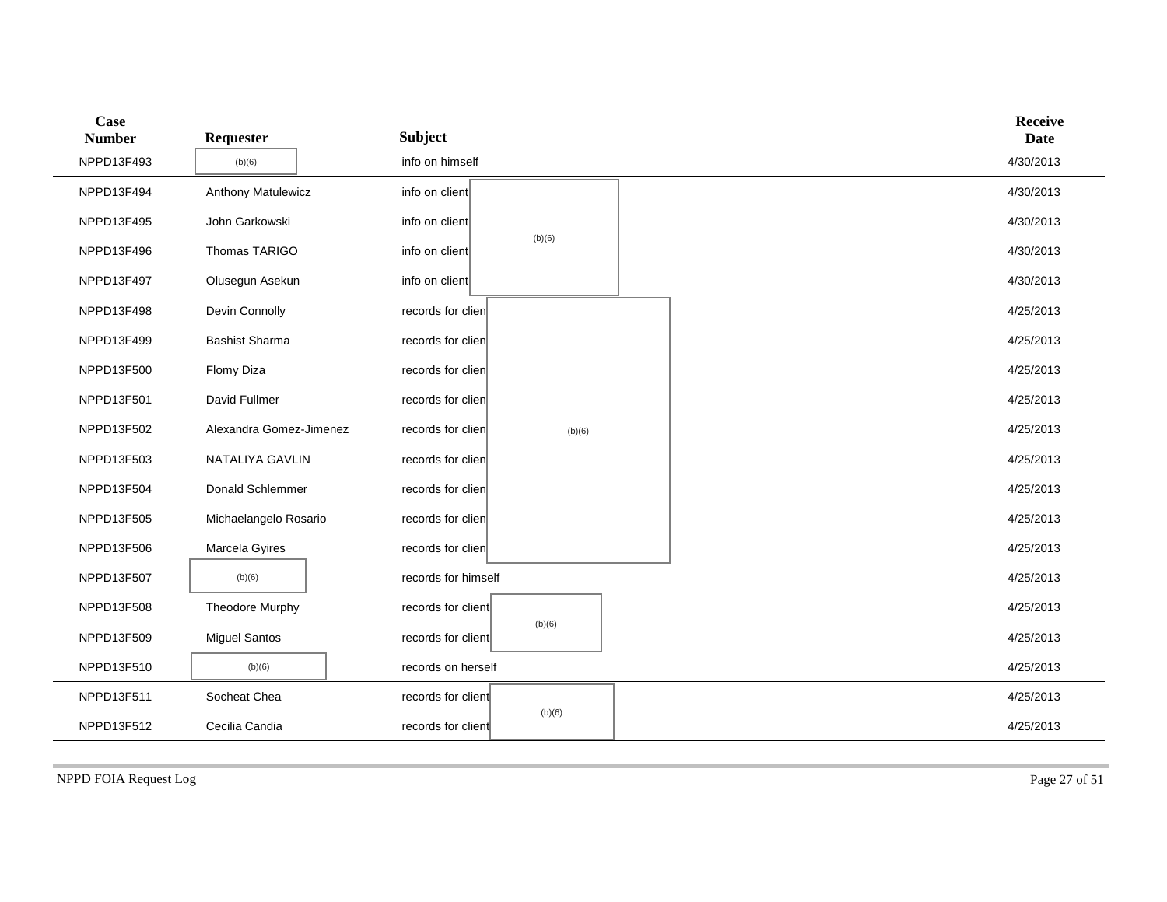| Case<br><b>Number</b> | Requester               | <b>Subject</b>               |        |  | <b>Receive</b><br><b>Date</b> |
|-----------------------|-------------------------|------------------------------|--------|--|-------------------------------|
| NPPD13F493            | (b)(6)                  | info on himself              |        |  | 4/30/2013                     |
| NPPD13F494            | Anthony Matulewicz      | info on client               |        |  | 4/30/2013                     |
| NPPD13F495            | John Garkowski          | info on client               |        |  | 4/30/2013                     |
| NPPD13F496            | Thomas TARIGO           | (b)(6)<br>info on client     |        |  | 4/30/2013                     |
| NPPD13F497            | Olusegun Asekun         | info on client               |        |  | 4/30/2013                     |
| NPPD13F498            | Devin Connolly          | records for clien            |        |  | 4/25/2013                     |
| NPPD13F499            | <b>Bashist Sharma</b>   | records for clien            |        |  | 4/25/2013                     |
| NPPD13F500            | Flomy Diza              | records for clien            |        |  | 4/25/2013                     |
| NPPD13F501            | David Fullmer           | records for clien            |        |  | 4/25/2013                     |
| NPPD13F502            | Alexandra Gomez-Jimenez | records for clien            | (b)(6) |  | 4/25/2013                     |
| NPPD13F503            | NATALIYA GAVLIN         | records for clien            |        |  | 4/25/2013                     |
| NPPD13F504            | Donald Schlemmer        | records for clien            |        |  | 4/25/2013                     |
| NPPD13F505            | Michaelangelo Rosario   | records for clien            |        |  | 4/25/2013                     |
| NPPD13F506            | Marcela Gyires          | records for clien            |        |  | 4/25/2013                     |
| NPPD13F507            | (b)(6)                  | records for himself          |        |  | 4/25/2013                     |
| NPPD13F508            | Theodore Murphy         | records for client           |        |  | 4/25/2013                     |
| NPPD13F509            | <b>Miguel Santos</b>    | (b)(6)<br>records for client |        |  | 4/25/2013                     |
| NPPD13F510            | (b)(6)                  | records on herself           |        |  | 4/25/2013                     |
| NPPD13F511            | Socheat Chea            | records for client           |        |  | 4/25/2013                     |
| NPPD13F512            | Cecilia Candia          | records for client           | (b)(6) |  | 4/25/2013                     |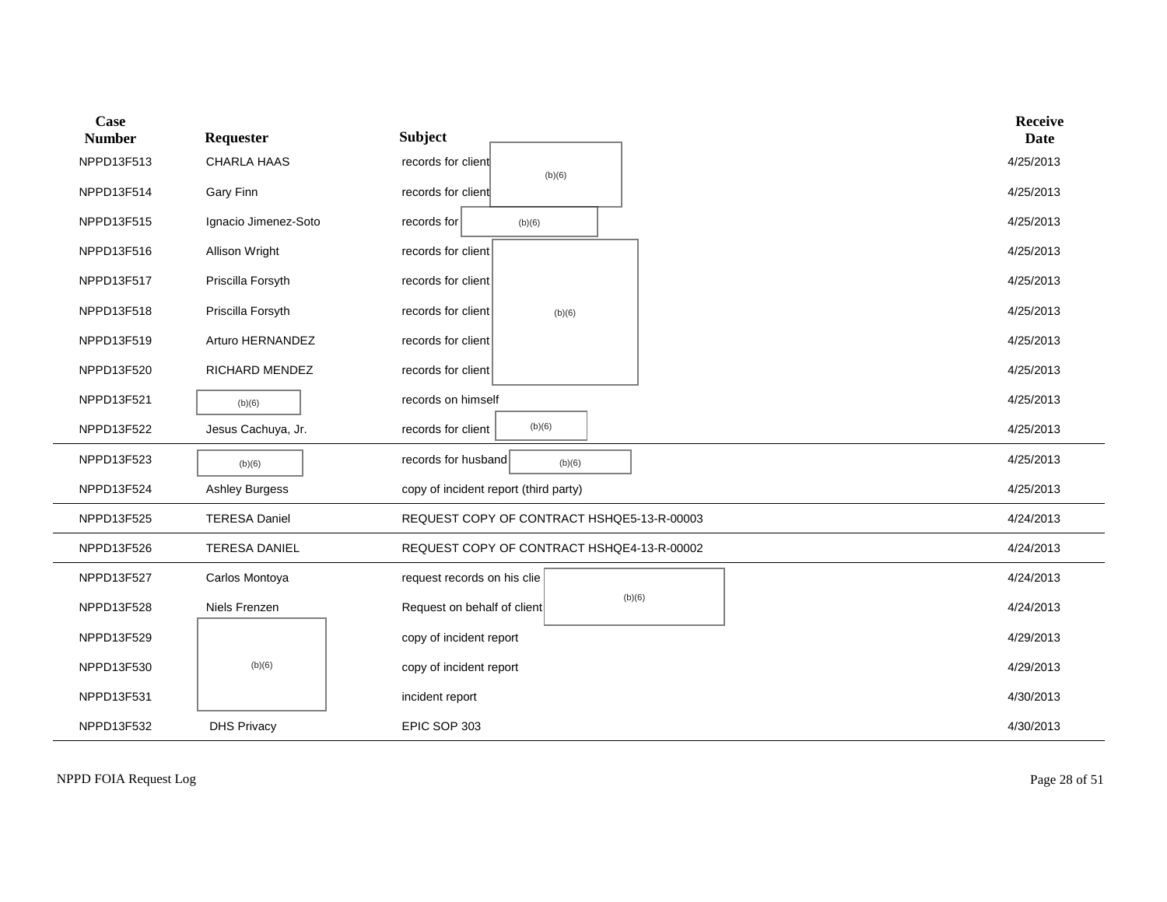| Case<br><b>Number</b> | Requester             | <b>Subject</b>                             | <b>Receive</b><br><b>Date</b> |
|-----------------------|-----------------------|--------------------------------------------|-------------------------------|
| NPPD13F513            | CHARLA HAAS           | records for client<br>(b)(6)               | 4/25/2013                     |
| NPPD13F514            | Gary Finn             | records for client                         | 4/25/2013                     |
| NPPD13F515            | Ignacio Jimenez-Soto  | records for<br>(b)(6)                      | 4/25/2013                     |
| NPPD13F516            | Allison Wright        | records for client                         | 4/25/2013                     |
| NPPD13F517            | Priscilla Forsyth     | records for client                         | 4/25/2013                     |
| NPPD13F518            | Priscilla Forsyth     | records for client<br>(b)(6)               | 4/25/2013                     |
| NPPD13F519            | Arturo HERNANDEZ      | records for client                         | 4/25/2013                     |
| NPPD13F520            | RICHARD MENDEZ        | records for client                         | 4/25/2013                     |
| NPPD13F521            | (b)(6)                | records on himself                         | 4/25/2013                     |
| NPPD13F522            | Jesus Cachuya, Jr.    | (b)(6)<br>records for client               | 4/25/2013                     |
| NPPD13F523            | (b)(6)                | records for husband<br>(b)(6)              | 4/25/2013                     |
| NPPD13F524            | <b>Ashley Burgess</b> | copy of incident report (third party)      | 4/25/2013                     |
| NPPD13F525            | <b>TERESA Daniel</b>  | REQUEST COPY OF CONTRACT HSHQE5-13-R-00003 | 4/24/2013                     |
| NPPD13F526            | <b>TERESA DANIEL</b>  | REQUEST COPY OF CONTRACT HSHQE4-13-R-00002 | 4/24/2013                     |
| NPPD13F527            | Carlos Montoya        | request records on his clie                | 4/24/2013                     |
| NPPD13F528            | Niels Frenzen         | (b)(6)<br>Request on behalf of client      | 4/24/2013                     |
| NPPD13F529            |                       | copy of incident report                    | 4/29/2013                     |
| NPPD13F530            | (b)(6)                | copy of incident report                    | 4/29/2013                     |
| NPPD13F531            |                       | incident report                            | 4/30/2013                     |
| NPPD13F532            | <b>DHS Privacy</b>    | EPIC SOP 303                               | 4/30/2013                     |

NPPD FOIA Request Log Page 28 of 51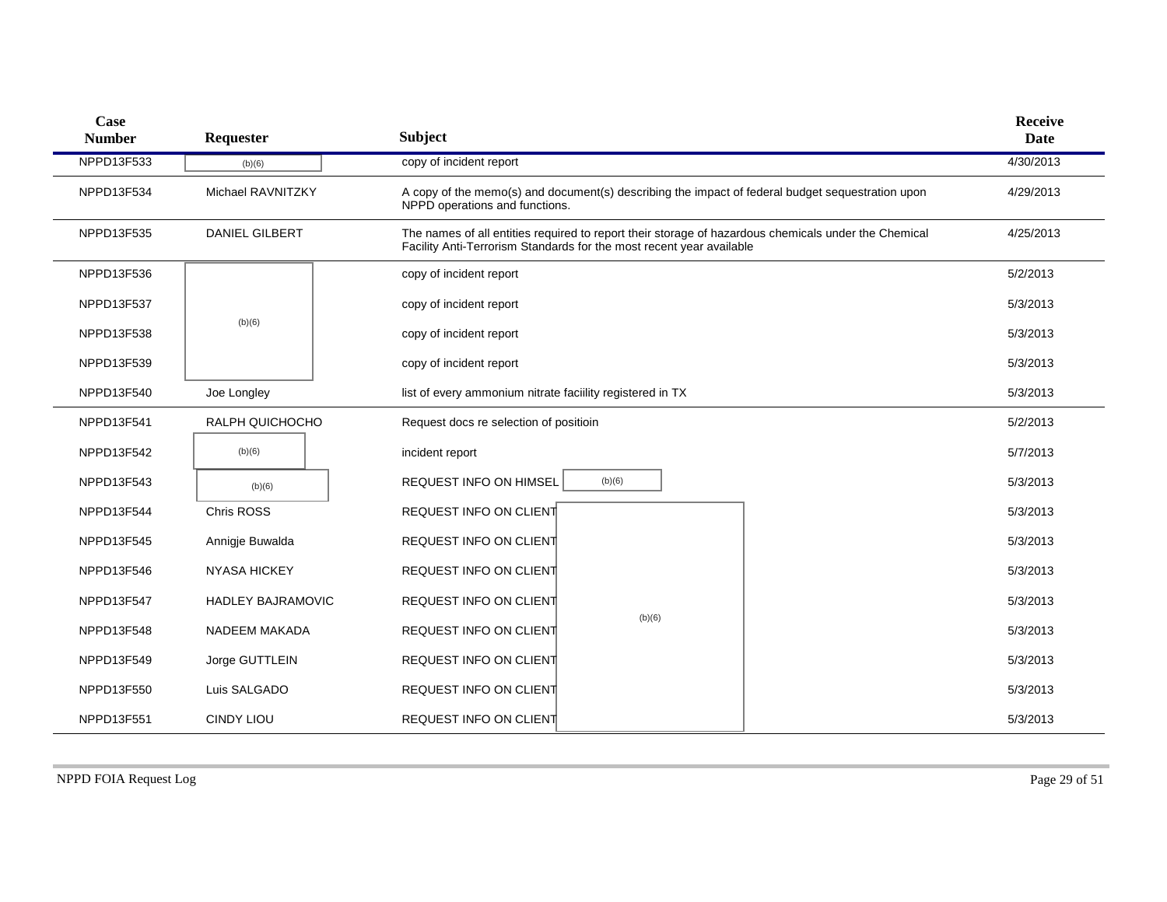| Case<br><b>Number</b> | Requester                | <b>Subject</b>                                                       |        |                                                                                                      | <b>Receive</b><br><b>Date</b> |
|-----------------------|--------------------------|----------------------------------------------------------------------|--------|------------------------------------------------------------------------------------------------------|-------------------------------|
| NPPD13F533            | (b)(6)                   | copy of incident report                                              |        |                                                                                                      | 4/30/2013                     |
| NPPD13F534            | Michael RAVNITZKY        | NPPD operations and functions.                                       |        | A copy of the memo(s) and document(s) describing the impact of federal budget sequestration upon     | 4/29/2013                     |
| NPPD13F535            | <b>DANIEL GILBERT</b>    | Facility Anti-Terrorism Standards for the most recent year available |        | The names of all entities required to report their storage of hazardous chemicals under the Chemical | 4/25/2013                     |
| NPPD13F536            |                          | copy of incident report                                              |        |                                                                                                      | 5/2/2013                      |
| <b>NPPD13F537</b>     |                          | copy of incident report                                              |        |                                                                                                      | 5/3/2013                      |
| NPPD13F538            | (b)(6)                   | copy of incident report                                              |        |                                                                                                      | 5/3/2013                      |
| NPPD13F539            |                          | copy of incident report                                              |        |                                                                                                      | 5/3/2013                      |
| NPPD13F540            | Joe Longley              | list of every ammonium nitrate facility registered in TX             |        |                                                                                                      | 5/3/2013                      |
| NPPD13F541            | RALPH QUICHOCHO          | Request docs re selection of positioin                               |        |                                                                                                      | 5/2/2013                      |
| NPPD13F542            | (b)(6)                   | incident report                                                      |        |                                                                                                      | 5/7/2013                      |
| NPPD13F543            | (b)(6)                   | <b>REQUEST INFO ON HIMSEL</b>                                        | (b)(6) |                                                                                                      | 5/3/2013                      |
| NPPD13F544            | Chris ROSS               | REQUEST INFO ON CLIENT                                               |        |                                                                                                      | 5/3/2013                      |
| NPPD13F545            | Annigje Buwalda          | REQUEST INFO ON CLIENT                                               |        |                                                                                                      | 5/3/2013                      |
| NPPD13F546            | <b>NYASA HICKEY</b>      | REQUEST INFO ON CLIENT                                               |        |                                                                                                      | 5/3/2013                      |
| NPPD13F547            | <b>HADLEY BAJRAMOVIC</b> | REQUEST INFO ON CLIENT                                               |        |                                                                                                      | 5/3/2013                      |
| NPPD13F548            | NADEEM MAKADA            | REQUEST INFO ON CLIENT                                               | (b)(6) |                                                                                                      | 5/3/2013                      |
| NPPD13F549            | Jorge GUTTLEIN           | REQUEST INFO ON CLIENT                                               |        |                                                                                                      | 5/3/2013                      |
| NPPD13F550            | Luis SALGADO             | REQUEST INFO ON CLIENT                                               |        |                                                                                                      | 5/3/2013                      |
| NPPD13F551            | <b>CINDY LIOU</b>        | REQUEST INFO ON CLIENT                                               |        |                                                                                                      | 5/3/2013                      |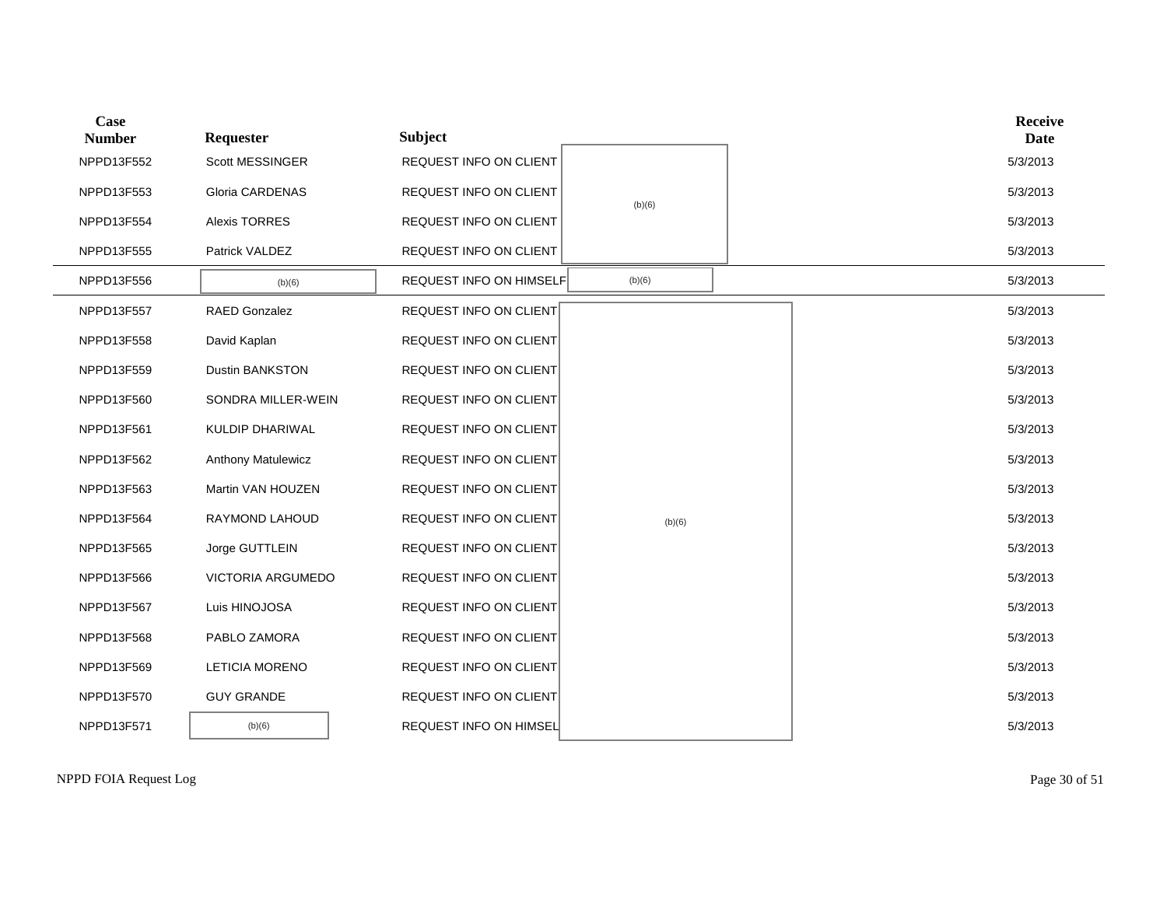| Case<br><b>Number</b> | Requester                 | <b>Subject</b>                 |        |  | <b>Receive</b><br><b>Date</b> |
|-----------------------|---------------------------|--------------------------------|--------|--|-------------------------------|
| NPPD13F552            | <b>Scott MESSINGER</b>    | <b>REQUEST INFO ON CLIENT</b>  |        |  | 5/3/2013                      |
| NPPD13F553            | <b>Gloria CARDENAS</b>    | REQUEST INFO ON CLIENT         | (b)(6) |  | 5/3/2013                      |
| NPPD13F554            | <b>Alexis TORRES</b>      | REQUEST INFO ON CLIENT         |        |  | 5/3/2013                      |
| NPPD13F555            | Patrick VALDEZ            | REQUEST INFO ON CLIENT         |        |  | 5/3/2013                      |
| NPPD13F556            | (b)(6)                    | <b>REQUEST INFO ON HIMSELF</b> | (b)(6) |  | 5/3/2013                      |
| NPPD13F557            | <b>RAED Gonzalez</b>      | <b>REQUEST INFO ON CLIENT</b>  |        |  | 5/3/2013                      |
| NPPD13F558            | David Kaplan              | REQUEST INFO ON CLIENT         |        |  | 5/3/2013                      |
| NPPD13F559            | <b>Dustin BANKSTON</b>    | REQUEST INFO ON CLIENT         |        |  | 5/3/2013                      |
| NPPD13F560            | SONDRA MILLER-WEIN        | REQUEST INFO ON CLIENT         |        |  | 5/3/2013                      |
| NPPD13F561            | KULDIP DHARIWAL           | <b>REQUEST INFO ON CLIENT</b>  |        |  | 5/3/2013                      |
| NPPD13F562            | <b>Anthony Matulewicz</b> | REQUEST INFO ON CLIENT         |        |  | 5/3/2013                      |
| NPPD13F563            | Martin VAN HOUZEN         | <b>REQUEST INFO ON CLIENT</b>  |        |  | 5/3/2013                      |
| NPPD13F564            | RAYMOND LAHOUD            | REQUEST INFO ON CLIENT         | (b)(6) |  | 5/3/2013                      |
| NPPD13F565            | Jorge GUTTLEIN            | <b>REQUEST INFO ON CLIENT</b>  |        |  | 5/3/2013                      |
| NPPD13F566            | <b>VICTORIA ARGUMEDO</b>  | <b>REQUEST INFO ON CLIENT</b>  |        |  | 5/3/2013                      |
| NPPD13F567            | Luis HINOJOSA             | <b>REQUEST INFO ON CLIENT</b>  |        |  | 5/3/2013                      |
| NPPD13F568            | PABLO ZAMORA              | REQUEST INFO ON CLIENT         |        |  | 5/3/2013                      |
| NPPD13F569            | <b>LETICIA MORENO</b>     | <b>REQUEST INFO ON CLIENT</b>  |        |  | 5/3/2013                      |
| NPPD13F570            | <b>GUY GRANDE</b>         | <b>REQUEST INFO ON CLIENT</b>  |        |  | 5/3/2013                      |
| NPPD13F571            | (b)(6)                    | <b>REQUEST INFO ON HIMSEL</b>  |        |  | 5/3/2013                      |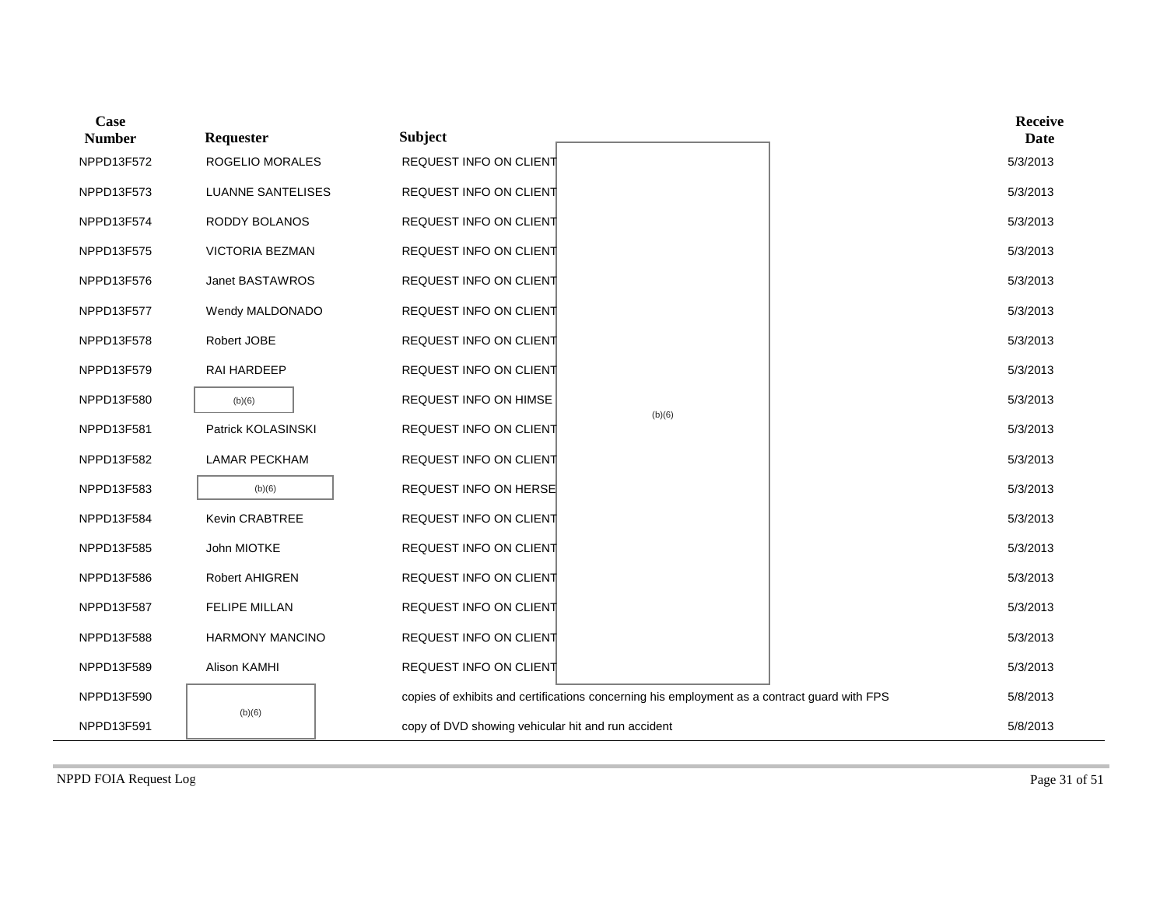| Case<br><b>Number</b> | Requester                | <b>Subject</b>                                     |                                                                                              | <b>Receive</b><br>Date |
|-----------------------|--------------------------|----------------------------------------------------|----------------------------------------------------------------------------------------------|------------------------|
| NPPD13F572            | <b>ROGELIO MORALES</b>   | REQUEST INFO ON CLIENT                             |                                                                                              | 5/3/2013               |
| NPPD13F573            | <b>LUANNE SANTELISES</b> | REQUEST INFO ON CLIENT                             |                                                                                              | 5/3/2013               |
| NPPD13F574            | <b>RODDY BOLANOS</b>     | REQUEST INFO ON CLIENT                             |                                                                                              | 5/3/2013               |
| NPPD13F575            | <b>VICTORIA BEZMAN</b>   | REQUEST INFO ON CLIENT                             |                                                                                              | 5/3/2013               |
| NPPD13F576            | Janet BASTAWROS          | REQUEST INFO ON CLIENT                             |                                                                                              | 5/3/2013               |
| NPPD13F577            | Wendy MALDONADO          | REQUEST INFO ON CLIENT                             |                                                                                              | 5/3/2013               |
| NPPD13F578            | Robert JOBE              | REQUEST INFO ON CLIENT                             |                                                                                              | 5/3/2013               |
| NPPD13F579            | RAI HARDEEP              | REQUEST INFO ON CLIENT                             |                                                                                              | 5/3/2013               |
| NPPD13F580            | (b)(6)                   | REQUEST INFO ON HIMSE                              | (b)(6)                                                                                       | 5/3/2013               |
| NPPD13F581            | Patrick KOLASINSKI       | REQUEST INFO ON CLIENT                             |                                                                                              | 5/3/2013               |
| NPPD13F582            | <b>LAMAR PECKHAM</b>     | REQUEST INFO ON CLIENT                             |                                                                                              | 5/3/2013               |
| NPPD13F583            | (b)(6)                   | <b>REQUEST INFO ON HERSE</b>                       |                                                                                              | 5/3/2013               |
| NPPD13F584            | Kevin CRABTREE           | REQUEST INFO ON CLIENT                             |                                                                                              | 5/3/2013               |
| NPPD13F585            | John MIOTKE              | REQUEST INFO ON CLIENT                             |                                                                                              | 5/3/2013               |
| NPPD13F586            | Robert AHIGREN           | REQUEST INFO ON CLIENT                             |                                                                                              | 5/3/2013               |
| NPPD13F587            | <b>FELIPE MILLAN</b>     | REQUEST INFO ON CLIENT                             |                                                                                              | 5/3/2013               |
| NPPD13F588            | HARMONY MANCINO          | REQUEST INFO ON CLIENT                             |                                                                                              | 5/3/2013               |
| NPPD13F589            | Alison KAMHI             | REQUEST INFO ON CLIENT                             |                                                                                              | 5/3/2013               |
| NPPD13F590            |                          |                                                    | copies of exhibits and certifications concerning his employment as a contract guard with FPS | 5/8/2013               |
| NPPD13F591            | (b)(6)                   | copy of DVD showing vehicular hit and run accident |                                                                                              | 5/8/2013               |

NPPD FOIA Request Log Page 31 of 51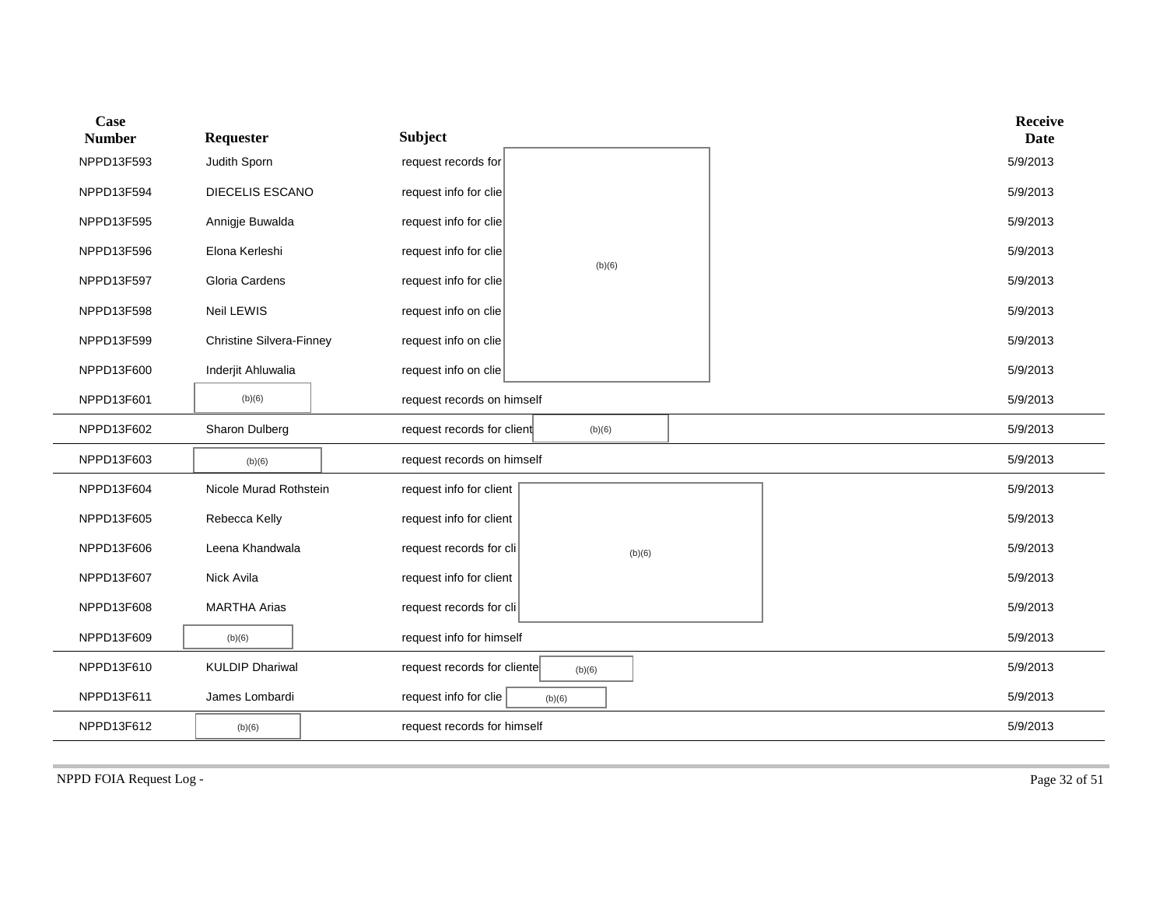| Case<br><b>Number</b> | Requester                       | <b>Subject</b>                        | <b>Receive</b><br><b>Date</b> |
|-----------------------|---------------------------------|---------------------------------------|-------------------------------|
| NPPD13F593            | Judith Sporn                    | request records for                   | 5/9/2013                      |
| NPPD13F594            | DIECELIS ESCANO                 | request info for clie                 | 5/9/2013                      |
| NPPD13F595            | Annigje Buwalda                 | request info for clie                 | 5/9/2013                      |
| NPPD13F596            | Elona Kerleshi                  | request info for clie<br>(b)(6)       | 5/9/2013                      |
| NPPD13F597            | Gloria Cardens                  | request info for clie                 | 5/9/2013                      |
| NPPD13F598            | Neil LEWIS                      | request info on clie                  | 5/9/2013                      |
| NPPD13F599            | <b>Christine Silvera-Finney</b> | request info on clie                  | 5/9/2013                      |
| NPPD13F600            | Inderjit Ahluwalia              | request info on clie                  | 5/9/2013                      |
| NPPD13F601            | (b)(6)                          | request records on himself            | 5/9/2013                      |
| NPPD13F602            | Sharon Dulberg                  | request records for client<br>(b)(6)  | 5/9/2013                      |
| NPPD13F603            | (b)(6)                          | request records on himself            | 5/9/2013                      |
| NPPD13F604            | Nicole Murad Rothstein          | request info for client               | 5/9/2013                      |
| NPPD13F605            | Rebecca Kelly                   | request info for client               | 5/9/2013                      |
| NPPD13F606            | Leena Khandwala                 | request records for cli<br>(b)(6)     | 5/9/2013                      |
| NPPD13F607            | Nick Avila                      | request info for client               | 5/9/2013                      |
| NPPD13F608            | <b>MARTHA Arias</b>             | request records for cli               | 5/9/2013                      |
| NPPD13F609            | (b)(6)                          | request info for himself              | 5/9/2013                      |
| NPPD13F610            | <b>KULDIP Dhariwal</b>          | request records for cliente<br>(b)(6) | 5/9/2013                      |
| NPPD13F611            | James Lombardi                  | request info for clie<br>(b)(6)       | 5/9/2013                      |
| NPPD13F612            | (b)(6)                          | request records for himself           | 5/9/2013                      |

NPPD FOIA Request Log - Page 32 of 51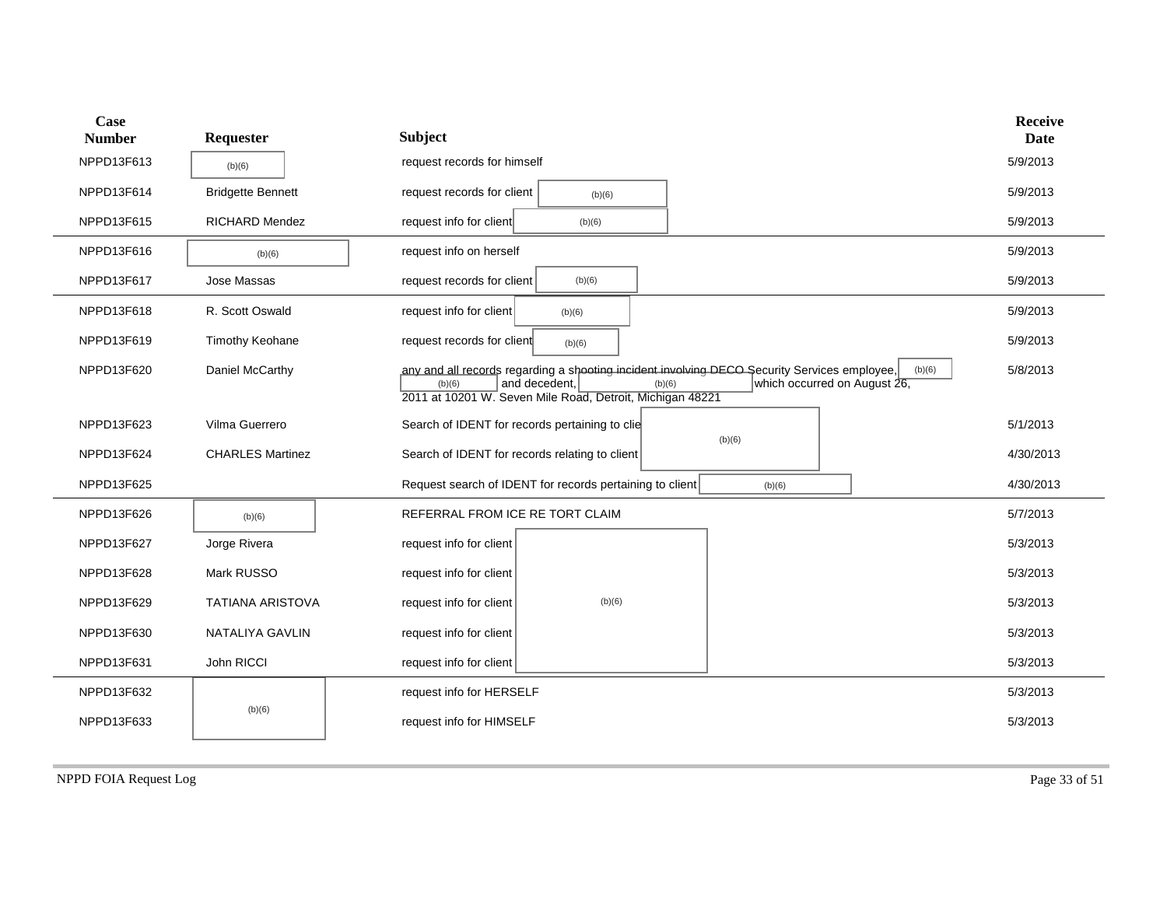| Case<br><b>Number</b> | Requester                | Subject                                                                                                                                                                                                                                  | <b>Receive</b><br><b>Date</b> |
|-----------------------|--------------------------|------------------------------------------------------------------------------------------------------------------------------------------------------------------------------------------------------------------------------------------|-------------------------------|
| NPPD13F613            | (b)(6)                   | request records for himself                                                                                                                                                                                                              | 5/9/2013                      |
| NPPD13F614            | <b>Bridgette Bennett</b> | request records for client<br>(b)(6)                                                                                                                                                                                                     | 5/9/2013                      |
| NPPD13F615            | <b>RICHARD Mendez</b>    | request info for client<br>(b)(6)                                                                                                                                                                                                        | 5/9/2013                      |
| NPPD13F616            | (b)(6)                   | request info on herself                                                                                                                                                                                                                  | 5/9/2013                      |
| NPPD13F617            | Jose Massas              | request records for client<br>(b)(6)                                                                                                                                                                                                     | 5/9/2013                      |
| NPPD13F618            | R. Scott Oswald          | request info for client<br>(b)(6)                                                                                                                                                                                                        | 5/9/2013                      |
| NPPD13F619            | Timothy Keohane          | request records for client<br>(b)(6)                                                                                                                                                                                                     | 5/9/2013                      |
| NPPD13F620            | Daniel McCarthy          | any and all records regarding a shooting incident involving DECO Security Services employee,<br>(b)(6)<br>and decedent,<br>which occurred on August 26,<br>(b)(6)<br>(b)(6)<br>2011 at 10201 W. Seven Mile Road, Detroit, Michigan 48221 | 5/8/2013                      |
| NPPD13F623            | Vilma Guerrero           | Search of IDENT for records pertaining to clie                                                                                                                                                                                           | 5/1/2013                      |
| NPPD13F624            | <b>CHARLES Martinez</b>  | (b)(6)<br>Search of IDENT for records relating to client                                                                                                                                                                                 | 4/30/2013                     |
| NPPD13F625            |                          | Request search of IDENT for records pertaining to client<br>(b)(6)                                                                                                                                                                       | 4/30/2013                     |
| NPPD13F626            | (b)(6)                   | REFERRAL FROM ICE RE TORT CLAIM                                                                                                                                                                                                          | 5/7/2013                      |
| NPPD13F627            | Jorge Rivera             | request info for client                                                                                                                                                                                                                  | 5/3/2013                      |
| NPPD13F628            | Mark RUSSO               | request info for client                                                                                                                                                                                                                  | 5/3/2013                      |
| NPPD13F629            | <b>TATIANA ARISTOVA</b>  | (b)(6)<br>request info for client                                                                                                                                                                                                        | 5/3/2013                      |
| NPPD13F630            | NATALIYA GAVLIN          | request info for client                                                                                                                                                                                                                  | 5/3/2013                      |
| NPPD13F631            | John RICCI               | request info for client                                                                                                                                                                                                                  | 5/3/2013                      |
| NPPD13F632            |                          | request info for HERSELF                                                                                                                                                                                                                 | 5/3/2013                      |
| NPPD13F633            | (b)(6)                   | request info for HIMSELF                                                                                                                                                                                                                 | 5/3/2013                      |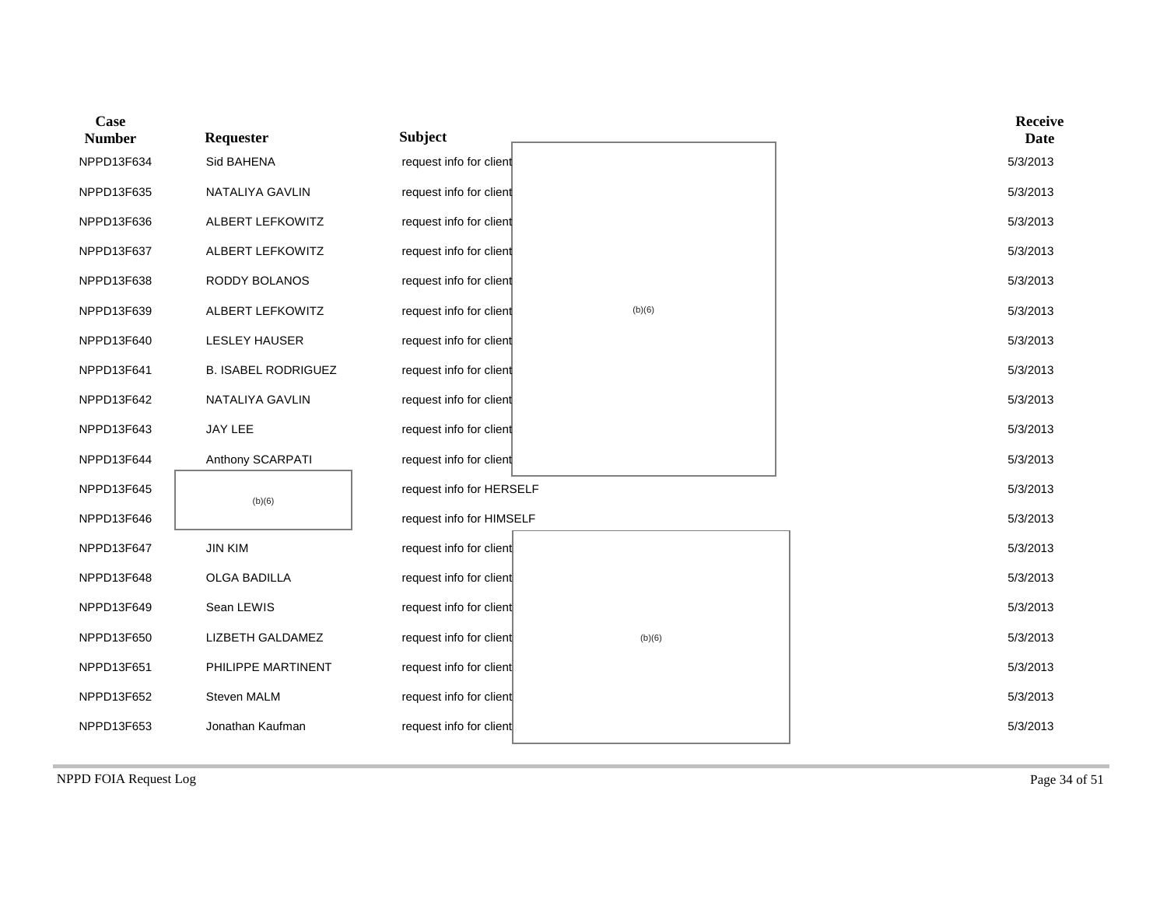| Case<br><b>Number</b> | Requester                  | <b>Subject</b>           |        | <b>Receive</b><br><b>Date</b> |
|-----------------------|----------------------------|--------------------------|--------|-------------------------------|
| NPPD13F634            | Sid BAHENA                 | request info for client  |        | 5/3/2013                      |
| NPPD13F635            | NATALIYA GAVLIN            | request info for client  |        | 5/3/2013                      |
| NPPD13F636            | ALBERT LEFKOWITZ           | request info for client  |        | 5/3/2013                      |
| NPPD13F637            | ALBERT LEFKOWITZ           | request info for client  |        | 5/3/2013                      |
| NPPD13F638            | RODDY BOLANOS              | request info for client  |        | 5/3/2013                      |
| NPPD13F639            | ALBERT LEFKOWITZ           | request info for client  | (b)(6) | 5/3/2013                      |
| NPPD13F640            | <b>LESLEY HAUSER</b>       | request info for client  |        | 5/3/2013                      |
| NPPD13F641            | <b>B. ISABEL RODRIGUEZ</b> | request info for client  |        | 5/3/2013                      |
| NPPD13F642            | NATALIYA GAVLIN            | request info for client  |        | 5/3/2013                      |
| NPPD13F643            | JAY LEE                    | request info for client  |        | 5/3/2013                      |
| NPPD13F644            | Anthony SCARPATI           | request info for client  |        | 5/3/2013                      |
| NPPD13F645            | (b)(6)                     | request info for HERSELF |        | 5/3/2013                      |
| NPPD13F646            |                            | request info for HIMSELF |        | 5/3/2013                      |
| NPPD13F647            | <b>JIN KIM</b>             | request info for client  |        | 5/3/2013                      |
| NPPD13F648            | OLGA BADILLA               | request info for client  |        | 5/3/2013                      |
| NPPD13F649            | Sean LEWIS                 | request info for client  |        | 5/3/2013                      |
| NPPD13F650            | LIZBETH GALDAMEZ           | request info for client  | (b)(6) | 5/3/2013                      |
| NPPD13F651            | PHILIPPE MARTINENT         | request info for client  |        | 5/3/2013                      |
| NPPD13F652            | Steven MALM                | request info for client  |        | 5/3/2013                      |
| NPPD13F653            | Jonathan Kaufman           | request info for client  |        | 5/3/2013                      |

NPPD FOIA Request Log Page 34 of 51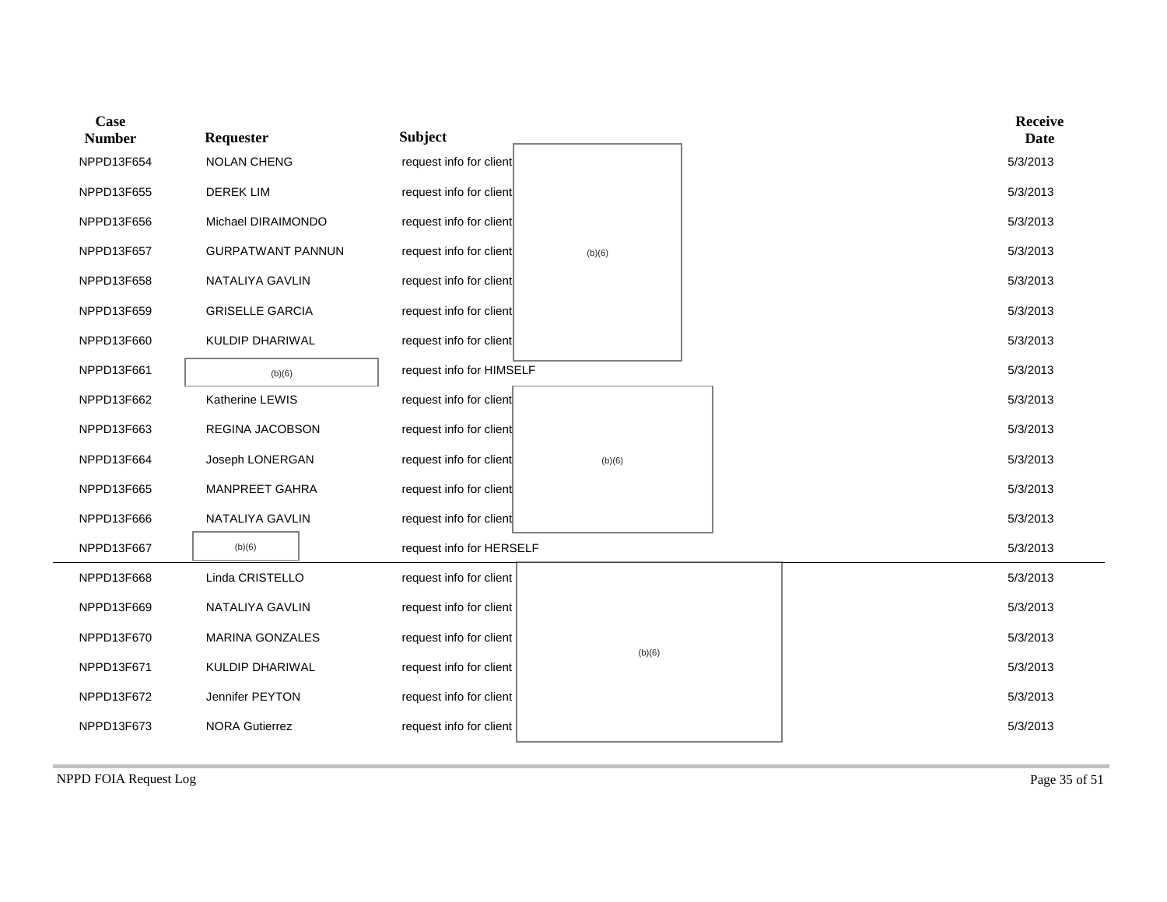| <b>Case</b><br><b>Number</b> | Requester                | <b>Subject</b>           |        |  | <b>Receive</b><br>Date |
|------------------------------|--------------------------|--------------------------|--------|--|------------------------|
| NPPD13F654                   | <b>NOLAN CHENG</b>       | request info for client  |        |  | 5/3/2013               |
| NPPD13F655                   | <b>DEREK LIM</b>         | request info for client  |        |  | 5/3/2013               |
| NPPD13F656                   | Michael DIRAIMONDO       | request info for client  |        |  | 5/3/2013               |
| NPPD13F657                   | <b>GURPATWANT PANNUN</b> | request info for client  | (b)(6) |  | 5/3/2013               |
| NPPD13F658                   | NATALIYA GAVLIN          | request info for client  |        |  | 5/3/2013               |
| NPPD13F659                   | <b>GRISELLE GARCIA</b>   | request info for client  |        |  | 5/3/2013               |
| NPPD13F660                   | KULDIP DHARIWAL          | request info for client  |        |  | 5/3/2013               |
| NPPD13F661                   | (b)(6)                   | request info for HIMSELF |        |  | 5/3/2013               |
| NPPD13F662                   | Katherine LEWIS          | request info for client  |        |  | 5/3/2013               |
| NPPD13F663                   | REGINA JACOBSON          | request info for client  |        |  | 5/3/2013               |
| NPPD13F664                   | Joseph LONERGAN          | request info for client  | (b)(6) |  | 5/3/2013               |
| NPPD13F665                   | MANPREET GAHRA           | request info for client  |        |  | 5/3/2013               |
| NPPD13F666                   | NATALIYA GAVLIN          | request info for client  |        |  | 5/3/2013               |
| NPPD13F667                   | (b)(6)                   | request info for HERSELF |        |  | 5/3/2013               |
| NPPD13F668                   | Linda CRISTELLO          | request info for client  |        |  | 5/3/2013               |
| NPPD13F669                   | NATALIYA GAVLIN          | request info for client  |        |  | 5/3/2013               |
| NPPD13F670                   | <b>MARINA GONZALES</b>   | request info for client  |        |  | 5/3/2013               |
| NPPD13F671                   | KULDIP DHARIWAL          | request info for client  | (b)(6) |  | 5/3/2013               |
| NPPD13F672                   | Jennifer PEYTON          | request info for client  |        |  | 5/3/2013               |
| NPPD13F673                   | <b>NORA Gutierrez</b>    | request info for client  |        |  | 5/3/2013               |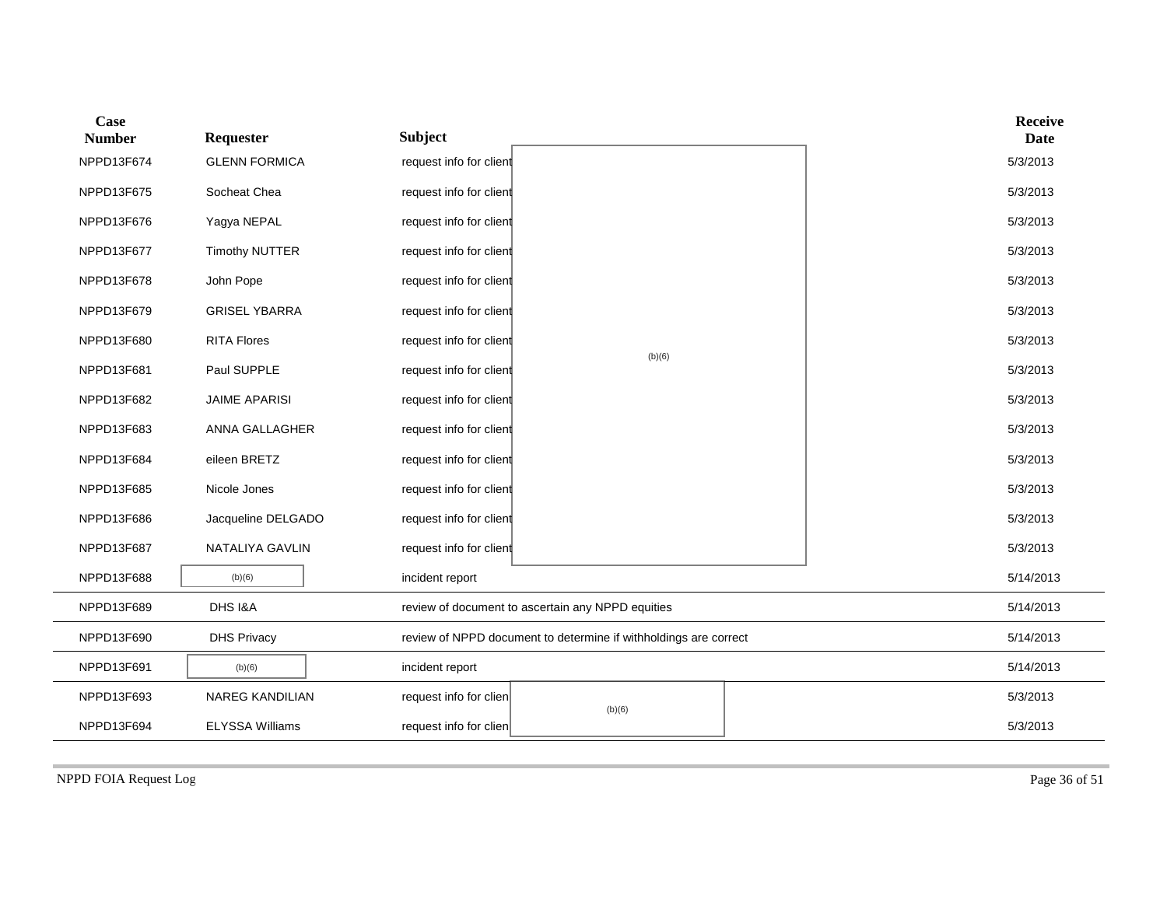| Case<br><b>Number</b> | Requester              | <b>Subject</b>                                                   | <b>Receive</b><br><b>Date</b> |
|-----------------------|------------------------|------------------------------------------------------------------|-------------------------------|
| NPPD13F674            | <b>GLENN FORMICA</b>   | request info for client                                          | 5/3/2013                      |
| NPPD13F675            | Socheat Chea           | request info for client                                          | 5/3/2013                      |
| NPPD13F676            | Yagya NEPAL            | request info for client                                          | 5/3/2013                      |
| NPPD13F677            | <b>Timothy NUTTER</b>  | request info for client                                          | 5/3/2013                      |
| NPPD13F678            | John Pope              | request info for client                                          | 5/3/2013                      |
| NPPD13F679            | <b>GRISEL YBARRA</b>   | request info for client                                          | 5/3/2013                      |
| NPPD13F680            | <b>RITA Flores</b>     | request info for client                                          | 5/3/2013                      |
| NPPD13F681            | Paul SUPPLE            | (b)(6)<br>request info for client                                | 5/3/2013                      |
| NPPD13F682            | <b>JAIME APARISI</b>   | request info for client                                          | 5/3/2013                      |
| NPPD13F683            | ANNA GALLAGHER         | request info for client                                          | 5/3/2013                      |
| NPPD13F684            | eileen BRETZ           | request info for client                                          | 5/3/2013                      |
| NPPD13F685            | Nicole Jones           | request info for client                                          | 5/3/2013                      |
| NPPD13F686            | Jacqueline DELGADO     | request info for client                                          | 5/3/2013                      |
| NPPD13F687            | NATALIYA GAVLIN        | request info for client                                          | 5/3/2013                      |
| NPPD13F688            | (b)(6)                 | incident report                                                  | 5/14/2013                     |
| NPPD13F689            | DHS I&A                | review of document to ascertain any NPPD equities                | 5/14/2013                     |
| NPPD13F690            | <b>DHS Privacy</b>     | review of NPPD document to determine if withholdings are correct | 5/14/2013                     |
| NPPD13F691            | (b)(6)                 | incident report                                                  | 5/14/2013                     |
| NPPD13F693            | <b>NAREG KANDILIAN</b> | request info for clien<br>(b)(6)                                 | 5/3/2013                      |
| NPPD13F694            | <b>ELYSSA Williams</b> | request info for clien                                           | 5/3/2013                      |

NPPD FOIA Request Log Page 36 of 51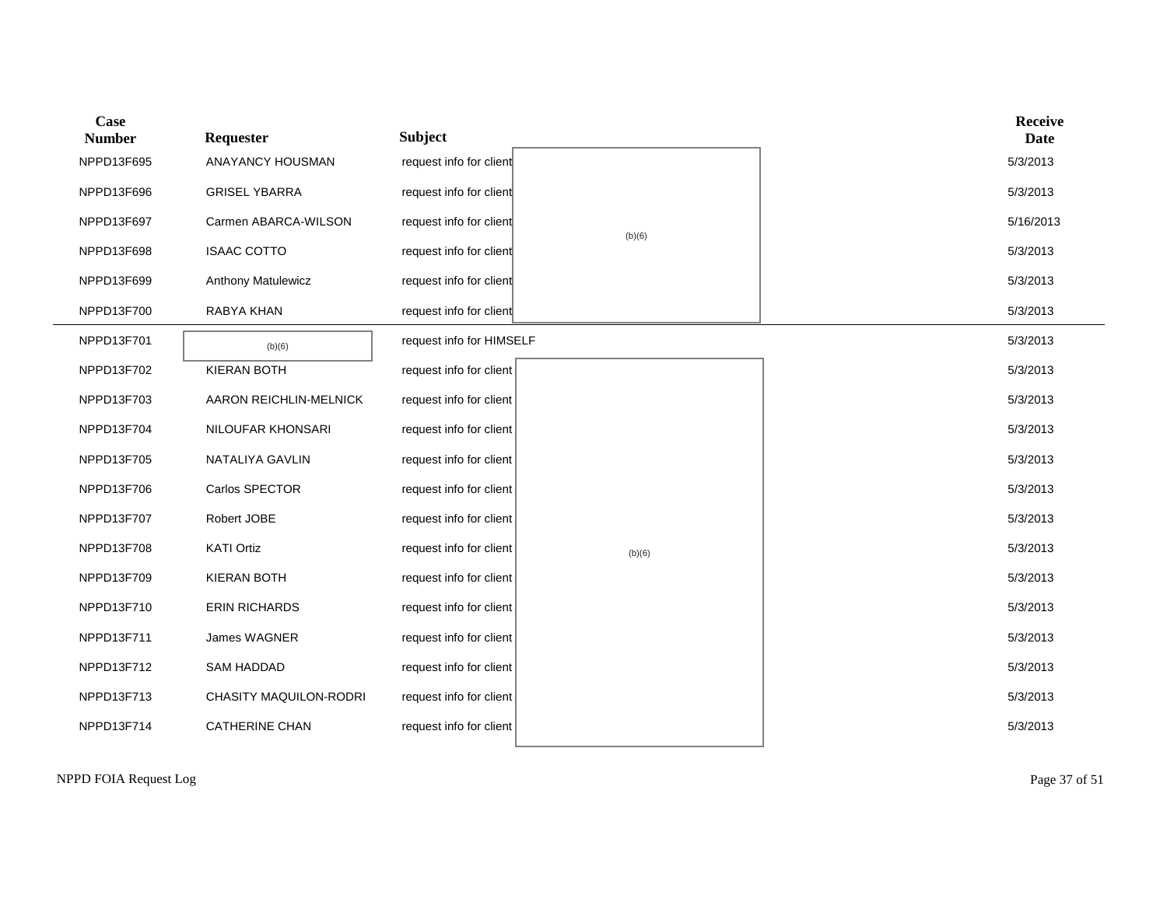| Case<br><b>Number</b> | Requester                 | <b>Subject</b>           |        | <b>Receive</b><br><b>Date</b> |
|-----------------------|---------------------------|--------------------------|--------|-------------------------------|
| NPPD13F695            | ANAYANCY HOUSMAN          | request info for client  |        | 5/3/2013                      |
| NPPD13F696            | <b>GRISEL YBARRA</b>      | request info for client  |        | 5/3/2013                      |
| NPPD13F697            | Carmen ABARCA-WILSON      | request info for client  |        | 5/16/2013                     |
| NPPD13F698            | <b>ISAAC COTTO</b>        | request info for client  | (b)(6) | 5/3/2013                      |
| NPPD13F699            | <b>Anthony Matulewicz</b> | request info for client  |        | 5/3/2013                      |
| NPPD13F700            | RABYA KHAN                | request info for client  |        | 5/3/2013                      |
| NPPD13F701            | (b)(6)                    | request info for HIMSELF |        | 5/3/2013                      |
| NPPD13F702            | <b>KIERAN BOTH</b>        | request info for client  |        | 5/3/2013                      |
| NPPD13F703            | AARON REICHLIN-MELNICK    | request info for client  |        | 5/3/2013                      |
| NPPD13F704            | NILOUFAR KHONSARI         | request info for client  |        | 5/3/2013                      |
| NPPD13F705            | NATALIYA GAVLIN           | request info for client  |        | 5/3/2013                      |
| NPPD13F706            | Carlos SPECTOR            | request info for client  |        | 5/3/2013                      |
| NPPD13F707            | Robert JOBE               | request info for client  |        | 5/3/2013                      |
| NPPD13F708            | <b>KATI Ortiz</b>         | request info for client  | (b)(6) | 5/3/2013                      |
| NPPD13F709            | <b>KIERAN BOTH</b>        | request info for client  |        | 5/3/2013                      |
| NPPD13F710            | <b>ERIN RICHARDS</b>      | request info for client  |        | 5/3/2013                      |
| NPPD13F711            | James WAGNER              | request info for client  |        | 5/3/2013                      |
| NPPD13F712            | <b>SAM HADDAD</b>         | request info for client  |        | 5/3/2013                      |
| NPPD13F713            | CHASITY MAQUILON-RODRI    | request info for client  |        | 5/3/2013                      |
| NPPD13F714            | <b>CATHERINE CHAN</b>     | request info for client  |        | 5/3/2013                      |
|                       |                           |                          |        |                               |

NPPD FOIA Request Log Page 37 of 51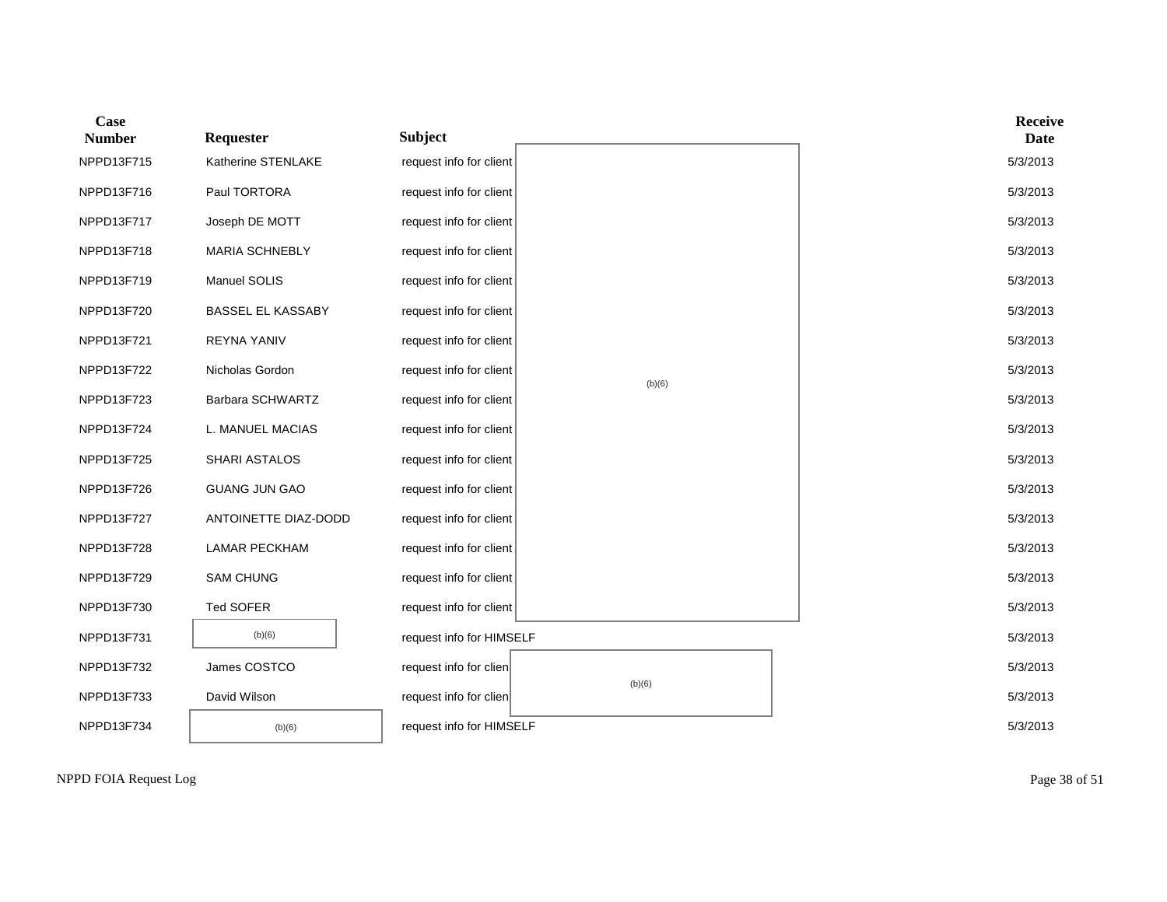| Case<br><b>Number</b> | Requester             | <b>Subject</b>           |        | Receive<br><b>Date</b> |
|-----------------------|-----------------------|--------------------------|--------|------------------------|
| NPPD13F715            | Katherine STENLAKE    | request info for client  |        | 5/3/2013               |
| NPPD13F716            | Paul TORTORA          | request info for client  |        | 5/3/2013               |
| NPPD13F717            | Joseph DE MOTT        | request info for client  |        | 5/3/2013               |
| NPPD13F718            | <b>MARIA SCHNEBLY</b> | request info for client  |        | 5/3/2013               |
| NPPD13F719            | Manuel SOLIS          | request info for client  |        | 5/3/2013               |
| NPPD13F720            | BASSEL EL KASSABY     | request info for client  |        | 5/3/2013               |
| NPPD13F721            | <b>REYNA YANIV</b>    | request info for client  |        | 5/3/2013               |
| NPPD13F722            | Nicholas Gordon       | request info for client  | (b)(6) | 5/3/2013               |
| NPPD13F723            | Barbara SCHWARTZ      | request info for client  |        | 5/3/2013               |
| NPPD13F724            | L. MANUEL MACIAS      | request info for client  |        | 5/3/2013               |
| NPPD13F725            | SHARI ASTALOS         | request info for client  |        | 5/3/2013               |
| NPPD13F726            | <b>GUANG JUN GAO</b>  | request info for client  |        | 5/3/2013               |
| NPPD13F727            | ANTOINETTE DIAZ-DODD  | request info for client  |        | 5/3/2013               |
| NPPD13F728            | <b>LAMAR PECKHAM</b>  | request info for client  |        | 5/3/2013               |
| NPPD13F729            | <b>SAM CHUNG</b>      | request info for client  |        | 5/3/2013               |
| NPPD13F730            | Ted SOFER             | request info for client  |        | 5/3/2013               |
| NPPD13F731            | (b)(6)                | request info for HIMSELF |        | 5/3/2013               |
| NPPD13F732            | James COSTCO          | request info for clien   |        | 5/3/2013               |
| NPPD13F733            | David Wilson          | request info for clien   | (b)(6) | 5/3/2013               |
| NPPD13F734            | (b)(6)                | request info for HIMSELF |        | 5/3/2013               |

NPPD FOIA Request Log Page 38 of 51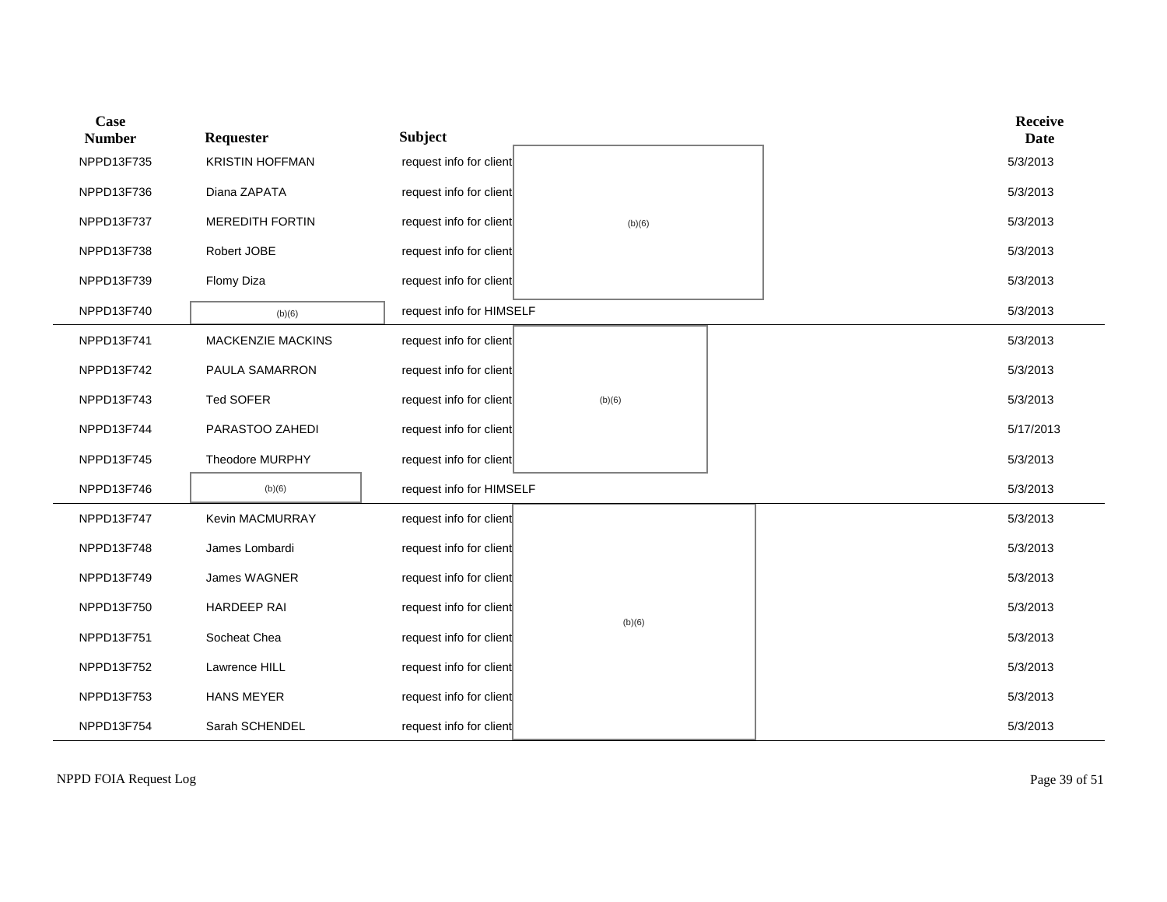| Case<br><b>Number</b> | Requester              | <b>Subject</b>           |        |  | <b>Receive</b><br><b>Date</b> |
|-----------------------|------------------------|--------------------------|--------|--|-------------------------------|
| NPPD13F735            | <b>KRISTIN HOFFMAN</b> | request info for client  |        |  | 5/3/2013                      |
| NPPD13F736            | Diana ZAPATA           | request info for client  |        |  | 5/3/2013                      |
| NPPD13F737            | <b>MEREDITH FORTIN</b> | request info for client  | (b)(6) |  | 5/3/2013                      |
| NPPD13F738            | Robert JOBE            | request info for client  |        |  | 5/3/2013                      |
| NPPD13F739            | Flomy Diza             | request info for client  |        |  | 5/3/2013                      |
| NPPD13F740            | (b)(6)                 | request info for HIMSELF |        |  | 5/3/2013                      |
| NPPD13F741            | MACKENZIE MACKINS      | request info for client  |        |  | 5/3/2013                      |
| NPPD13F742            | PAULA SAMARRON         | request info for client  |        |  | 5/3/2013                      |
| NPPD13F743            | Ted SOFER              | request info for client  | (b)(6) |  | 5/3/2013                      |
| NPPD13F744            | PARASTOO ZAHEDI        | request info for client  |        |  | 5/17/2013                     |
| NPPD13F745            | Theodore MURPHY        | request info for client  |        |  | 5/3/2013                      |
| NPPD13F746            | (b)(6)                 | request info for HIMSELF |        |  | 5/3/2013                      |
| NPPD13F747            | Kevin MACMURRAY        | request info for client  |        |  | 5/3/2013                      |
| NPPD13F748            | James Lombardi         | request info for client  |        |  | 5/3/2013                      |
| NPPD13F749            | James WAGNER           | request info for client  |        |  | 5/3/2013                      |
| NPPD13F750            | <b>HARDEEP RAI</b>     | request info for client  | (b)(6) |  | 5/3/2013                      |
| NPPD13F751            | Socheat Chea           | request info for client  |        |  | 5/3/2013                      |
| NPPD13F752            | Lawrence HILL          | request info for client  |        |  | 5/3/2013                      |
| NPPD13F753            | <b>HANS MEYER</b>      | request info for client  |        |  | 5/3/2013                      |
| NPPD13F754            | Sarah SCHENDEL         | request info for client  |        |  | 5/3/2013                      |

NPPD FOIA Request Log Page 39 of 51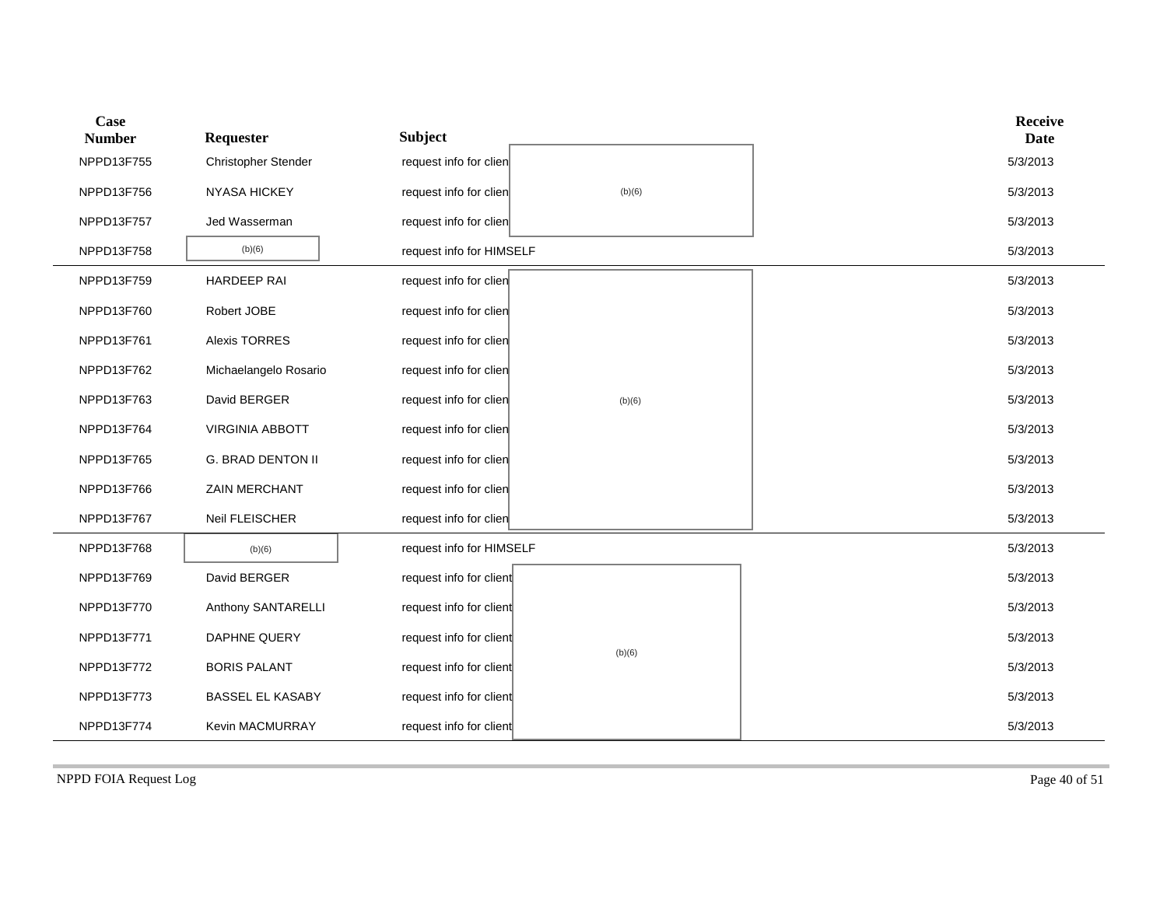| Case<br><b>Number</b> | Requester               | <b>Subject</b>           |        | <b>Receive</b><br><b>Date</b> |
|-----------------------|-------------------------|--------------------------|--------|-------------------------------|
| NPPD13F755            | Christopher Stender     | request info for clien   |        | 5/3/2013                      |
| NPPD13F756            | <b>NYASA HICKEY</b>     | request info for clien   | (b)(6) | 5/3/2013                      |
| NPPD13F757            | Jed Wasserman           | request info for clien   |        | 5/3/2013                      |
| NPPD13F758            | (b)(6)                  | request info for HIMSELF |        | 5/3/2013                      |
| NPPD13F759            | HARDEEP RAI             | request info for clien   |        | 5/3/2013                      |
| NPPD13F760            | Robert JOBE             | request info for clien   |        | 5/3/2013                      |
| NPPD13F761            | <b>Alexis TORRES</b>    | request info for clien   |        | 5/3/2013                      |
| NPPD13F762            | Michaelangelo Rosario   | request info for clien   |        | 5/3/2013                      |
| NPPD13F763            | David BERGER            | request info for clien   | (b)(6) | 5/3/2013                      |
| NPPD13F764            | <b>VIRGINIA ABBOTT</b>  | request info for clien   |        | 5/3/2013                      |
| NPPD13F765            | G. BRAD DENTON II       | request info for clien   |        | 5/3/2013                      |
| NPPD13F766            | ZAIN MERCHANT           | request info for clien   |        | 5/3/2013                      |
| NPPD13F767            | Neil FLEISCHER          | request info for clien   |        | 5/3/2013                      |
| NPPD13F768            | (b)(6)                  | request info for HIMSELF |        | 5/3/2013                      |
| NPPD13F769            | David BERGER            | request info for client  |        | 5/3/2013                      |
| NPPD13F770            | Anthony SANTARELLI      | request info for client  |        | 5/3/2013                      |
| NPPD13F771            | DAPHNE QUERY            | request info for client  |        | 5/3/2013                      |
| NPPD13F772            | <b>BORIS PALANT</b>     | request info for client  | (b)(6) | 5/3/2013                      |
| NPPD13F773            | <b>BASSEL EL KASABY</b> | request info for client  |        | 5/3/2013                      |
| NPPD13F774            | Kevin MACMURRAY         | request info for client  |        | 5/3/2013                      |

NPPD FOIA Request Log Page 40 of 51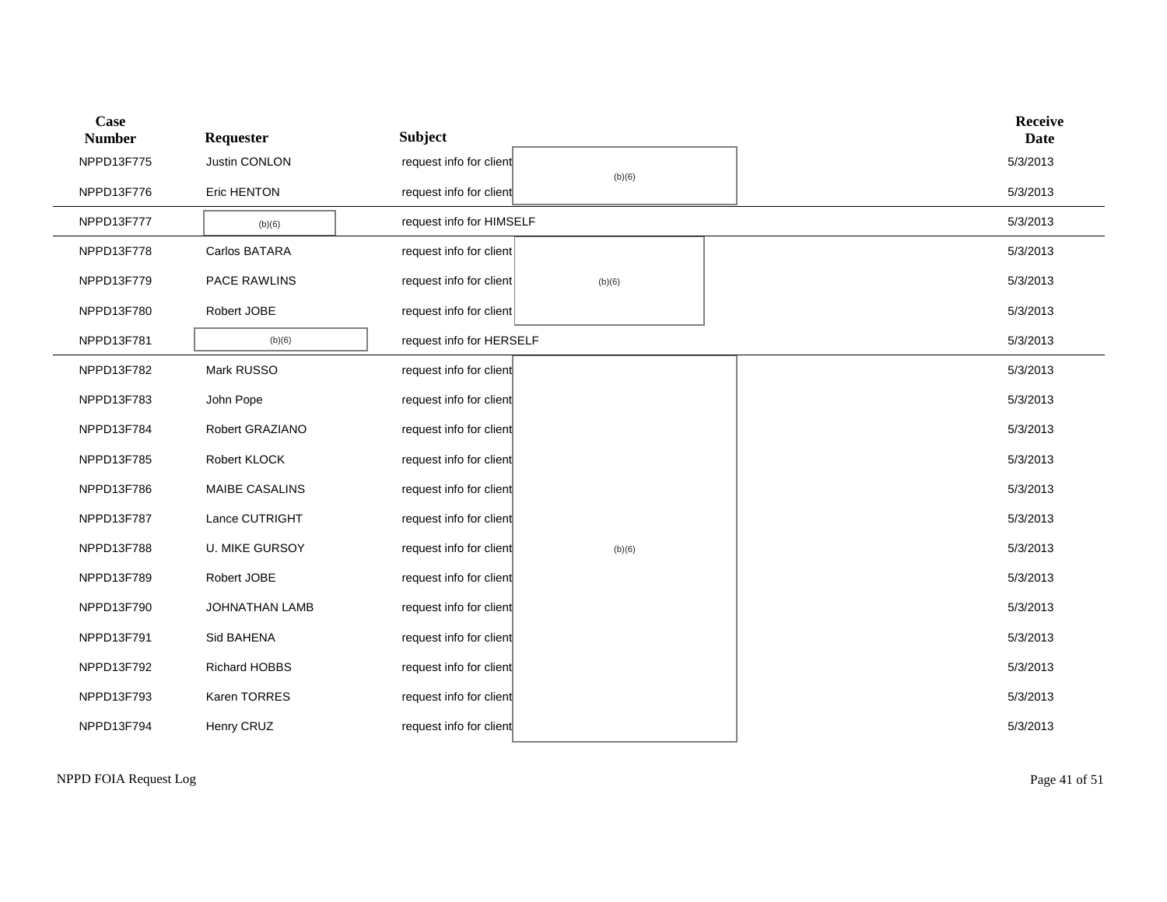| <b>Case</b><br><b>Number</b> | Requester             | <b>Subject</b>           |        | <b>Receive</b><br><b>Date</b> |
|------------------------------|-----------------------|--------------------------|--------|-------------------------------|
| NPPD13F775                   | Justin CONLON         | request info for client  |        | 5/3/2013                      |
| NPPD13F776                   | Eric HENTON           | request info for client  | (b)(6) | 5/3/2013                      |
| NPPD13F777                   | (b)(6)                | request info for HIMSELF |        | 5/3/2013                      |
| NPPD13F778                   | Carlos BATARA         | request info for client  |        | 5/3/2013                      |
| NPPD13F779                   | PACE RAWLINS          | request info for client  | (b)(6) | 5/3/2013                      |
| NPPD13F780                   | Robert JOBE           | request info for client  |        | 5/3/2013                      |
| NPPD13F781                   | (b)(6)                | request info for HERSELF |        | 5/3/2013                      |
| NPPD13F782                   | Mark RUSSO            | request info for client  |        | 5/3/2013                      |
| NPPD13F783                   | John Pope             | request info for client  |        | 5/3/2013                      |
| NPPD13F784                   | Robert GRAZIANO       | request info for client  |        | 5/3/2013                      |
| NPPD13F785                   | Robert KLOCK          | request info for client  |        | 5/3/2013                      |
| NPPD13F786                   | MAIBE CASALINS        | request info for client  |        | 5/3/2013                      |
| NPPD13F787                   | Lance CUTRIGHT        | request info for client  |        | 5/3/2013                      |
| NPPD13F788                   | <b>U. MIKE GURSOY</b> | request info for client  | (b)(6) | 5/3/2013                      |
| NPPD13F789                   | Robert JOBE           | request info for client  |        | 5/3/2013                      |
| NPPD13F790                   | JOHNATHAN LAMB        | request info for client  |        | 5/3/2013                      |
| NPPD13F791                   | Sid BAHENA            | request info for client  |        | 5/3/2013                      |
| NPPD13F792                   | Richard HOBBS         | request info for client  |        | 5/3/2013                      |
| NPPD13F793                   | Karen TORRES          | request info for client  |        | 5/3/2013                      |
| NPPD13F794                   | Henry CRUZ            | request info for client  |        | 5/3/2013                      |

NPPD FOIA Request Log Page 41 of 51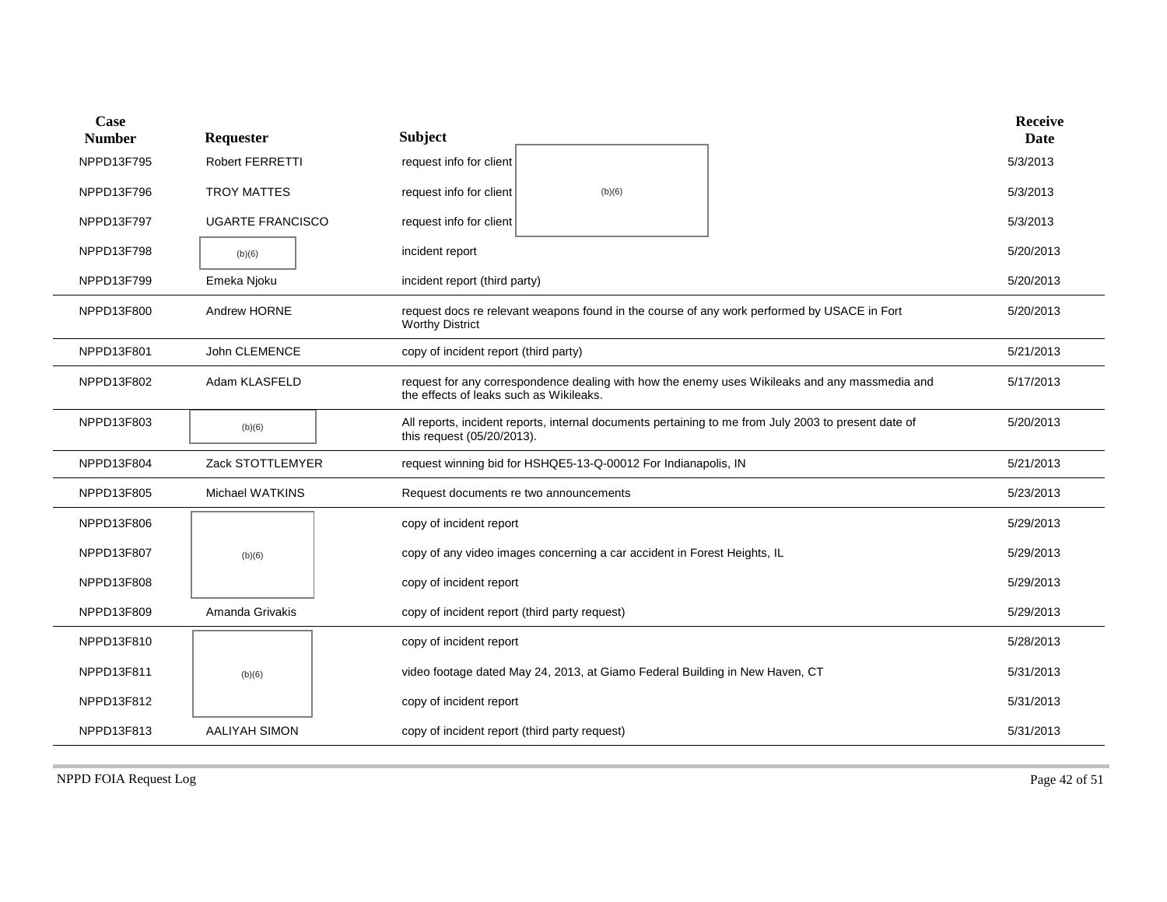| Case<br><b>Number</b> | Requester               | <b>Subject</b>                                |                                                                              |                                                                                                      | <b>Receive</b><br><b>Date</b> |
|-----------------------|-------------------------|-----------------------------------------------|------------------------------------------------------------------------------|------------------------------------------------------------------------------------------------------|-------------------------------|
| NPPD13F795            | <b>Robert FERRETTI</b>  | request info for client                       |                                                                              |                                                                                                      | 5/3/2013                      |
| NPPD13F796            | <b>TROY MATTES</b>      | request info for client                       | (b)(6)                                                                       |                                                                                                      | 5/3/2013                      |
| NPPD13F797            | <b>UGARTE FRANCISCO</b> | request info for client                       |                                                                              |                                                                                                      | 5/3/2013                      |
| NPPD13F798            | (b)(6)                  | incident report                               |                                                                              |                                                                                                      | 5/20/2013                     |
| NPPD13F799            | Emeka Njoku             | incident report (third party)                 |                                                                              |                                                                                                      | 5/20/2013                     |
| NPPD13F800            | Andrew HORNE            | <b>Worthy District</b>                        |                                                                              | request docs re relevant weapons found in the course of any work performed by USACE in Fort          | 5/20/2013                     |
| NPPD13F801            | John CLEMENCE           | copy of incident report (third party)         |                                                                              |                                                                                                      | 5/21/2013                     |
| NPPD13F802            | Adam KLASFELD           | the effects of leaks such as Wikileaks.       |                                                                              | request for any correspondence dealing with how the enemy uses Wikileaks and any massmedia and       | 5/17/2013                     |
| NPPD13F803            | (b)(6)                  | this request (05/20/2013).                    |                                                                              | All reports, incident reports, internal documents pertaining to me from July 2003 to present date of | 5/20/2013                     |
| NPPD13F804            | Zack STOTTLEMYER        |                                               | request winning bid for HSHQE5-13-Q-00012 For Indianapolis, IN               |                                                                                                      | 5/21/2013                     |
| NPPD13F805            | Michael WATKINS         |                                               | Request documents re two announcements                                       |                                                                                                      | 5/23/2013                     |
| NPPD13F806            |                         | copy of incident report                       |                                                                              |                                                                                                      | 5/29/2013                     |
| NPPD13F807            | (b)(6)                  |                                               | copy of any video images concerning a car accident in Forest Heights, IL     |                                                                                                      | 5/29/2013                     |
| NPPD13F808            |                         | copy of incident report                       |                                                                              |                                                                                                      | 5/29/2013                     |
| NPPD13F809            | Amanda Grivakis         | copy of incident report (third party request) |                                                                              |                                                                                                      | 5/29/2013                     |
| NPPD13F810            |                         | copy of incident report                       |                                                                              |                                                                                                      | 5/28/2013                     |
| NPPD13F811            | (b)(6)                  |                                               | video footage dated May 24, 2013, at Giamo Federal Building in New Haven, CT |                                                                                                      | 5/31/2013                     |
| NPPD13F812            |                         | copy of incident report                       |                                                                              |                                                                                                      | 5/31/2013                     |
| NPPD13F813            | <b>AALIYAH SIMON</b>    | copy of incident report (third party request) |                                                                              |                                                                                                      | 5/31/2013                     |

NPPD FOIA Request Log Page 42 of 51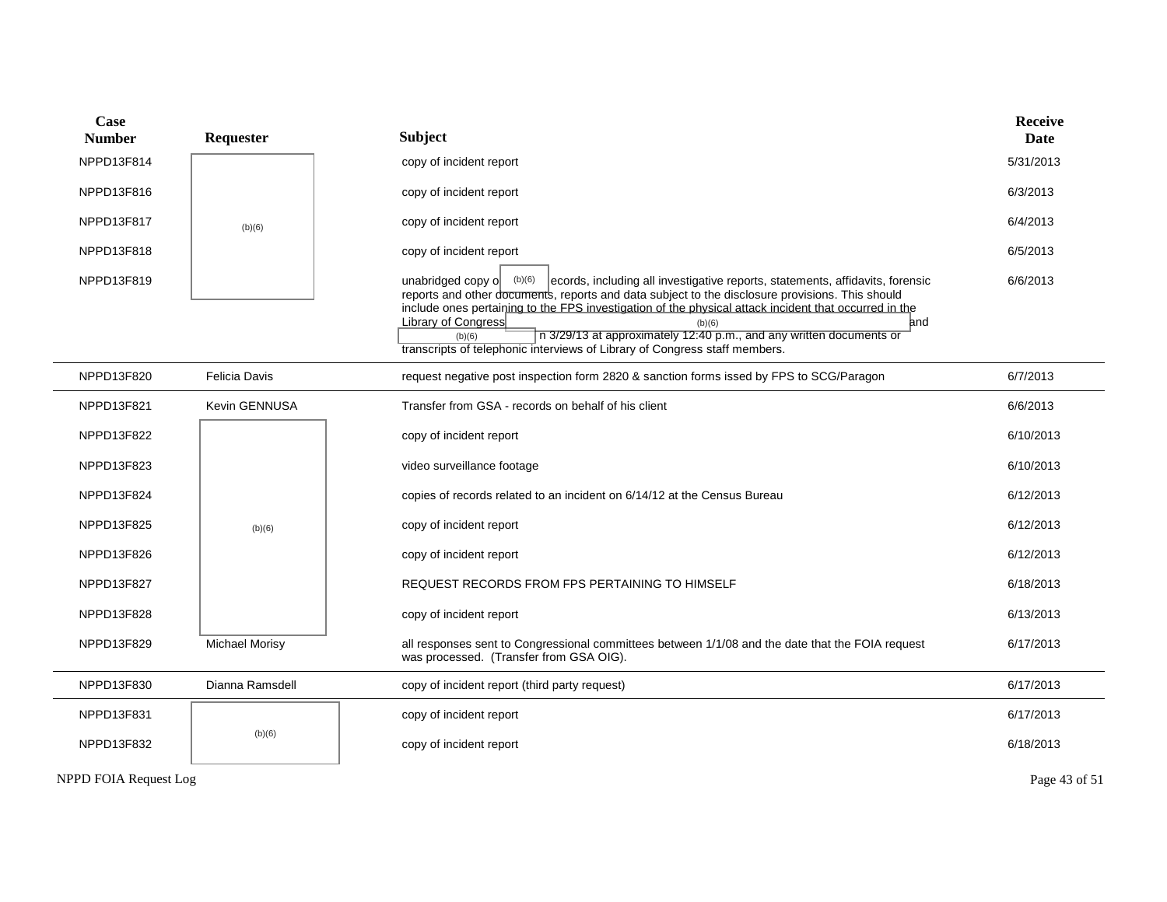| Case<br><b>Number</b>        | Requester             | <b>Subject</b>                                                                                                                                                                                                                                                                                                                                                   | <b>Receive</b><br><b>Date</b> |
|------------------------------|-----------------------|------------------------------------------------------------------------------------------------------------------------------------------------------------------------------------------------------------------------------------------------------------------------------------------------------------------------------------------------------------------|-------------------------------|
| NPPD13F814                   |                       | copy of incident report                                                                                                                                                                                                                                                                                                                                          | 5/31/2013                     |
| NPPD13F816                   |                       | copy of incident report                                                                                                                                                                                                                                                                                                                                          | 6/3/2013                      |
| NPPD13F817                   | (b)(6)                | copy of incident report                                                                                                                                                                                                                                                                                                                                          | 6/4/2013                      |
| NPPD13F818                   |                       | copy of incident report                                                                                                                                                                                                                                                                                                                                          | 6/5/2013                      |
| NPPD13F819                   |                       | ecords, including all investigative reports, statements, affidavits, forensic<br>unabridged copy o<br>(b)(6)<br>reports and other documents, reports and data subject to the disclosure provisions. This should<br>include ones pertaining to the FPS investigation of the physical attack incident that occurred in the<br>Library of Congress<br>and<br>(b)(6) | 6/6/2013                      |
|                              |                       | n 3/29/13 at approximately 12:40 p.m., and any written documents or<br>(b)(6)<br>transcripts of telephonic interviews of Library of Congress staff members.                                                                                                                                                                                                      |                               |
| NPPD13F820                   | Felicia Davis         | request negative post inspection form 2820 & sanction forms issed by FPS to SCG/Paragon                                                                                                                                                                                                                                                                          | 6/7/2013                      |
| NPPD13F821                   | <b>Kevin GENNUSA</b>  | Transfer from GSA - records on behalf of his client                                                                                                                                                                                                                                                                                                              | 6/6/2013                      |
| NPPD13F822                   |                       | copy of incident report                                                                                                                                                                                                                                                                                                                                          | 6/10/2013                     |
| NPPD13F823                   |                       | video surveillance footage                                                                                                                                                                                                                                                                                                                                       | 6/10/2013                     |
| NPPD13F824                   |                       | copies of records related to an incident on 6/14/12 at the Census Bureau                                                                                                                                                                                                                                                                                         | 6/12/2013                     |
| NPPD13F825                   | (b)(6)                | copy of incident report                                                                                                                                                                                                                                                                                                                                          | 6/12/2013                     |
| NPPD13F826                   |                       | copy of incident report                                                                                                                                                                                                                                                                                                                                          | 6/12/2013                     |
| NPPD13F827                   |                       | REQUEST RECORDS FROM FPS PERTAINING TO HIMSELF                                                                                                                                                                                                                                                                                                                   | 6/18/2013                     |
| NPPD13F828                   |                       | copy of incident report                                                                                                                                                                                                                                                                                                                                          | 6/13/2013                     |
| NPPD13F829                   | <b>Michael Morisy</b> | all responses sent to Congressional committees between 1/1/08 and the date that the FOIA request<br>was processed. (Transfer from GSA OIG).                                                                                                                                                                                                                      | 6/17/2013                     |
| NPPD13F830                   | Dianna Ramsdell       | copy of incident report (third party request)                                                                                                                                                                                                                                                                                                                    | 6/17/2013                     |
| NPPD13F831                   |                       | copy of incident report                                                                                                                                                                                                                                                                                                                                          | 6/17/2013                     |
| NPPD13F832                   | (b)(6)                | copy of incident report                                                                                                                                                                                                                                                                                                                                          | 6/18/2013                     |
| <b>NPPD FOIA Request Log</b> |                       |                                                                                                                                                                                                                                                                                                                                                                  | Page 43 of 51                 |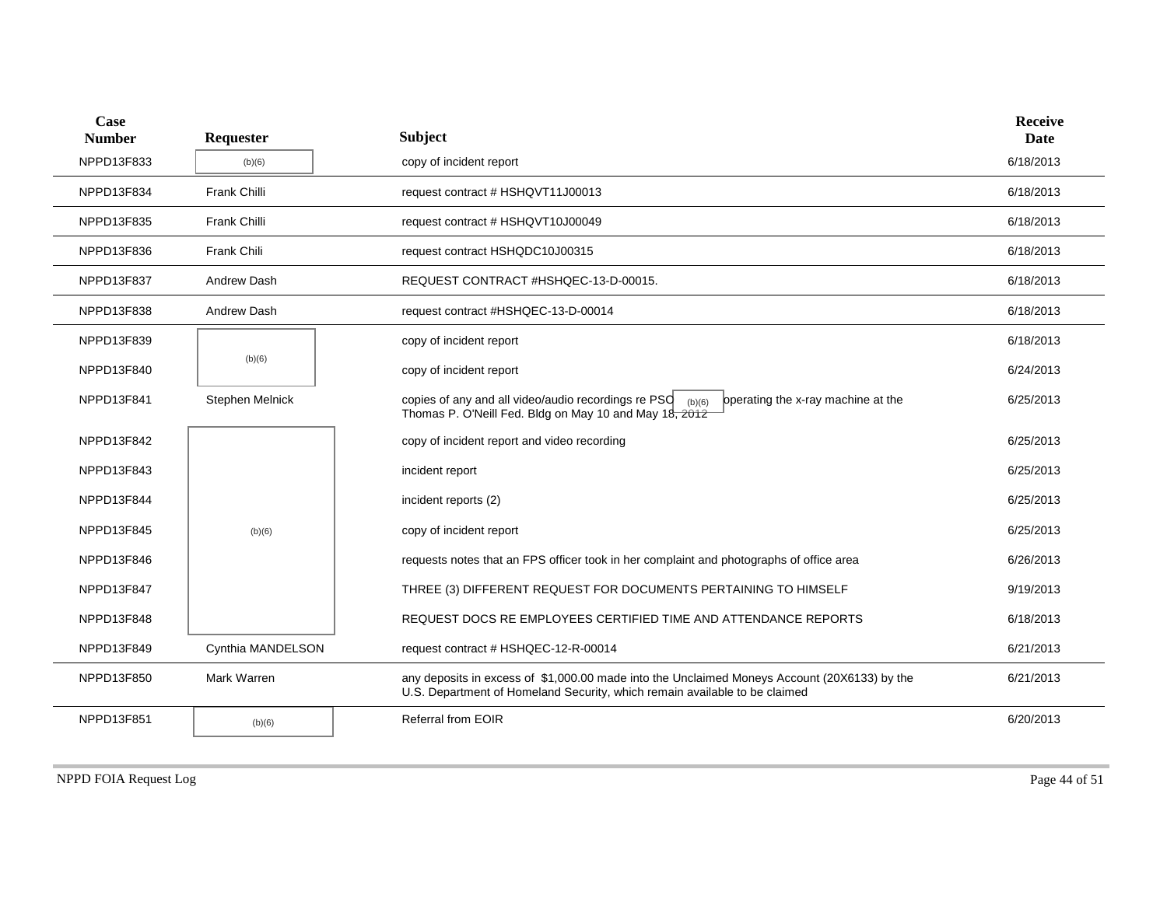| Case<br><b>Number</b> | Requester          | <b>Subject</b>                                                                                                                                                             | <b>Receive</b><br><b>Date</b> |
|-----------------------|--------------------|----------------------------------------------------------------------------------------------------------------------------------------------------------------------------|-------------------------------|
| NPPD13F833            | (b)(6)             | copy of incident report                                                                                                                                                    | 6/18/2013                     |
| NPPD13F834            | Frank Chilli       | request contract # HSHQVT11J00013                                                                                                                                          | 6/18/2013                     |
| NPPD13F835            | Frank Chilli       | request contract # HSHQVT10J00049                                                                                                                                          | 6/18/2013                     |
| NPPD13F836            | Frank Chili        | request contract HSHQDC10J00315                                                                                                                                            | 6/18/2013                     |
| NPPD13F837            | <b>Andrew Dash</b> | REQUEST CONTRACT #HSHQEC-13-D-00015.                                                                                                                                       | 6/18/2013                     |
| NPPD13F838            | Andrew Dash        | request contract #HSHQEC-13-D-00014                                                                                                                                        | 6/18/2013                     |
| NPPD13F839            |                    | copy of incident report                                                                                                                                                    | 6/18/2013                     |
| NPPD13F840            | (b)(6)             | copy of incident report                                                                                                                                                    | 6/24/2013                     |
| NPPD13F841            | Stephen Melnick    | copies of any and all video/audio recordings re $PSO$ (b)(6)<br>operating the x-ray machine at the<br>Thomas P. O'Neill Fed. Bldg on May 10 and May 18, 2012               | 6/25/2013                     |
| NPPD13F842            |                    | copy of incident report and video recording                                                                                                                                | 6/25/2013                     |
| NPPD13F843            |                    | incident report                                                                                                                                                            | 6/25/2013                     |
| NPPD13F844            |                    | incident reports (2)                                                                                                                                                       | 6/25/2013                     |
| NPPD13F845            | (b)(6)             | copy of incident report                                                                                                                                                    | 6/25/2013                     |
| NPPD13F846            |                    | requests notes that an FPS officer took in her complaint and photographs of office area                                                                                    | 6/26/2013                     |
| NPPD13F847            |                    | THREE (3) DIFFERENT REQUEST FOR DOCUMENTS PERTAINING TO HIMSELF                                                                                                            | 9/19/2013                     |
| NPPD13F848            |                    | REQUEST DOCS RE EMPLOYEES CERTIFIED TIME AND ATTENDANCE REPORTS                                                                                                            | 6/18/2013                     |
| NPPD13F849            | Cynthia MANDELSON  | request contract # HSHQEC-12-R-00014                                                                                                                                       | 6/21/2013                     |
| NPPD13F850            | Mark Warren        | any deposits in excess of \$1,000.00 made into the Unclaimed Moneys Account (20X6133) by the<br>U.S. Department of Homeland Security, which remain available to be claimed | 6/21/2013                     |
| NPPD13F851            | (b)(6)             | <b>Referral from EOIR</b>                                                                                                                                                  | 6/20/2013                     |
|                       |                    |                                                                                                                                                                            |                               |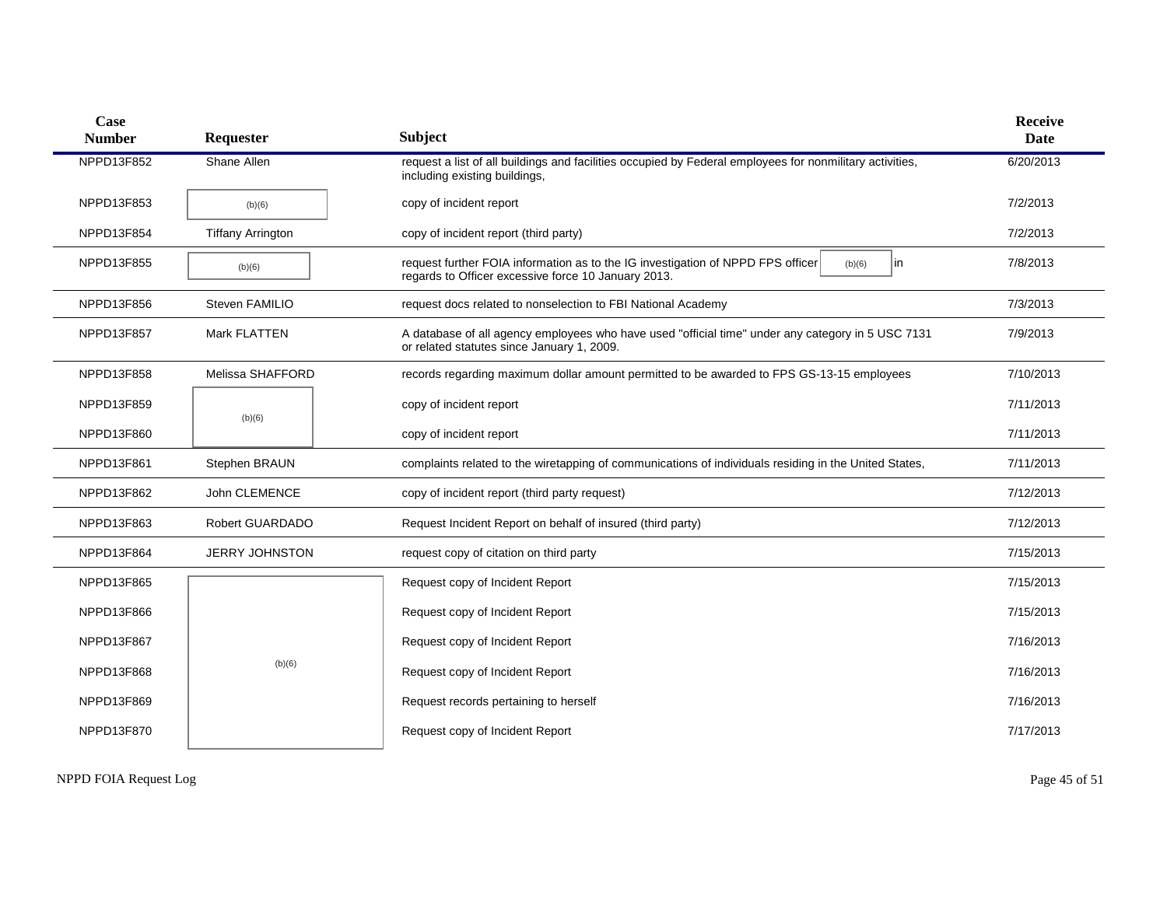| Case<br><b>Number</b> | Requester                | <b>Subject</b>                                                                                                                                           | <b>Receive</b><br>Date |
|-----------------------|--------------------------|----------------------------------------------------------------------------------------------------------------------------------------------------------|------------------------|
| NPPD13F852            | Shane Allen              | request a list of all buildings and facilities occupied by Federal employees for nonmilitary activities,<br>including existing buildings,                | 6/20/2013              |
| NPPD13F853            | (b)(6)                   | copy of incident report                                                                                                                                  | 7/2/2013               |
| NPPD13F854            | <b>Tiffany Arrington</b> | copy of incident report (third party)                                                                                                                    | 7/2/2013               |
| NPPD13F855            | (b)(6)                   | request further FOIA information as to the IG investigation of NPPD FPS officer<br>lin.<br>(b)(6)<br>regards to Officer excessive force 10 January 2013. | 7/8/2013               |
| NPPD13F856            | Steven FAMILIO           | request docs related to nonselection to FBI National Academy                                                                                             | 7/3/2013               |
| NPPD13F857            | Mark FLATTEN             | A database of all agency employees who have used "official time" under any category in 5 USC 7131<br>or related statutes since January 1, 2009.          | 7/9/2013               |
| NPPD13F858            | Melissa SHAFFORD         | records regarding maximum dollar amount permitted to be awarded to FPS GS-13-15 employees                                                                | 7/10/2013              |
| NPPD13F859            | (b)(6)                   | copy of incident report                                                                                                                                  | 7/11/2013              |
| NPPD13F860            |                          | copy of incident report                                                                                                                                  | 7/11/2013              |
| NPPD13F861            | Stephen BRAUN            | complaints related to the wiretapping of communications of individuals residing in the United States,                                                    | 7/11/2013              |
| NPPD13F862            | John CLEMENCE            | copy of incident report (third party request)                                                                                                            | 7/12/2013              |
| NPPD13F863            | Robert GUARDADO          | Request Incident Report on behalf of insured (third party)                                                                                               | 7/12/2013              |
| NPPD13F864            | <b>JERRY JOHNSTON</b>    | request copy of citation on third party                                                                                                                  | 7/15/2013              |
| NPPD13F865            |                          | Request copy of Incident Report                                                                                                                          | 7/15/2013              |
| NPPD13F866            |                          | Request copy of Incident Report                                                                                                                          | 7/15/2013              |
| NPPD13F867            |                          | Request copy of Incident Report                                                                                                                          | 7/16/2013              |
| NPPD13F868            | (b)(6)                   | Request copy of Incident Report                                                                                                                          | 7/16/2013              |
| NPPD13F869            |                          | Request records pertaining to herself                                                                                                                    | 7/16/2013              |
| NPPD13F870            |                          | Request copy of Incident Report                                                                                                                          | 7/17/2013              |

NPPD FOIA Request Log Page 45 of 51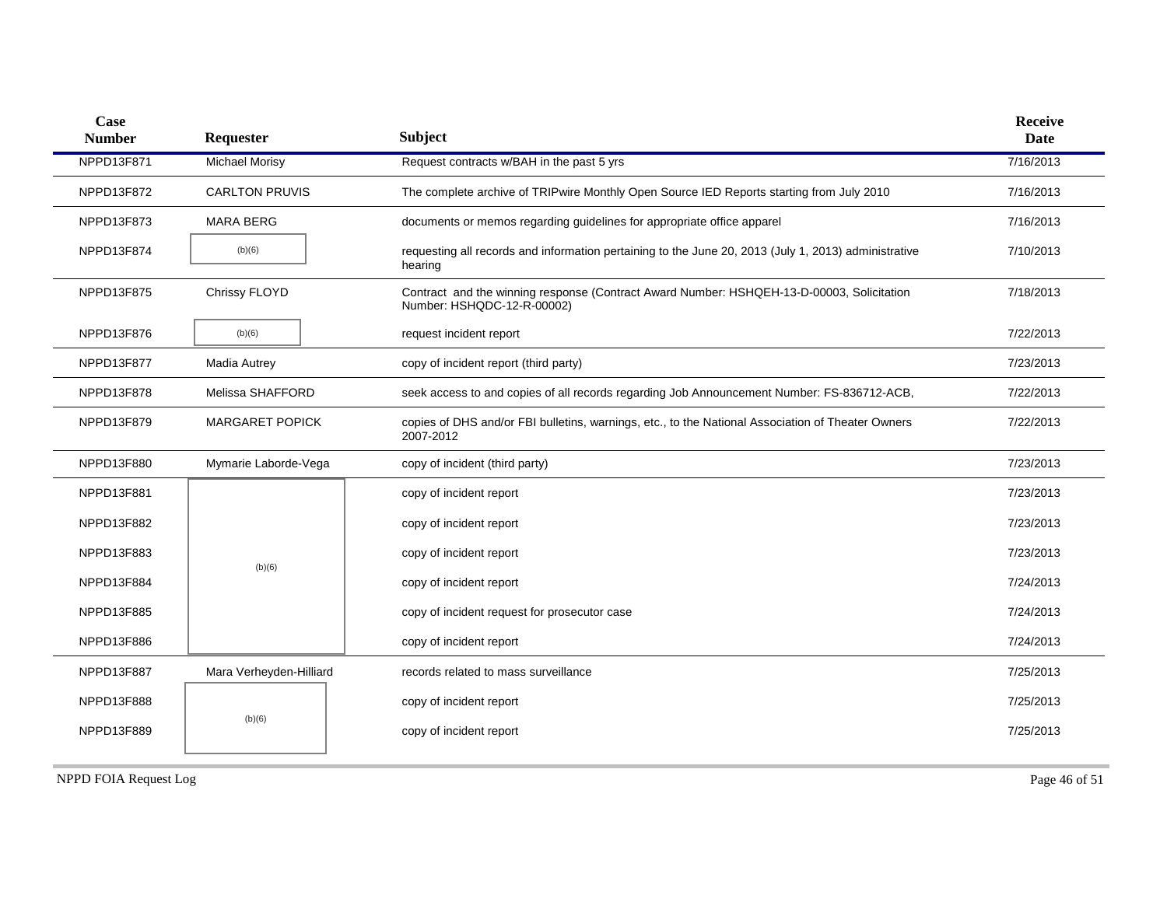| Case<br><b>Number</b> | Requester               | <b>Subject</b>                                                                                                          | <b>Receive</b><br><b>Date</b> |
|-----------------------|-------------------------|-------------------------------------------------------------------------------------------------------------------------|-------------------------------|
| NPPD13F871            | Michael Morisy          | Request contracts w/BAH in the past 5 yrs                                                                               | 7/16/2013                     |
| NPPD13F872            | <b>CARLTON PRUVIS</b>   | The complete archive of TRIPwire Monthly Open Source IED Reports starting from July 2010                                | 7/16/2013                     |
| NPPD13F873            | <b>MARA BERG</b>        | documents or memos regarding guidelines for appropriate office apparel                                                  | 7/16/2013                     |
| NPPD13F874            | (b)(6)                  | requesting all records and information pertaining to the June 20, 2013 (July 1, 2013) administrative<br>hearing         | 7/10/2013                     |
| NPPD13F875            | Chrissy FLOYD           | Contract and the winning response (Contract Award Number: HSHQEH-13-D-00003, Solicitation<br>Number: HSHQDC-12-R-00002) | 7/18/2013                     |
| NPPD13F876            | (b)(6)                  | request incident report                                                                                                 | 7/22/2013                     |
| NPPD13F877            | Madia Autrey            | copy of incident report (third party)                                                                                   | 7/23/2013                     |
| NPPD13F878            | Melissa SHAFFORD        | seek access to and copies of all records regarding Job Announcement Number: FS-836712-ACB,                              | 7/22/2013                     |
| NPPD13F879            | <b>MARGARET POPICK</b>  | copies of DHS and/or FBI bulletins, warnings, etc., to the National Association of Theater Owners<br>2007-2012          | 7/22/2013                     |
| NPPD13F880            | Mymarie Laborde-Vega    | copy of incident (third party)                                                                                          | 7/23/2013                     |
| NPPD13F881            |                         | copy of incident report                                                                                                 | 7/23/2013                     |
| NPPD13F882            |                         | copy of incident report                                                                                                 | 7/23/2013                     |
| NPPD13F883            |                         | copy of incident report                                                                                                 | 7/23/2013                     |
| NPPD13F884            | (b)(6)                  | copy of incident report                                                                                                 | 7/24/2013                     |
| NPPD13F885            |                         | copy of incident request for prosecutor case                                                                            | 7/24/2013                     |
| NPPD13F886            |                         | copy of incident report                                                                                                 | 7/24/2013                     |
| NPPD13F887            | Mara Verheyden-Hilliard | records related to mass surveillance                                                                                    | 7/25/2013                     |
| NPPD13F888            |                         | copy of incident report                                                                                                 | 7/25/2013                     |
| NPPD13F889            | (b)(6)                  | copy of incident report                                                                                                 | 7/25/2013                     |

NPPD FOIA Request Log Page 46 of 51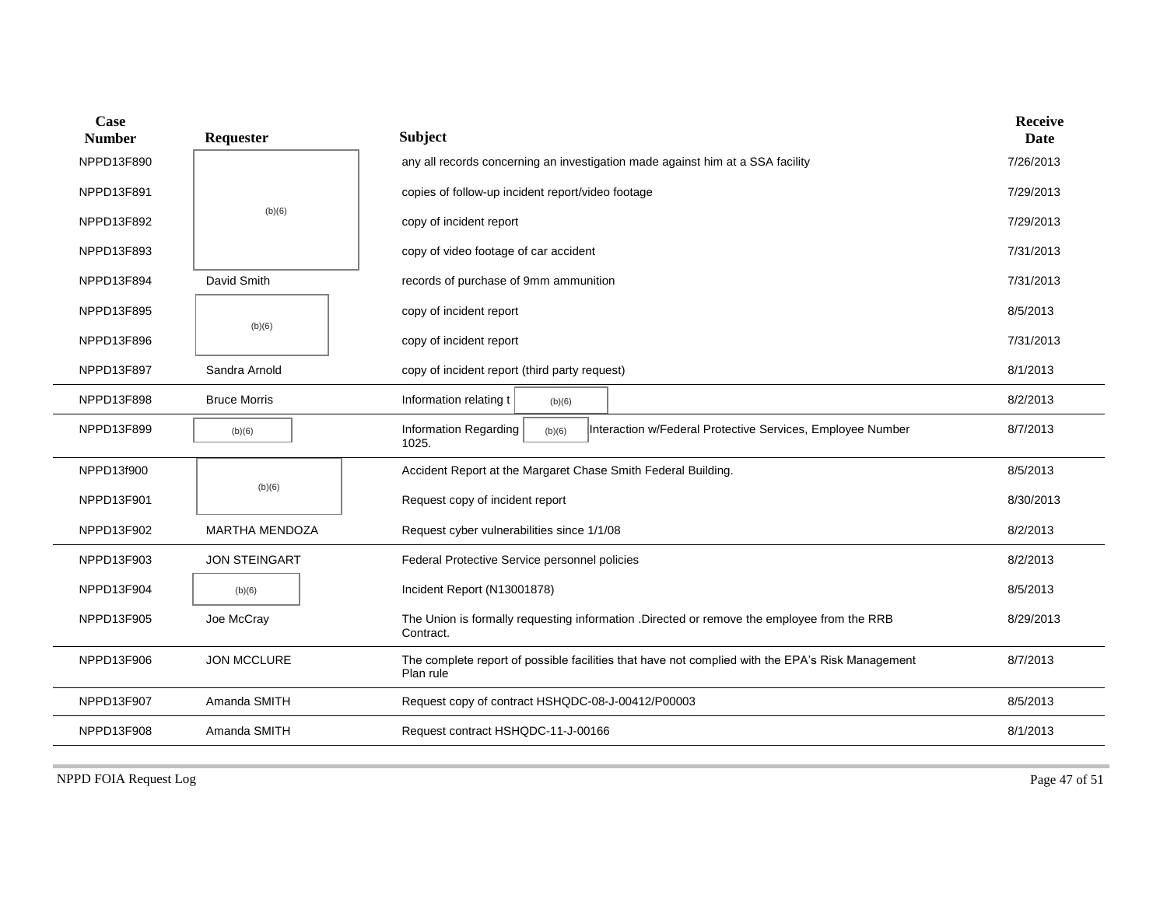| Case<br><b>Number</b> | Requester             | <b>Subject</b>                                                                                                | <b>Receive</b><br>Date |
|-----------------------|-----------------------|---------------------------------------------------------------------------------------------------------------|------------------------|
| NPPD13F890            |                       | any all records concerning an investigation made against him at a SSA facility                                | 7/26/2013              |
| NPPD13F891            |                       | copies of follow-up incident report/video footage                                                             | 7/29/2013              |
| NPPD13F892            | (b)(6)                | copy of incident report                                                                                       | 7/29/2013              |
| NPPD13F893            |                       | copy of video footage of car accident                                                                         | 7/31/2013              |
| NPPD13F894            | David Smith           | records of purchase of 9mm ammunition                                                                         | 7/31/2013              |
| NPPD13F895            | (b)(6)                | copy of incident report                                                                                       | 8/5/2013               |
| NPPD13F896            |                       | copy of incident report                                                                                       | 7/31/2013              |
| NPPD13F897            | Sandra Arnold         | copy of incident report (third party request)                                                                 | 8/1/2013               |
| NPPD13F898            | <b>Bruce Morris</b>   | Information relating t<br>(b)(6)                                                                              | 8/2/2013               |
| NPPD13F899            | (b)(6)                | Information Regarding<br>Interaction w/Federal Protective Services, Employee Number<br>(b)(6)<br>1025.        | 8/7/2013               |
| NPPD13f900            |                       | Accident Report at the Margaret Chase Smith Federal Building.                                                 | 8/5/2013               |
| NPPD13F901            | (b)(6)                | Request copy of incident report                                                                               | 8/30/2013              |
| NPPD13F902            | <b>MARTHA MENDOZA</b> | Request cyber vulnerabilities since 1/1/08                                                                    | 8/2/2013               |
| NPPD13F903            | <b>JON STEINGART</b>  | Federal Protective Service personnel policies                                                                 | 8/2/2013               |
| NPPD13F904            | (b)(6)                | Incident Report (N13001878)                                                                                   | 8/5/2013               |
| NPPD13F905            | Joe McCray            | The Union is formally requesting information .Directed or remove the employee from the RRB<br>Contract.       | 8/29/2013              |
| NPPD13F906            | <b>JON MCCLURE</b>    | The complete report of possible facilities that have not complied with the EPA's Risk Management<br>Plan rule | 8/7/2013               |
| NPPD13F907            | Amanda SMITH          | Request copy of contract HSHQDC-08-J-00412/P00003                                                             | 8/5/2013               |
| NPPD13F908            | Amanda SMITH          | Request contract HSHQDC-11-J-00166                                                                            | 8/1/2013               |

NPPD FOIA Request Log Page 47 of 51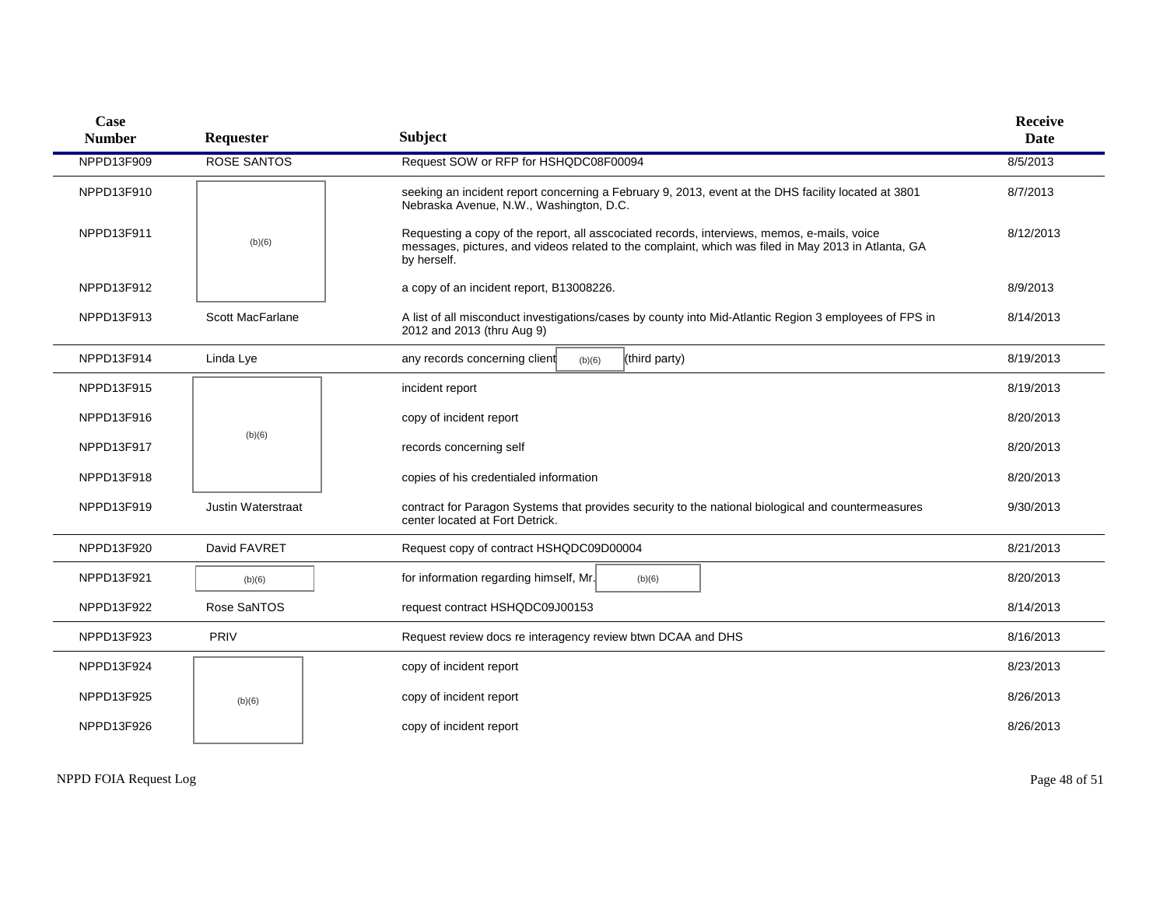| <b>Case</b><br><b>Number</b> | Requester          | <b>Subject</b>                                                                                                                                                                                                    | <b>Receive</b><br>Date |
|------------------------------|--------------------|-------------------------------------------------------------------------------------------------------------------------------------------------------------------------------------------------------------------|------------------------|
| NPPD13F909                   | <b>ROSE SANTOS</b> | Request SOW or RFP for HSHQDC08F00094                                                                                                                                                                             | 8/5/2013               |
| NPPD13F910                   |                    | seeking an incident report concerning a February 9, 2013, event at the DHS facility located at 3801<br>Nebraska Avenue, N.W., Washington, D.C.                                                                    | 8/7/2013               |
| NPPD13F911                   | (b)(6)             | Requesting a copy of the report, all asscociated records, interviews, memos, e-mails, voice<br>messages, pictures, and videos related to the complaint, which was filed in May 2013 in Atlanta, GA<br>by herself. | 8/12/2013              |
| NPPD13F912                   |                    | a copy of an incident report, B13008226.                                                                                                                                                                          | 8/9/2013               |
| NPPD13F913                   | Scott MacFarlane   | A list of all misconduct investigations/cases by county into Mid-Atlantic Region 3 employees of FPS in<br>2012 and 2013 (thru Aug 9)                                                                              | 8/14/2013              |
| NPPD13F914                   | Linda Lye          | any records concerning client<br>(third party)<br>(b)(6)                                                                                                                                                          | 8/19/2013              |
| NPPD13F915                   |                    | incident report                                                                                                                                                                                                   | 8/19/2013              |
| NPPD13F916                   |                    | copy of incident report                                                                                                                                                                                           | 8/20/2013              |
| NPPD13F917                   | (b)(6)             | records concerning self                                                                                                                                                                                           | 8/20/2013              |
| NPPD13F918                   |                    | copies of his credentialed information                                                                                                                                                                            | 8/20/2013              |
| NPPD13F919                   | Justin Waterstraat | contract for Paragon Systems that provides security to the national biological and countermeasures<br>center located at Fort Detrick.                                                                             | 9/30/2013              |
| NPPD13F920                   | David FAVRET       | Request copy of contract HSHQDC09D00004                                                                                                                                                                           | 8/21/2013              |
| NPPD13F921                   | (b)(6)             | for information regarding himself, Mr.<br>(b)(6)                                                                                                                                                                  | 8/20/2013              |
| NPPD13F922                   | Rose SaNTOS        | request contract HSHQDC09J00153                                                                                                                                                                                   | 8/14/2013              |
| NPPD13F923                   | PRIV               | Request review docs re interagency review btwn DCAA and DHS                                                                                                                                                       | 8/16/2013              |
| NPPD13F924                   |                    | copy of incident report                                                                                                                                                                                           | 8/23/2013              |
| NPPD13F925                   | (b)(6)             | copy of incident report                                                                                                                                                                                           | 8/26/2013              |
| NPPD13F926                   |                    | copy of incident report                                                                                                                                                                                           | 8/26/2013              |
|                              |                    |                                                                                                                                                                                                                   |                        |

NPPD FOIA Request Log Page 48 of 51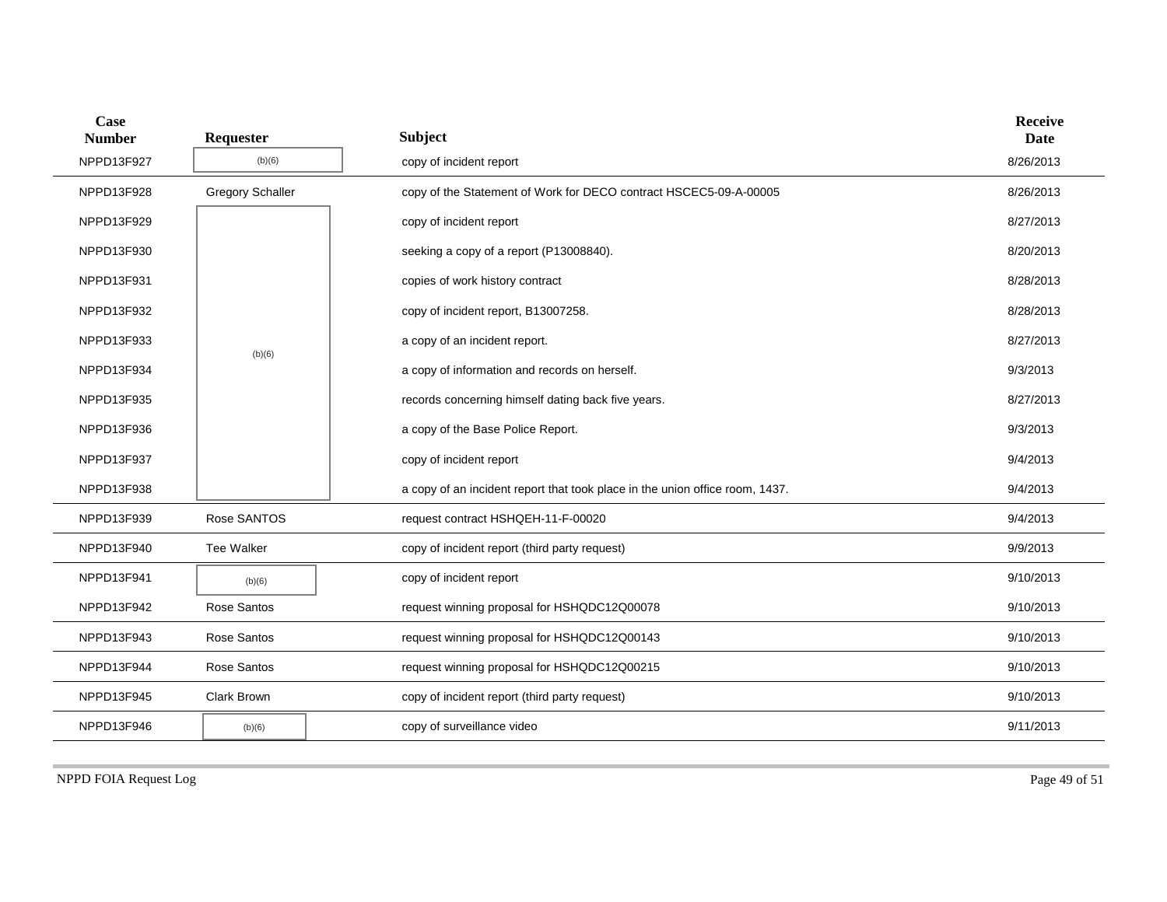| Case<br><b>Number</b> | Requester               | <b>Subject</b>                                                               | <b>Receive</b><br><b>Date</b> |
|-----------------------|-------------------------|------------------------------------------------------------------------------|-------------------------------|
| NPPD13F927            | (b)(6)                  | copy of incident report                                                      | 8/26/2013                     |
| NPPD13F928            | <b>Gregory Schaller</b> | copy of the Statement of Work for DECO contract HSCEC5-09-A-00005            | 8/26/2013                     |
| NPPD13F929            |                         | copy of incident report                                                      | 8/27/2013                     |
| NPPD13F930            |                         | seeking a copy of a report (P13008840).                                      | 8/20/2013                     |
| NPPD13F931            |                         | copies of work history contract                                              | 8/28/2013                     |
| NPPD13F932            |                         | copy of incident report, B13007258.                                          | 8/28/2013                     |
| NPPD13F933            | (b)(6)                  | a copy of an incident report.                                                | 8/27/2013                     |
| NPPD13F934            |                         | a copy of information and records on herself.                                | 9/3/2013                      |
| NPPD13F935            |                         | records concerning himself dating back five years.                           | 8/27/2013                     |
| NPPD13F936            |                         | a copy of the Base Police Report.                                            | 9/3/2013                      |
| NPPD13F937            |                         | copy of incident report                                                      | 9/4/2013                      |
| NPPD13F938            |                         | a copy of an incident report that took place in the union office room, 1437. | 9/4/2013                      |
| NPPD13F939            | Rose SANTOS             | request contract HSHQEH-11-F-00020                                           | 9/4/2013                      |
| NPPD13F940            | <b>Tee Walker</b>       | copy of incident report (third party request)                                | 9/9/2013                      |
| NPPD13F941            | (b)(6)                  | copy of incident report                                                      | 9/10/2013                     |
| NPPD13F942            | Rose Santos             | request winning proposal for HSHQDC12Q00078                                  | 9/10/2013                     |
| NPPD13F943            | Rose Santos             | request winning proposal for HSHQDC12Q00143                                  | 9/10/2013                     |
| NPPD13F944            | Rose Santos             | request winning proposal for HSHQDC12Q00215                                  | 9/10/2013                     |
| NPPD13F945            | Clark Brown             | copy of incident report (third party request)                                | 9/10/2013                     |
| NPPD13F946            | (b)(6)                  | copy of surveillance video                                                   | 9/11/2013                     |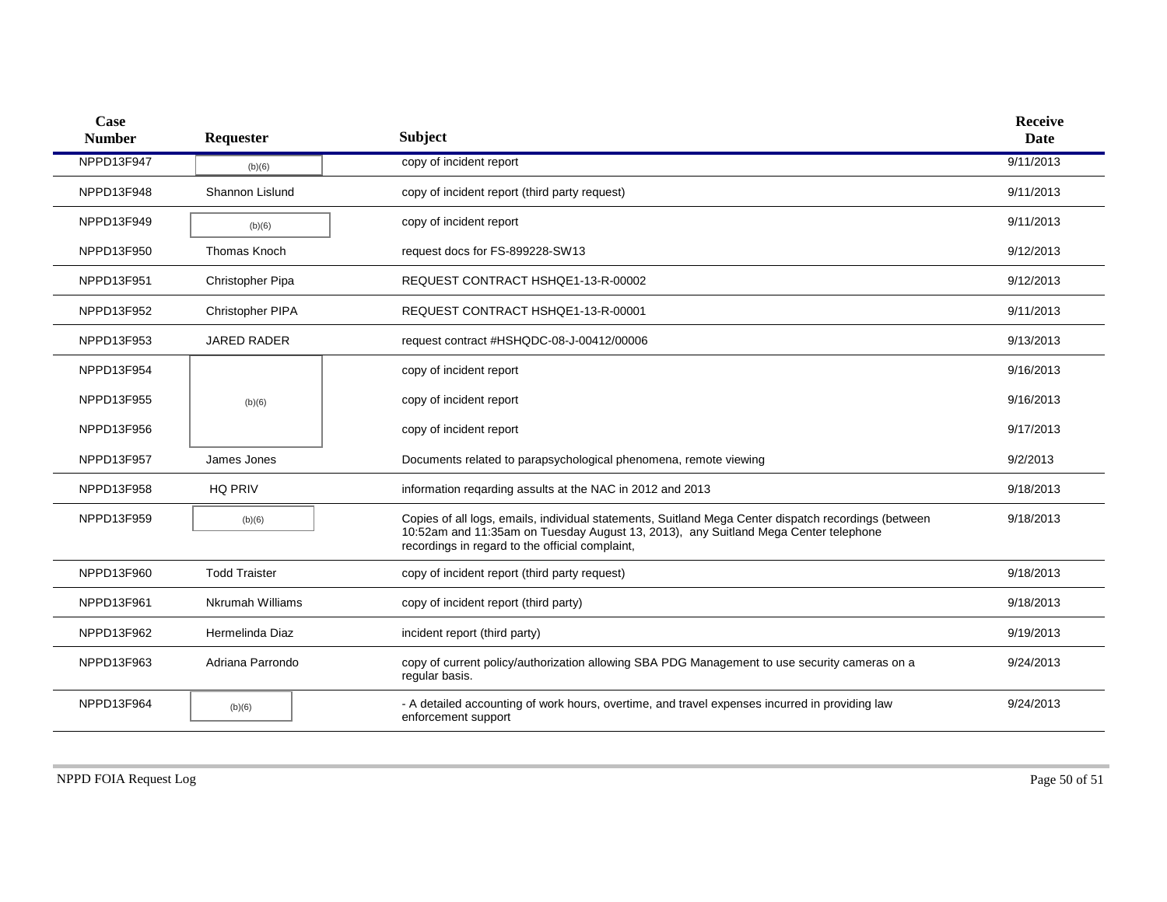| Case<br><b>Number</b> | Requester            | <b>Subject</b>                                                                                                                                                                                                                                 | <b>Receive</b><br><b>Date</b> |
|-----------------------|----------------------|------------------------------------------------------------------------------------------------------------------------------------------------------------------------------------------------------------------------------------------------|-------------------------------|
| NPPD13F947            | (b)(6)               | copy of incident report                                                                                                                                                                                                                        | 9/11/2013                     |
| NPPD13F948            | Shannon Lislund      | copy of incident report (third party request)                                                                                                                                                                                                  | 9/11/2013                     |
| NPPD13F949            | (b)(6)               | copy of incident report                                                                                                                                                                                                                        | 9/11/2013                     |
| NPPD13F950            | <b>Thomas Knoch</b>  | request docs for FS-899228-SW13                                                                                                                                                                                                                | 9/12/2013                     |
| NPPD13F951            | Christopher Pipa     | REQUEST CONTRACT HSHQE1-13-R-00002                                                                                                                                                                                                             | 9/12/2013                     |
| NPPD13F952            | Christopher PIPA     | REQUEST CONTRACT HSHQE1-13-R-00001                                                                                                                                                                                                             | 9/11/2013                     |
| NPPD13F953            | <b>JARED RADER</b>   | request contract #HSHQDC-08-J-00412/00006                                                                                                                                                                                                      | 9/13/2013                     |
| NPPD13F954            |                      | copy of incident report                                                                                                                                                                                                                        | 9/16/2013                     |
| NPPD13F955            | (b)(6)               | copy of incident report                                                                                                                                                                                                                        | 9/16/2013                     |
| NPPD13F956            |                      | copy of incident report                                                                                                                                                                                                                        | 9/17/2013                     |
| NPPD13F957            | James Jones          | Documents related to parapsychological phenomena, remote viewing                                                                                                                                                                               | 9/2/2013                      |
| NPPD13F958            | <b>HQ PRIV</b>       | information reqarding assults at the NAC in 2012 and 2013                                                                                                                                                                                      | 9/18/2013                     |
| NPPD13F959            | (b)(6)               | Copies of all logs, emails, individual statements, Suitland Mega Center dispatch recordings (between<br>10:52am and 11:35am on Tuesday August 13, 2013), any Suitland Mega Center telephone<br>recordings in regard to the official complaint, | 9/18/2013                     |
| NPPD13F960            | <b>Todd Traister</b> | copy of incident report (third party request)                                                                                                                                                                                                  | 9/18/2013                     |
| NPPD13F961            | Nkrumah Williams     | copy of incident report (third party)                                                                                                                                                                                                          | 9/18/2013                     |
| NPPD13F962            | Hermelinda Diaz      | incident report (third party)                                                                                                                                                                                                                  | 9/19/2013                     |
| NPPD13F963            | Adriana Parrondo     | copy of current policy/authorization allowing SBA PDG Management to use security cameras on a<br>regular basis.                                                                                                                                | 9/24/2013                     |
| NPPD13F964            | (b)(6)               | - A detailed accounting of work hours, overtime, and travel expenses incurred in providing law<br>enforcement support                                                                                                                          | 9/24/2013                     |